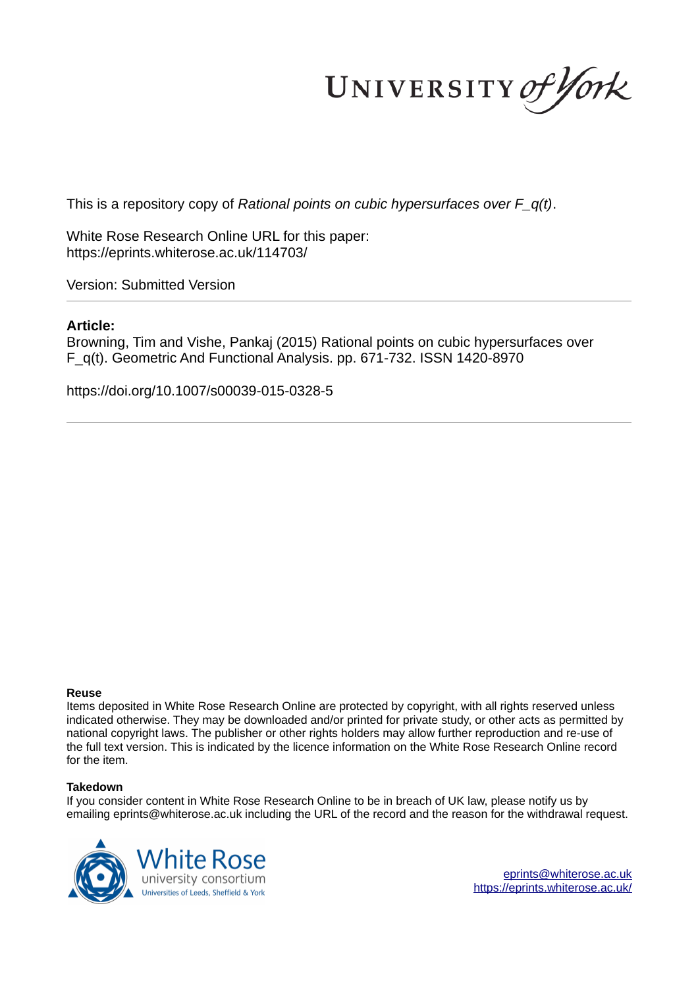UNIVERSITY of York

This is a repository copy of *Rational points on cubic hypersurfaces over F\_q(t)*.

White Rose Research Online URL for this paper: https://eprints.whiterose.ac.uk/114703/

Version: Submitted Version

# **Article:**

Browning, Tim and Vishe, Pankaj (2015) Rational points on cubic hypersurfaces over F\_q(t). Geometric And Functional Analysis. pp. 671-732. ISSN 1420-8970

https://doi.org/10.1007/s00039-015-0328-5

# **Reuse**

Items deposited in White Rose Research Online are protected by copyright, with all rights reserved unless indicated otherwise. They may be downloaded and/or printed for private study, or other acts as permitted by national copyright laws. The publisher or other rights holders may allow further reproduction and re-use of the full text version. This is indicated by the licence information on the White Rose Research Online record for the item.

# **Takedown**

If you consider content in White Rose Research Online to be in breach of UK law, please notify us by emailing eprints@whiterose.ac.uk including the URL of the record and the reason for the withdrawal request.



eprints@whiterose.ac.uk https://eprints.whiterose.ac.uk/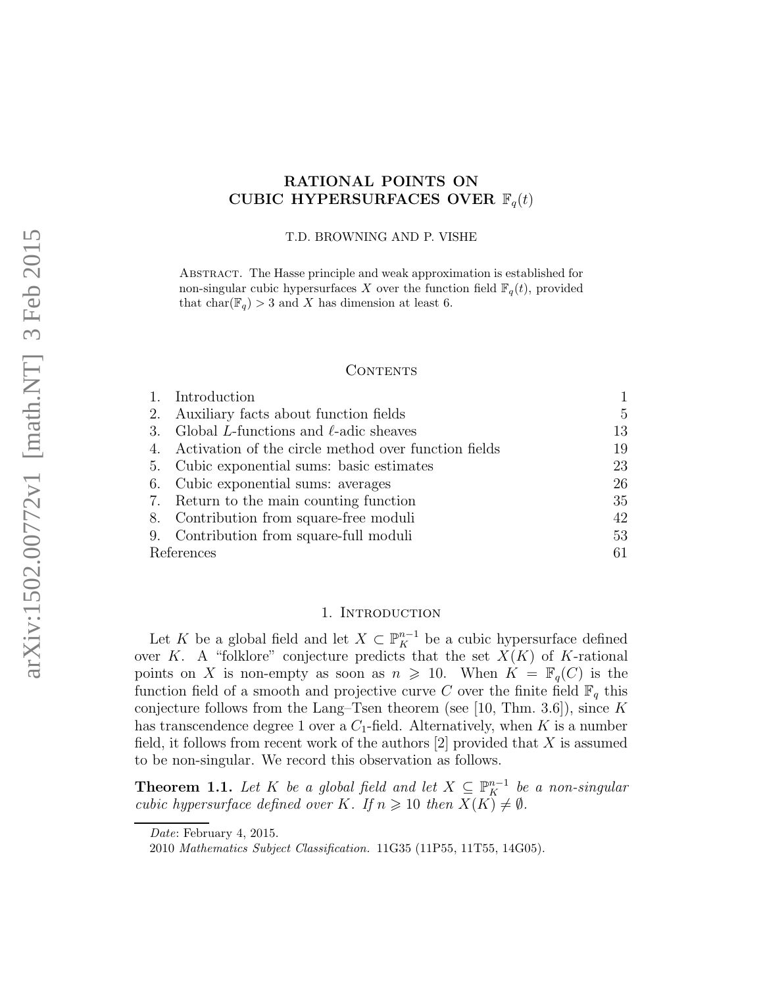# RATIONAL POINTS ON CUBIC HYPERSURFACES OVER  $\mathbb{F}_q(t)$

T.D. BROWNING AND P. VISHE

Abstract. The Hasse principle and weak approximation is established for non-singular cubic hypersurfaces X over the function field  $\mathbb{F}_q(t)$ , provided that  $char(\mathbb{F}_q) > 3$  and X has dimension at least 6.

### CONTENTS

|            | 1. Introduction                                         |    |
|------------|---------------------------------------------------------|----|
| 2.         | Auxiliary facts about function fields                   | 5  |
| 3.         | Global L-functions and $\ell$ -adic sheaves             | 13 |
|            | 4. Activation of the circle method over function fields | 19 |
|            | 5. Cubic exponential sums: basic estimates              | 23 |
|            | 6. Cubic exponential sums: averages                     | 26 |
|            | 7. Return to the main counting function                 | 35 |
|            | 8. Contribution from square-free moduli                 | 42 |
|            | 9. Contribution from square-full moduli                 | 53 |
| References |                                                         |    |

# 1. INTRODUCTION

Let K be a global field and let  $X \subset \mathbb{P}_{K}^{n-1}$  be a cubic hypersurface defined over K. A "folklore" conjecture predicts that the set  $X(K)$  of K-rational points on X is non-empty as soon as  $n \geq 10$ . When  $K = \mathbb{F}_q(C)$  is the function field of a smooth and projective curve C over the finite field  $\mathbb{F}_q$  this conjecture follows from the Lang–Tsen theorem (see [10, Thm. 3.6]), since K has transcendence degree 1 over a  $C_1$ -field. Alternatively, when K is a number field, it follows from recent work of the authors  $[2]$  provided that X is assumed to be non-singular. We record this observation as follows.

**Theorem 1.1.** Let K be a global field and let  $X \subseteq \mathbb{P}_{K}^{n-1}$  be a non-singular cubic hypersurface defined over K. If  $n \geq 10$  then  $X(K) \neq \emptyset$ .

Date: February 4, 2015.

<sup>2010</sup> Mathematics Subject Classification. 11G35 (11P55, 11T55, 14G05).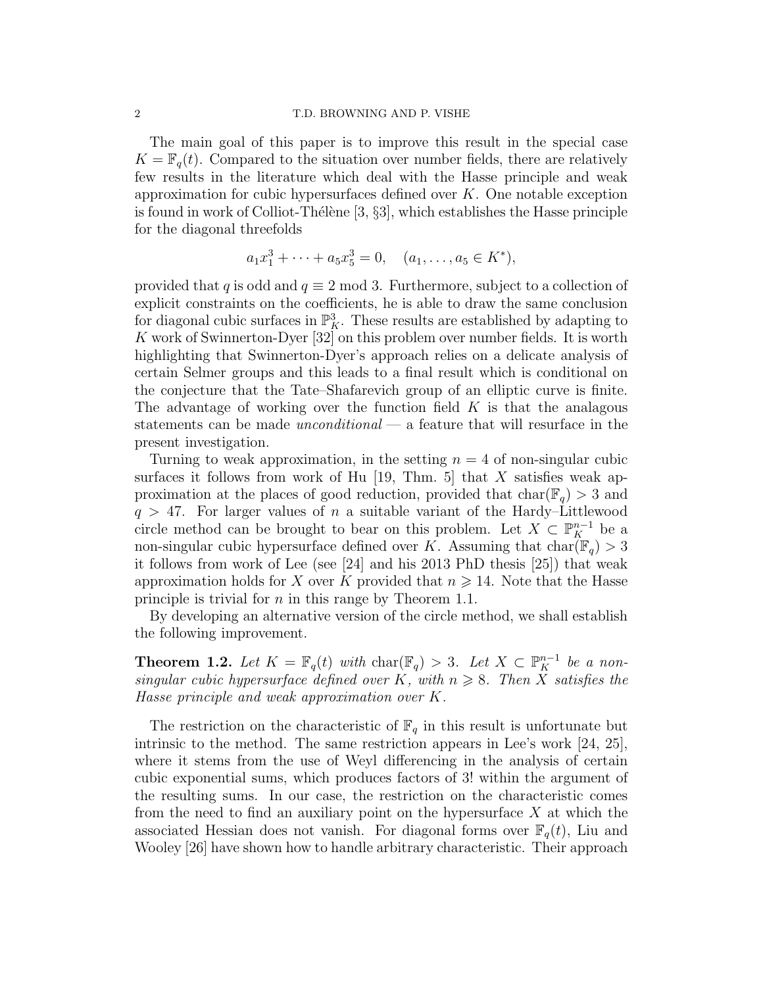#### 2 T.D. BROWNING AND P. VISHE

The main goal of this paper is to improve this result in the special case  $K = \mathbb{F}_q(t)$ . Compared to the situation over number fields, there are relatively few results in the literature which deal with the Hasse principle and weak approximation for cubic hypersurfaces defined over  $K$ . One notable exception is found in work of Colliot-Thélène  $[3, §3]$ , which establishes the Hasse principle for the diagonal threefolds

$$
a_1x_1^3 + \cdots + a_5x_5^3 = 0, \quad (a_1, \ldots, a_5 \in K^*),
$$

provided that q is odd and  $q \equiv 2 \mod 3$ . Furthermore, subject to a collection of explicit constraints on the coefficients, he is able to draw the same conclusion for diagonal cubic surfaces in  $\mathbb{P}^3$ . These results are established by adapting to K work of Swinnerton-Dyer [32] on this problem over number fields. It is worth highlighting that Swinnerton-Dyer's approach relies on a delicate analysis of certain Selmer groups and this leads to a final result which is conditional on the conjecture that the Tate–Shafarevich group of an elliptic curve is finite. The advantage of working over the function field  $K$  is that the analagous statements can be made  $unconditional$  — a feature that will resurface in the present investigation.

Turning to weak approximation, in the setting  $n = 4$  of non-singular cubic surfaces it follows from work of Hu [19, Thm. 5] that X satisfies weak approximation at the places of good reduction, provided that  $char(\mathbb{F}_q) > 3$  and  $q > 47$ . For larger values of n a suitable variant of the Hardy–Littlewood circle method can be brought to bear on this problem. Let  $X \subset \mathbb{P}_{K}^{n-1}$  be a non-singular cubic hypersurface defined over K. Assuming that  $char(\mathbb{F}_q) > 3$ it follows from work of Lee (see [24] and his 2013 PhD thesis [25]) that weak approximation holds for X over K provided that  $n \geq 14$ . Note that the Hasse principle is trivial for  $n$  in this range by Theorem 1.1.

By developing an alternative version of the circle method, we shall establish the following improvement.

**Theorem 1.2.** Let  $K = \mathbb{F}_q(t)$  with  $char(\mathbb{F}_q) > 3$ . Let  $X \subset \mathbb{P}_K^{n-1}$  be a nonsingular cubic hypersurface defined over K, with  $n \geq 8$ . Then X satisfies the Hasse principle and weak approximation over K.

The restriction on the characteristic of  $\mathbb{F}_q$  in this result is unfortunate but intrinsic to the method. The same restriction appears in Lee's work [24, 25], where it stems from the use of Weyl differencing in the analysis of certain cubic exponential sums, which produces factors of 3! within the argument of the resulting sums. In our case, the restriction on the characteristic comes from the need to find an auxiliary point on the hypersurface  $X$  at which the associated Hessian does not vanish. For diagonal forms over  $\mathbb{F}_q(t)$ , Liu and Wooley [26] have shown how to handle arbitrary characteristic. Their approach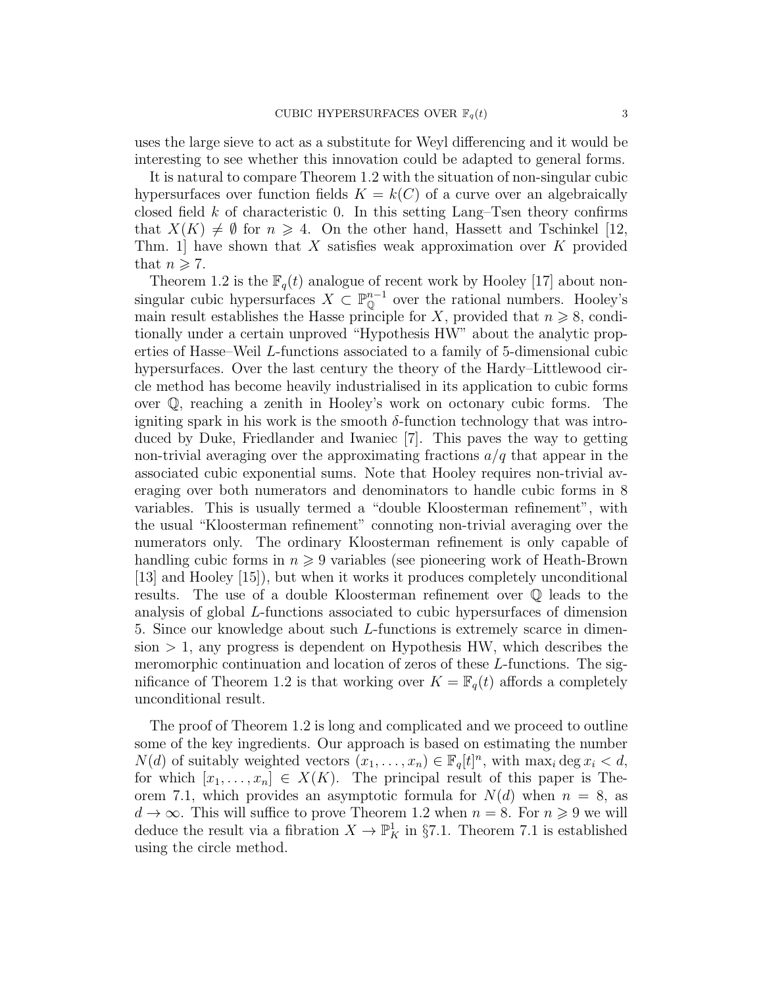uses the large sieve to act as a substitute for Weyl differencing and it would be interesting to see whether this innovation could be adapted to general forms.

It is natural to compare Theorem 1.2 with the situation of non-singular cubic hypersurfaces over function fields  $K = k(C)$  of a curve over an algebraically closed field  $k$  of characteristic 0. In this setting Lang–Tsen theory confirms that  $X(K) \neq \emptyset$  for  $n \geq 4$ . On the other hand, Hassett and Tschinkel [12, Thm. 1 have shown that X satisfies weak approximation over K provided that  $n \geqslant 7$ .

Theorem 1.2 is the  $\mathbb{F}_q(t)$  analogue of recent work by Hooley [17] about nonsingular cubic hypersurfaces  $X \subset \mathbb{P}_{\mathbb{Q}}^{n-1}$  over the rational numbers. Hooley's main result establishes the Hasse principle for X, provided that  $n \geq 8$ , conditionally under a certain unproved "Hypothesis HW" about the analytic properties of Hasse–Weil L-functions associated to a family of 5-dimensional cubic hypersurfaces. Over the last century the theory of the Hardy–Littlewood circle method has become heavily industrialised in its application to cubic forms over Q, reaching a zenith in Hooley's work on octonary cubic forms. The igniting spark in his work is the smooth  $\delta$ -function technology that was introduced by Duke, Friedlander and Iwaniec [7]. This paves the way to getting non-trivial averaging over the approximating fractions  $a/q$  that appear in the associated cubic exponential sums. Note that Hooley requires non-trivial averaging over both numerators and denominators to handle cubic forms in 8 variables. This is usually termed a "double Kloosterman refinement", with the usual "Kloosterman refinement" connoting non-trivial averaging over the numerators only. The ordinary Kloosterman refinement is only capable of handling cubic forms in  $n \geqslant 9$  variables (see pioneering work of Heath-Brown [13] and Hooley [15]), but when it works it produces completely unconditional results. The use of a double Kloosterman refinement over Q leads to the analysis of global L-functions associated to cubic hypersurfaces of dimension 5. Since our knowledge about such L-functions is extremely scarce in dimen $s$ ion  $> 1$ , any progress is dependent on Hypothesis HW, which describes the meromorphic continuation and location of zeros of these L-functions. The significance of Theorem 1.2 is that working over  $K = \mathbb{F}_q(t)$  affords a completely unconditional result.

The proof of Theorem 1.2 is long and complicated and we proceed to outline some of the key ingredients. Our approach is based on estimating the number  $N(d)$  of suitably weighted vectors  $(x_1, \ldots, x_n) \in \mathbb{F}_q[t]^n$ , with  $\max_i \deg x_i < d$ , for which  $[x_1, \ldots, x_n] \in X(K)$ . The principal result of this paper is Theorem 7.1, which provides an asymptotic formula for  $N(d)$  when  $n = 8$ , as  $d \to \infty$ . This will suffice to prove Theorem 1.2 when  $n = 8$ . For  $n \geq 9$  we will deduce the result via a fibration  $X \to \mathbb{P}^1_K$  in §7.1. Theorem 7.1 is established using the circle method.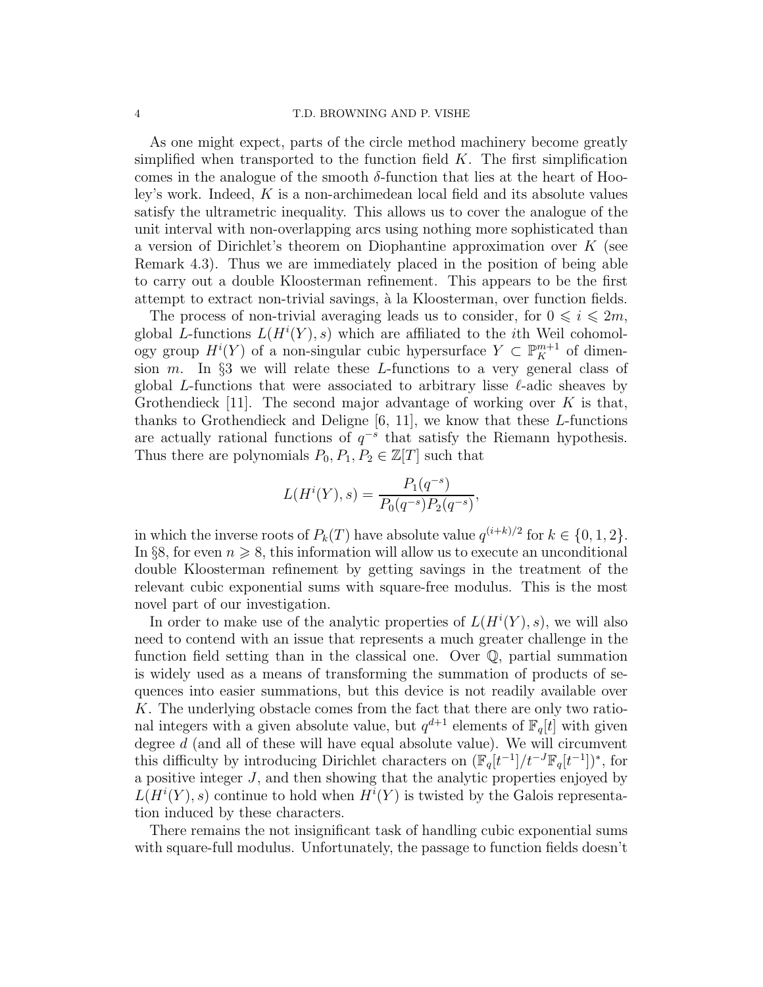#### 4 T.D. BROWNING AND P. VISHE

As one might expect, parts of the circle method machinery become greatly simplified when transported to the function field  $K$ . The first simplification comes in the analogue of the smooth  $\delta$ -function that lies at the heart of Hooley's work. Indeed,  $K$  is a non-archimedean local field and its absolute values satisfy the ultrametric inequality. This allows us to cover the analogue of the unit interval with non-overlapping arcs using nothing more sophisticated than a version of Dirichlet's theorem on Diophantine approximation over K (see Remark 4.3). Thus we are immediately placed in the position of being able to carry out a double Kloosterman refinement. This appears to be the first attempt to extract non-trivial savings, à la Kloosterman, over function fields.

The process of non-trivial averaging leads us to consider, for  $0 \le i \le 2m$ , global L-functions  $L(H^{i}(Y), s)$  which are affiliated to the *i*th Weil cohomology group  $H^i(Y)$  of a non-singular cubic hypersurface  $Y \subset \mathbb{P}^{m+1}_K$  of dimension  $m$ . In §3 we will relate these L-functions to a very general class of global L-functions that were associated to arbitrary lisse  $\ell$ -adic sheaves by Grothendieck [11]. The second major advantage of working over  $K$  is that, thanks to Grothendieck and Deligne  $[6, 11]$ , we know that these L-functions are actually rational functions of  $q^{-s}$  that satisfy the Riemann hypothesis. Thus there are polynomials  $P_0, P_1, P_2 \in \mathbb{Z}[T]$  such that

$$
L(H^{i}(Y), s) = \frac{P_1(q^{-s})}{P_0(q^{-s})P_2(q^{-s})},
$$

in which the inverse roots of  $P_k(T)$  have absolute value  $q^{(i+k)/2}$  for  $k \in \{0, 1, 2\}$ . In §8, for even  $n \geq 8$ , this information will allow us to execute an unconditional double Kloosterman refinement by getting savings in the treatment of the relevant cubic exponential sums with square-free modulus. This is the most novel part of our investigation.

In order to make use of the analytic properties of  $L(H^{i}(Y), s)$ , we will also need to contend with an issue that represents a much greater challenge in the function field setting than in the classical one. Over Q, partial summation is widely used as a means of transforming the summation of products of sequences into easier summations, but this device is not readily available over K. The underlying obstacle comes from the fact that there are only two rational integers with a given absolute value, but  $q^{d+1}$  elements of  $\mathbb{F}_q[t]$  with given degree  $d$  (and all of these will have equal absolute value). We will circumvent this difficulty by introducing Dirichlet characters on  $(\mathbb{F}_q[t^{-1}]/t^{-J}\mathbb{F}_q[t^{-1}])^*$ , for a positive integer J, and then showing that the analytic properties enjoyed by  $L(H^{i}(Y), s)$  continue to hold when  $H^{i}(Y)$  is twisted by the Galois representation induced by these characters.

There remains the not insignificant task of handling cubic exponential sums with square-full modulus. Unfortunately, the passage to function fields doesn't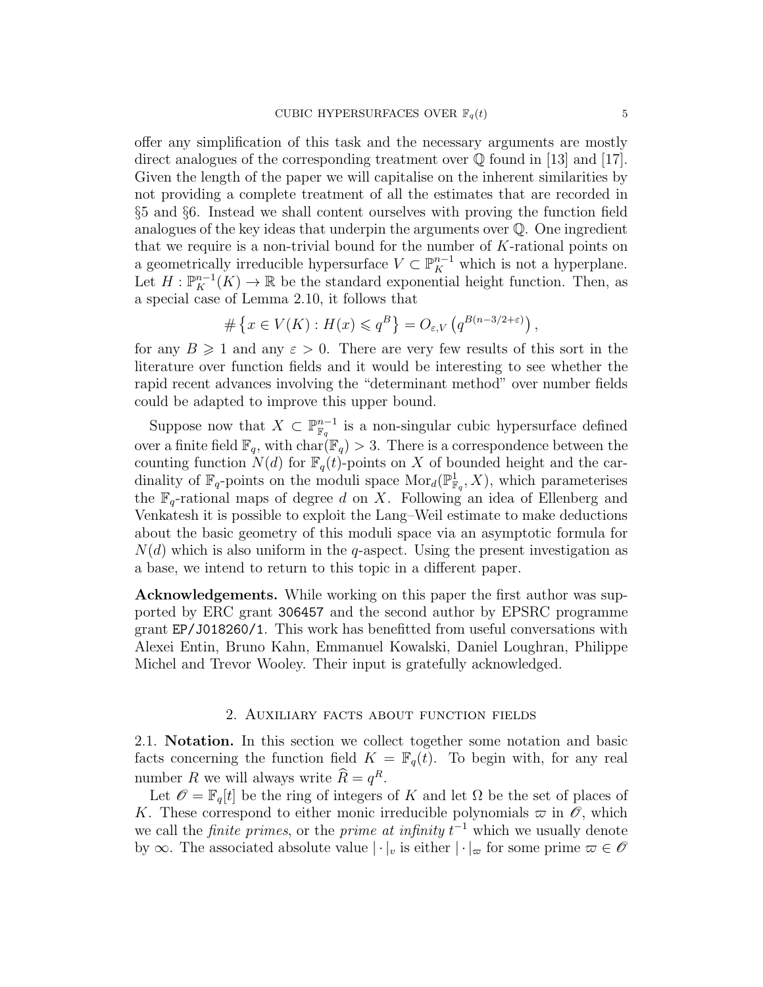offer any simplification of this task and the necessary arguments are mostly direct analogues of the corresponding treatment over  $\mathbb Q$  found in [13] and [17]. Given the length of the paper we will capitalise on the inherent similarities by not providing a complete treatment of all the estimates that are recorded in §5 and §6. Instead we shall content ourselves with proving the function field analogues of the key ideas that underpin the arguments over Q. One ingredient that we require is a non-trivial bound for the number of K-rational points on a geometrically irreducible hypersurface  $V \subset \mathbb{P}_{K}^{n-1}$  which is not a hyperplane. Let  $H: \mathbb{P}_{K}^{n-1}(K) \to \mathbb{R}$  be the standard exponential height function. Then, as a special case of Lemma 2.10, it follows that

$$
\# \left\{ x \in V(K) : H(x) \leqslant q^B \right\} = O_{\varepsilon, V} \left( q^{B(n-3/2+\varepsilon)} \right),
$$

for any  $B \geq 1$  and any  $\varepsilon > 0$ . There are very few results of this sort in the literature over function fields and it would be interesting to see whether the rapid recent advances involving the "determinant method" over number fields could be adapted to improve this upper bound.

Suppose now that  $X \subset \mathbb{P}_{\mathbb{F}_q}^{n-1}$  is a non-singular cubic hypersurface defined over a finite field  $\mathbb{F}_q$ , with  $char(\mathbb{F}_q) > 3$ . There is a correspondence between the counting function  $N(d)$  for  $\mathbb{F}_q(t)$ -points on X of bounded height and the cardinality of  $\mathbb{F}_q$ -points on the moduli space  $\text{Mor}_d(\mathbb{P}^1_{\mathbb{F}_q}, X)$ , which parameterises the  $\mathbb{F}_q$ -rational maps of degree d on X. Following an idea of Ellenberg and Venkatesh it is possible to exploit the Lang–Weil estimate to make deductions about the basic geometry of this moduli space via an asymptotic formula for  $N(d)$  which is also uniform in the q-aspect. Using the present investigation as a base, we intend to return to this topic in a different paper.

Acknowledgements. While working on this paper the first author was supported by ERC grant 306457 and the second author by EPSRC programme grant EP/J018260/1. This work has benefitted from useful conversations with Alexei Entin, Bruno Kahn, Emmanuel Kowalski, Daniel Loughran, Philippe Michel and Trevor Wooley. Their input is gratefully acknowledged.

# 2. Auxiliary facts about function fields

2.1. Notation. In this section we collect together some notation and basic facts concerning the function field  $K = \mathbb{F}_q(t)$ . To begin with, for any real number R we will always write  $R = q^R$ .

Let  $\mathscr{O} = \mathbb{F}_q[t]$  be the ring of integers of K and let  $\Omega$  be the set of places of K. These correspond to either monic irreducible polynomials  $\varpi$  in  $\mathscr O$ , which we call the *finite primes*, or the *prime at infinity*  $t^{-1}$  which we usually denote by  $\infty$ . The associated absolute value  $|\cdot|_v$  is either  $|\cdot|_{\infty}$  for some prime  $\varpi \in \mathscr{O}$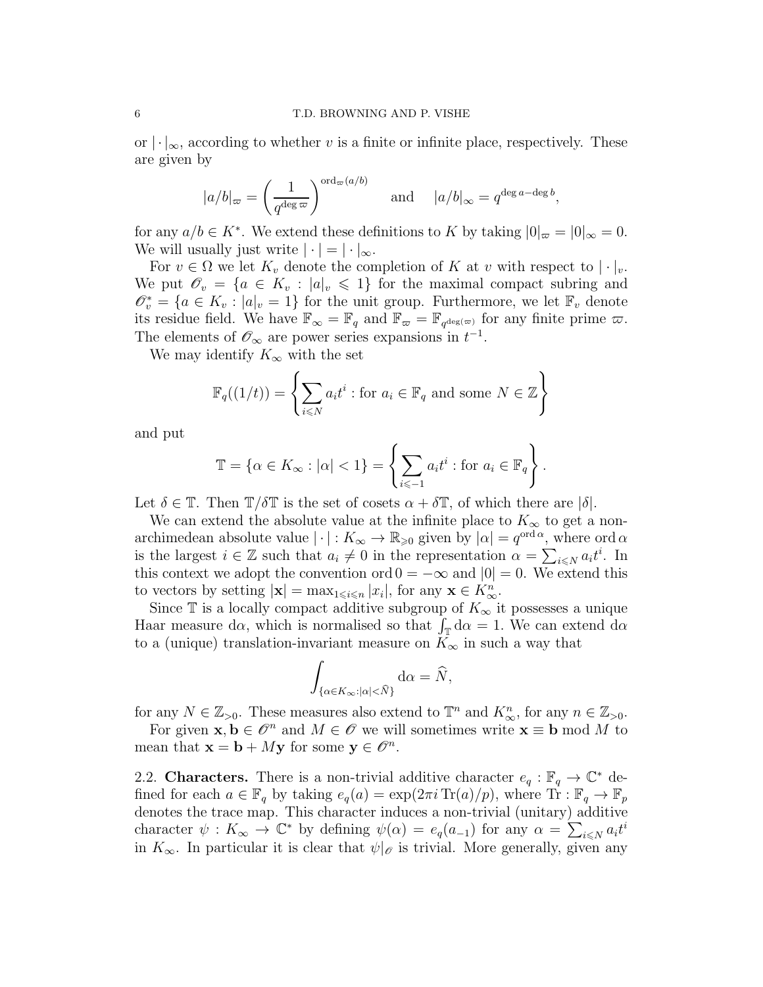or  $\lvert \cdot \rvert_{\infty}$ , according to whether v is a finite or infinite place, respectively. These are given by

$$
|a/b|_{\infty} = \left(\frac{1}{q^{\deg \varpi}}\right)^{\text{ord}_{\varpi}(a/b)}
$$
 and  $|a/b|_{\infty} = q^{\deg a - \deg b}$ ,

for any  $a/b \in K^*$ . We extend these definitions to K by taking  $|0|_{\infty} = |0|_{\infty} = 0$ . We will usually just write  $|\cdot| = |\cdot|_{\infty}$ .

For  $v \in \Omega$  we let  $K_v$  denote the completion of K at v with respect to  $|\cdot|_v$ . We put  $\mathscr{O}_v = \{a \in K_v : |a|_v \leq 1\}$  for the maximal compact subring and  $\mathscr{O}_v^* = \{a \in K_v : |a|_v = 1\}$  for the unit group. Furthermore, we let  $\mathbb{F}_v$  denote its residue field. We have  $\mathbb{F}_{\infty} = \mathbb{F}_q$  and  $\mathbb{F}_{\infty} = \mathbb{F}_{q^{\deg(\infty)}}$  for any finite prime  $\varpi$ . The elements of  $\mathscr{O}_{\infty}$  are power series expansions in  $t^{-1}$ .

We may identify  $K_{\infty}$  with the set

$$
\mathbb{F}_q((1/t)) = \left\{ \sum_{i \le N} a_i t^i : \text{for } a_i \in \mathbb{F}_q \text{ and some } N \in \mathbb{Z} \right\}
$$

and put

$$
\mathbb{T} = \{ \alpha \in K_{\infty} : |\alpha| < 1 \} = \left\{ \sum_{i \leq -1} a_i t^i : \text{for } a_i \in \mathbb{F}_q \right\}.
$$

Let  $\delta \in \mathbb{T}$ . Then  $\mathbb{T}/\delta \mathbb{T}$  is the set of cosets  $\alpha + \delta \mathbb{T}$ , of which there are  $|\delta|$ .

We can extend the absolute value at the infinite place to  $K_{\infty}$  to get a nonarchimedean absolute value  $|\cdot|: K_{\infty} \to \mathbb{R}_{\geqslant 0}$  given by  $|\alpha| = q^{\text{ord } \alpha}$ , where ord  $\alpha$ is the largest  $i \in \mathbb{Z}$  such that  $a_i \neq 0$  in the representation  $\alpha = \sum_{i \leq N} a_i t^i$ . In this context we adopt the convention ord  $0 = -\infty$  and  $|0| = 0$ . We extend this to vectors by setting  $|\mathbf{x}| = \max_{1 \leq i \leq n} |x_i|$ , for any  $\mathbf{x} \in K_\infty^n$ .

Since  $\mathbb T$  is a locally compact additive subgroup of  $K_{\infty}$  it possesses a unique Haar measure d $\alpha$ , which is normalised so that  $\int_{\mathbb{T}} d\alpha = 1$ . We can extend d $\alpha$ to a (unique) translation-invariant measure on  $K_{\infty}$  in such a way that

$$
\int_{\{\alpha \in K_\infty: |\alpha|<\widehat{N}\}} \mathrm{d}\alpha = \widehat{N},
$$

for any  $N \in \mathbb{Z}_{>0}$ . These measures also extend to  $\mathbb{T}^n$  and  $K_\infty^n$ , for any  $n \in \mathbb{Z}_{>0}$ .

For given  $x, b \in \mathcal{O}^n$  and  $M \in \mathcal{O}$  we will sometimes write  $x \equiv b \mod M$  to mean that  $\mathbf{x} = \mathbf{b} + M\mathbf{y}$  for some  $\mathbf{y} \in \mathscr{O}^n$ .

2.2. Characters. There is a non-trivial additive character  $e_q : \mathbb{F}_q \to \mathbb{C}^*$  defined for each  $a \in \mathbb{F}_q$  by taking  $e_q(a) = \exp(2\pi i \operatorname{Tr}(a)/p)$ , where  $\operatorname{Tr} : \mathbb{F}_q \to \mathbb{F}_p$ denotes the trace map. This character induces a non-trivial (unitary) additive character  $\psi: K_{\infty} \to \mathbb{C}^*$  by defining  $\psi(\alpha) = e_q(a_{-1})$  for any  $\alpha = \sum_{i \leq N} a_i t^i$ in  $K_{\infty}$ . In particular it is clear that  $\psi|_{\mathscr{O}}$  is trivial. More generally, given any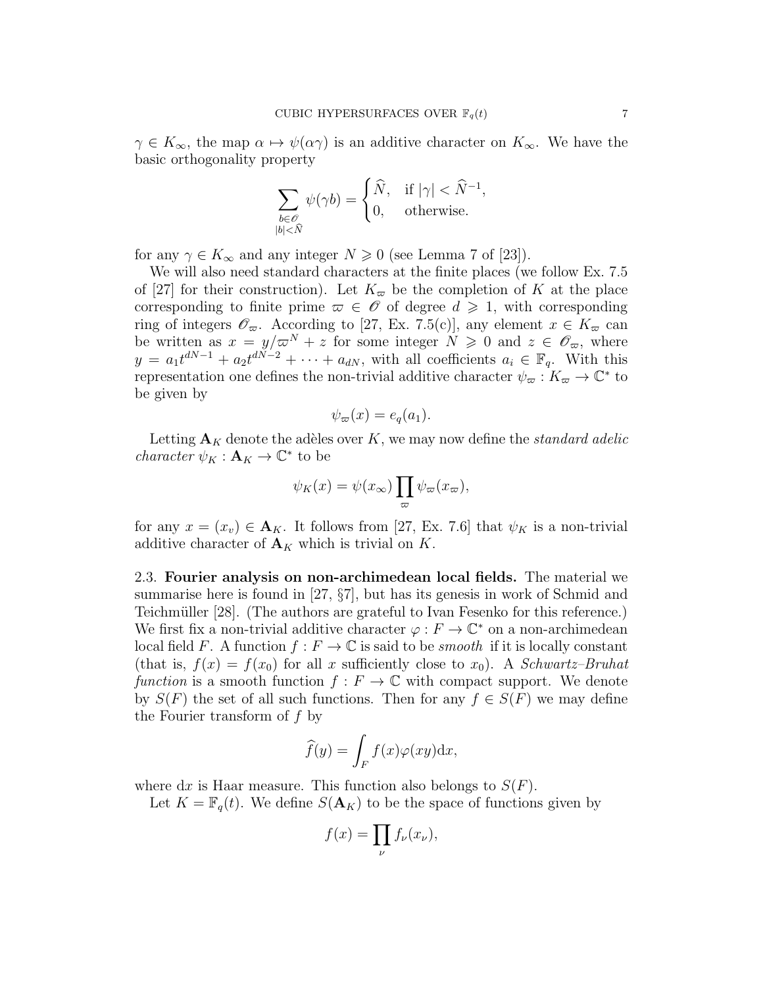$\gamma \in K_{\infty}$ , the map  $\alpha \mapsto \psi(\alpha \gamma)$  is an additive character on  $K_{\infty}$ . We have the basic orthogonality property

$$
\sum_{\substack{b \in \mathscr{O}\\|b| < \hat{N}}} \psi(\gamma b) = \begin{cases} \hat{N}, & \text{if } |\gamma| < \hat{N}^{-1}, \\ 0, & \text{otherwise.} \end{cases}
$$

for any  $\gamma \in K_{\infty}$  and any integer  $N \geq 0$  (see Lemma 7 of [23]).

We will also need standard characters at the finite places (we follow Ex. 7.5 of [27] for their construction). Let  $K_{\varpi}$  be the completion of K at the place corresponding to finite prime  $\varpi \in \mathscr{O}$  of degree  $d \geq 1$ , with corresponding ring of integers  $\mathscr{O}_{\varpi}$ . According to [27, Ex. 7.5(c)], any element  $x \in K_{\varpi}$  can be written as  $x = y/\varpi^{N} + z$  for some integer  $N \geq 0$  and  $z \in \mathscr{O}_{\varpi}$ , where  $y = a_1 t^{dN-1} + a_2 t^{dN-2} + \cdots + a_{dN}$ , with all coefficients  $a_i \in \mathbb{F}_q$ . With this representation one defines the non-trivial additive character  $\psi_{\varpi}: K_{\varpi} \to \mathbb{C}^*$  to be given by

$$
\psi_{\varpi}(x) = e_q(a_1).
$$

Letting  $\mathbf{A}_K$  denote the adèles over K, we may now define the *standard adelic character*  $\psi_K : \mathbf{A}_K \to \mathbb{C}^*$  to be

$$
\psi_K(x) = \psi(x_{\infty}) \prod_{\varpi} \psi_{\varpi}(x_{\varpi}),
$$

for any  $x = (x_v) \in A_K$ . It follows from [27, Ex. 7.6] that  $\psi_K$  is a non-trivial additive character of  $\mathbf{A}_K$  which is trivial on K.

2.3. Fourier analysis on non-archimedean local fields. The material we summarise here is found in [27, §7], but has its genesis in work of Schmid and Teichmüller [28]. (The authors are grateful to Ivan Fesenko for this reference.) We first fix a non-trivial additive character  $\varphi : F \to \mathbb{C}^*$  on a non-archimedean local field F. A function  $f : F \to \mathbb{C}$  is said to be *smooth* if it is locally constant (that is,  $f(x) = f(x_0)$  for all x sufficiently close to  $x_0$ ). A *Schwartz–Bruhat* function is a smooth function  $f : F \to \mathbb{C}$  with compact support. We denote by  $S(F)$  the set of all such functions. Then for any  $f \in S(F)$  we may define the Fourier transform of f by

$$
\widehat{f}(y) = \int_{F} f(x)\varphi(xy) \mathrm{d}x,
$$

where dx is Haar measure. This function also belongs to  $S(F)$ .

Let  $K = \mathbb{F}_q(t)$ . We define  $S(\mathbf{A}_K)$  to be the space of functions given by

$$
f(x) = \prod_{\nu} f_{\nu}(x_{\nu}),
$$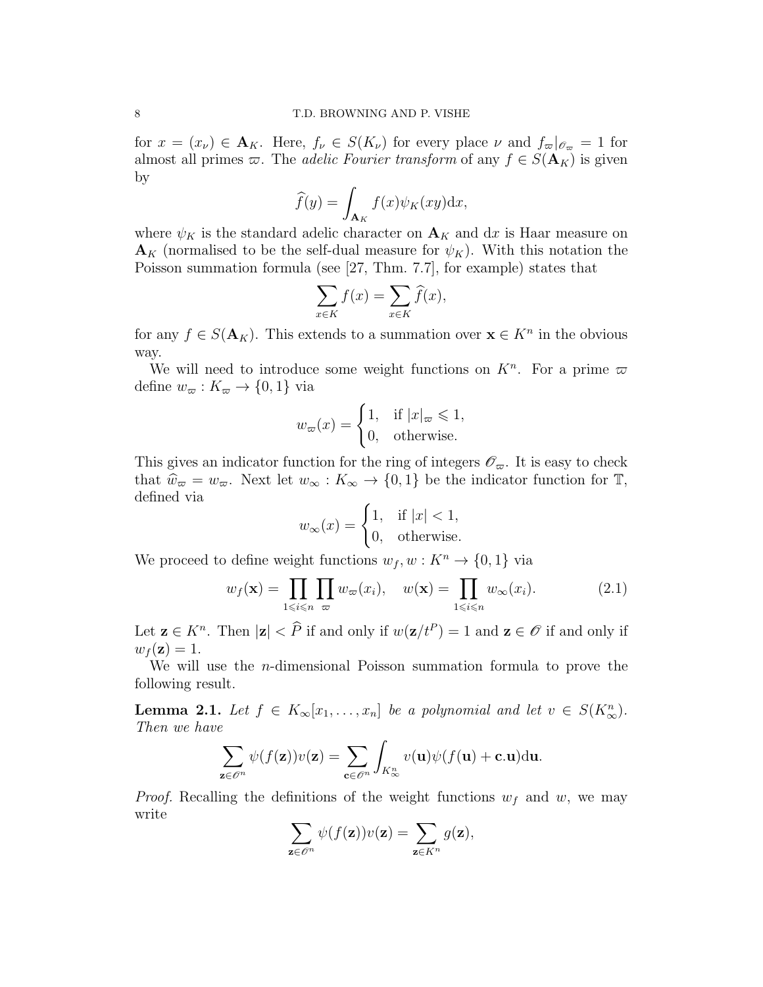for  $x = (x_{\nu}) \in \mathbf{A}_K$ . Here,  $f_{\nu} \in S(K_{\nu})$  for every place  $\nu$  and  $f_{\varpi}|_{\mathscr{O}_{\varpi}} = 1$  for almost all primes  $\varpi$ . The *adelic Fourier transform* of any  $f \in S(\mathbf{A}_K)$  is given by

$$
\widehat{f}(y) = \int_{\mathbf{A}_K} f(x) \psi_K(xy) dx,
$$

where  $\psi_K$  is the standard adelic character on  $\mathbf{A}_K$  and dx is Haar measure on  $\mathbf{A}_K$  (normalised to be the self-dual measure for  $\psi_K$ ). With this notation the Poisson summation formula (see [27, Thm. 7.7], for example) states that

$$
\sum_{x \in K} f(x) = \sum_{x \in K} \widehat{f}(x),
$$

for any  $f \in S(\mathbf{A}_K)$ . This extends to a summation over  $\mathbf{x} \in K^n$  in the obvious way.

We will need to introduce some weight functions on  $K<sup>n</sup>$ . For a prime  $\varpi$ define  $w_{\varpi}: K_{\varpi} \to \{0,1\}$  via

$$
w_{\varpi}(x) = \begin{cases} 1, & \text{if } |x|_{\varpi} \leq 1, \\ 0, & \text{otherwise.} \end{cases}
$$

This gives an indicator function for the ring of integers  $\mathscr{O}_{\varpi}$ . It is easy to check that  $\hat{w}_{\varpi} = w_{\varpi}$ . Next let  $w_{\infty} : K_{\infty} \to \{0, 1\}$  be the indicator function for  $\mathbb{T}$ , defined via

$$
w_{\infty}(x) = \begin{cases} 1, & \text{if } |x| < 1, \\ 0, & \text{otherwise.} \end{cases}
$$

We proceed to define weight functions  $w_f, w: K^n \to \{0, 1\}$  via

$$
w_f(\mathbf{x}) = \prod_{1 \le i \le n} \prod_{\varpi} w_{\varpi}(x_i), \quad w(\mathbf{x}) = \prod_{1 \le i \le n} w_{\infty}(x_i). \tag{2.1}
$$

Let  $\mathbf{z} \in K^n$ . Then  $|\mathbf{z}| < \widehat{P}$  if and only if  $w(\mathbf{z}/t^P) = 1$  and  $\mathbf{z} \in \mathscr{O}$  if and only if  $w_f(\mathbf{z}) = 1.$ 

We will use the *n*-dimensional Poisson summation formula to prove the following result.

**Lemma 2.1.** Let  $f \in K_\infty[x_1,\ldots,x_n]$  be a polynomial and let  $v \in S(K_\infty^n)$ . Then we have

$$
\sum_{\mathbf{z}\in\mathscr{O}^n}\psi(f(\mathbf{z}))v(\mathbf{z})=\sum_{\mathbf{c}\in\mathscr{O}^n}\int_{K^n_\infty}v(\mathbf{u})\psi(f(\mathbf{u})+\mathbf{c}.\mathbf{u})\mathrm{d}\mathbf{u}.
$$

*Proof.* Recalling the definitions of the weight functions  $w_f$  and w, we may write

$$
\sum_{\mathbf{z}\in\mathscr{O}^n}\psi(f(\mathbf{z}))v(\mathbf{z})=\sum_{\mathbf{z}\in K^n}g(\mathbf{z}),
$$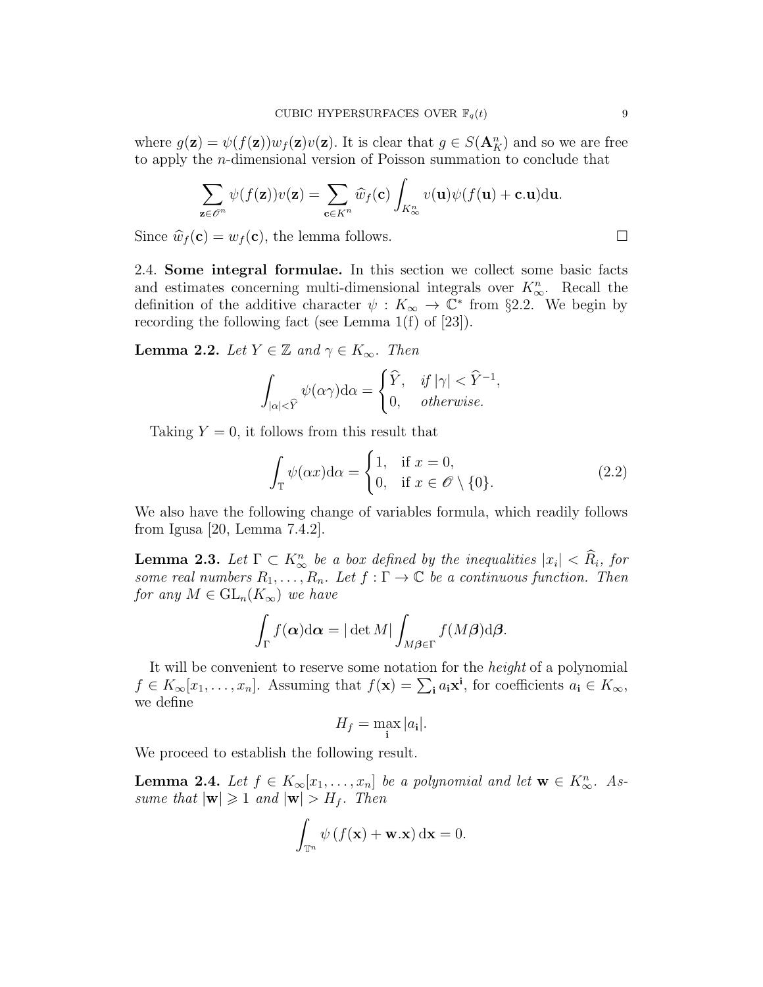where  $g(\mathbf{z}) = \psi(f(\mathbf{z})) w_f(\mathbf{z}) v(\mathbf{z})$ . It is clear that  $g \in S(\mathbf{A}_{K}^{n})$  and so we are free to apply the n-dimensional version of Poisson summation to conclude that

$$
\sum_{\mathbf{z}\in\mathscr{O}^n}\psi(f(\mathbf{z}))v(\mathbf{z})=\sum_{\mathbf{c}\in K^n}\widehat{w}_f(\mathbf{c})\int_{K^n_\infty}v(\mathbf{u})\psi(f(\mathbf{u})+\mathbf{c}.\mathbf{u})\mathrm{d}\mathbf{u}.
$$

Since  $\widehat{w}_f(\mathbf{c}) = w_f(\mathbf{c})$ , the lemma follows.

2.4. Some integral formulae. In this section we collect some basic facts and estimates concerning multi-dimensional integrals over  $K^n_{\infty}$ . Recall the definition of the additive character  $\psi: K_{\infty} \to \mathbb{C}^*$  from §2.2. We begin by recording the following fact (see Lemma 1(f) of [23]).

**Lemma 2.2.** Let  $Y \in \mathbb{Z}$  and  $\gamma \in K_{\infty}$ . Then

$$
\int_{|\alpha|<\widehat Y}\psi(\alpha\gamma){\rm d}\alpha=\begin{cases}\widehat Y,&\textit{if $|\gamma|<\widehat Y^{-1}$},\\ 0,&\textit{otherwise}.\end{cases}
$$

Taking  $Y = 0$ , it follows from this result that

$$
\int_{\mathbb{T}} \psi(\alpha x) d\alpha = \begin{cases} 1, & \text{if } x = 0, \\ 0, & \text{if } x \in \mathscr{O} \setminus \{0\}. \end{cases}
$$
\n(2.2)

We also have the following change of variables formula, which readily follows from Igusa [20, Lemma 7.4.2].

**Lemma 2.3.** Let  $\Gamma \subset K^n_{\infty}$  be a box defined by the inequalities  $|x_i| < R_i$ , for some real numbers  $R_1, \ldots, R_n$ . Let  $f : \Gamma \to \mathbb{C}$  be a continuous function. Then for any  $M \in GL_n(K_\infty)$  we have

$$
\int_{\Gamma} f(\boldsymbol{\alpha}) \mathrm{d} \boldsymbol{\alpha} = |\det M| \int_{M \boldsymbol{\beta} \in \Gamma} f(M \boldsymbol{\beta}) \mathrm{d} \boldsymbol{\beta}.
$$

It will be convenient to reserve some notation for the height of a polynomial  $f \in K_{\infty}[x_1,\ldots,x_n]$ . Assuming that  $f(\mathbf{x}) = \sum_i a_i \mathbf{x}^i$ , for coefficients  $a_i \in K_{\infty}$ , we define

$$
H_f = \max_{\mathbf{i}} |a_{\mathbf{i}}|.
$$

We proceed to establish the following result.

**Lemma 2.4.** Let  $f \in K_\infty[x_1,\ldots,x_n]$  be a polynomial and let  $\mathbf{w} \in K_\infty^n$ . Assume that  $|\mathbf{w}| \geq 1$  and  $|\mathbf{w}| > H_f$ . Then

$$
\int_{\mathbb{T}^n} \psi \left( f(\mathbf{x}) + \mathbf{w} . \mathbf{x} \right) d\mathbf{x} = 0.
$$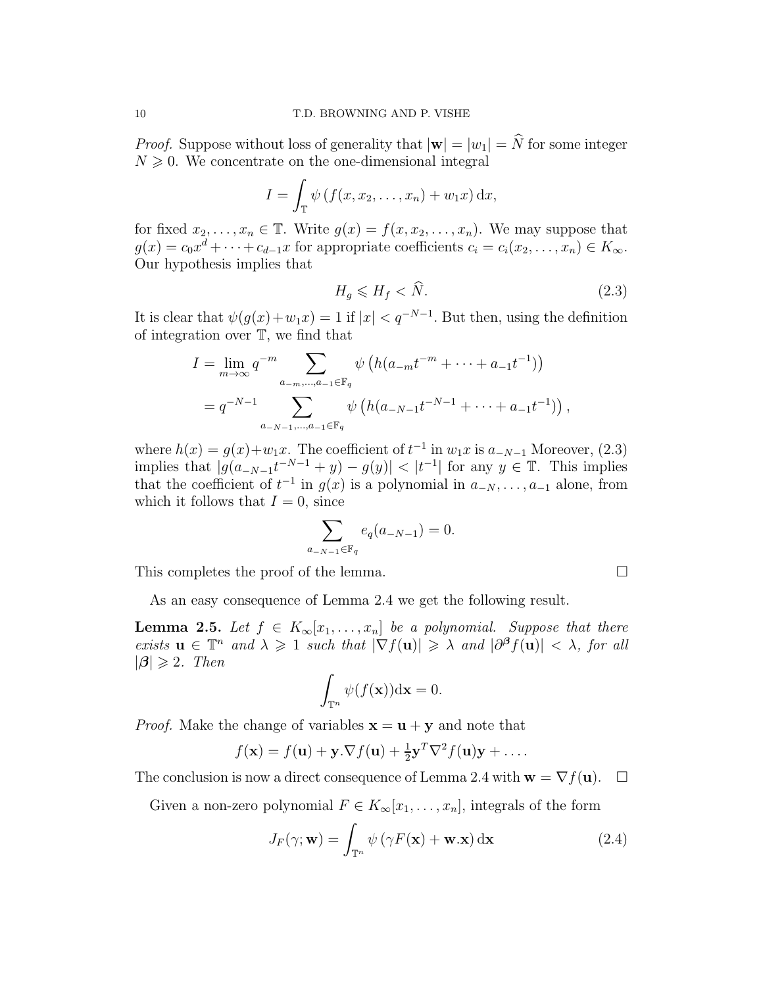*Proof.* Suppose without loss of generality that  $|\mathbf{w}| = |w_1| = \hat{N}$  for some integer  $N \geqslant 0$ . We concentrate on the one-dimensional integral

$$
I = \int_{\mathbb{T}} \psi \left( f(x, x_2, \dots, x_n) + w_1 x \right) \mathrm{d}x,
$$

for fixed  $x_2, \ldots, x_n \in \mathbb{T}$ . Write  $g(x) = f(x, x_2, \ldots, x_n)$ . We may suppose that  $g(x) = c_0 x^d + \cdots + c_{d-1} x$  for appropriate coefficients  $c_i = c_i(x_2, \ldots, x_n) \in K_\infty$ . Our hypothesis implies that

$$
H_g \le H_f < \hat{N}.\tag{2.3}
$$

It is clear that  $\psi(g(x)+w_1x)=1$  if  $|x|< q^{-N-1}$ . But then, using the definition of integration over T, we find that

$$
I = \lim_{m \to \infty} q^{-m} \sum_{a_{-m}, \dots, a_{-1} \in \mathbb{F}_q} \psi \left( h(a_{-m}t^{-m} + \dots + a_{-1}t^{-1}) \right)
$$
  
=  $q^{-N-1} \sum_{a_{-N-1}, \dots, a_{-1} \in \mathbb{F}_q} \psi \left( h(a_{-N-1}t^{-N-1} + \dots + a_{-1}t^{-1}) \right),$ 

where  $h(x) = g(x)+w_1x$ . The coefficient of  $t^{-1}$  in  $w_1x$  is  $a_{-N-1}$  Moreover, (2.3) implies that  $|g(a_{-N-1}t^{-N-1} + y) - g(y)| < |t^{-1}|$  for any  $y \in \mathbb{T}$ . This implies that the coefficient of  $t^{-1}$  in  $g(x)$  is a polynomial in  $a_{-N}, \ldots, a_{-1}$  alone, from which it follows that  $I = 0$ , since

$$
\sum_{a_{-N-1}\in \mathbb{F}_q} e_q(a_{-N-1}) = 0.
$$

This completes the proof of the lemma.  $\square$ 

As an easy consequence of Lemma 2.4 we get the following result.

**Lemma 2.5.** Let  $f \in K_\infty[x_1,\ldots,x_n]$  be a polynomial. Suppose that there exists  $\mathbf{u} \in \mathbb{T}^n$  and  $\lambda \geq 1$  such that  $|\nabla f(\mathbf{u})| \geq \lambda$  and  $|\partial^{\beta} f(\mathbf{u})| < \lambda$ , for all  $|\boldsymbol{\beta}| \geqslant 2$ . Then

$$
\int_{\mathbb{T}^n} \psi(f(\mathbf{x})) \mathrm{d}\mathbf{x} = 0.
$$

*Proof.* Make the change of variables  $\mathbf{x} = \mathbf{u} + \mathbf{y}$  and note that

$$
f(\mathbf{x}) = f(\mathbf{u}) + \mathbf{y} \cdot \nabla f(\mathbf{u}) + \frac{1}{2} \mathbf{y}^T \nabla^2 f(\mathbf{u}) \mathbf{y} + \dots
$$

The conclusion is now a direct consequence of Lemma 2.4 with  $\mathbf{w} = \nabla f(\mathbf{u})$ .  $\Box$ 

Given a non-zero polynomial  $F \in K_\infty[x_1,\ldots,x_n]$ , integrals of the form

$$
J_F(\gamma; \mathbf{w}) = \int_{\mathbb{T}^n} \psi \left( \gamma F(\mathbf{x}) + \mathbf{w} . \mathbf{x} \right) d\mathbf{x}
$$
 (2.4)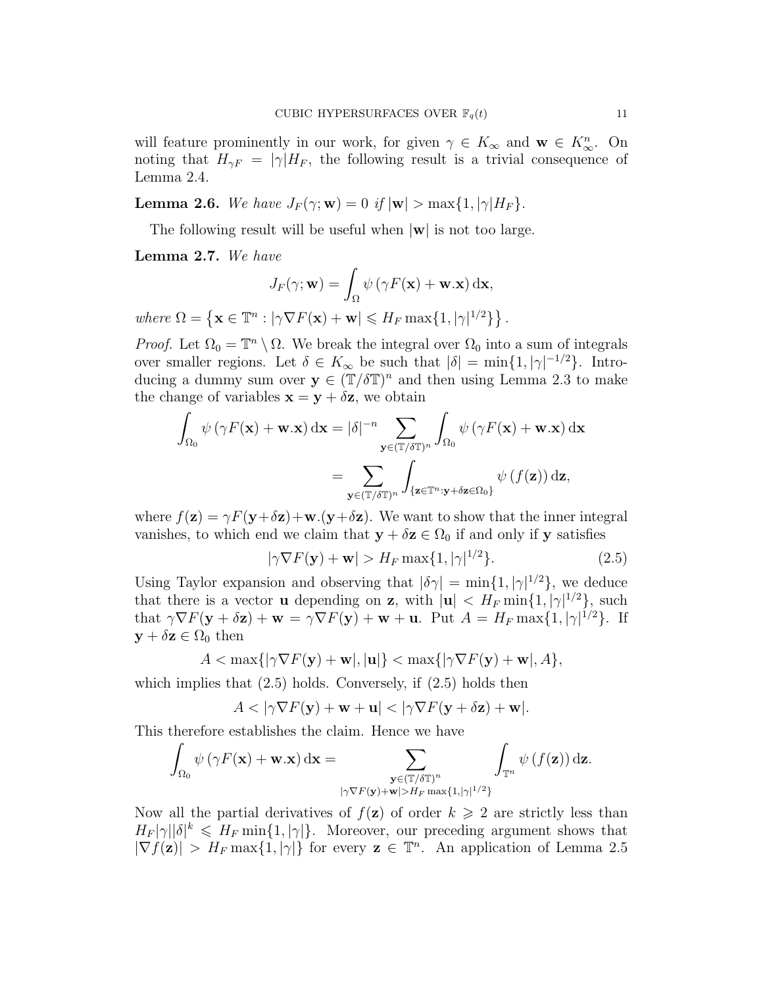will feature prominently in our work, for given  $\gamma \in K_{\infty}$  and  $\mathbf{w} \in K_{\infty}^n$ . On noting that  $H_{\gamma F} = |\gamma| H_F$ , the following result is a trivial consequence of Lemma 2.4.

**Lemma 2.6.** We have  $J_F(\gamma; \mathbf{w}) = 0$  if  $|\mathbf{w}| > \max\{1, |\gamma|H_F\}$ .

The following result will be useful when  $|\mathbf{w}|$  is not too large.

Lemma 2.7. We have

$$
J_F(\gamma; \mathbf{w}) = \int_{\Omega} \psi (\gamma F(\mathbf{x}) + \mathbf{w}.\mathbf{x}) \, \mathrm{d}\mathbf{x},
$$
  
where  $\Omega = \{ \mathbf{x} \in \mathbb{T}^n : |\gamma \nabla F(\mathbf{x}) + \mathbf{w}| \leqslant H_F \max\{1, |\gamma|^{1/2}\} \}$ 

*Proof.* Let  $\Omega_0 = \mathbb{T}^n \setminus \Omega$ . We break the integral over  $\Omega_0$  into a sum of integrals over smaller regions. Let  $\delta \in K_{\infty}$  be such that  $|\delta| = \min\{1, |\gamma|^{-1/2}\}.$  Introducing a dummy sum over  $y \in (\mathbb{T}/\delta \mathbb{T})^n$  and then using Lemma 2.3 to make the change of variables  $\mathbf{x} = \mathbf{y} + \delta \mathbf{z}$ , we obtain

$$
\int_{\Omega_0} \psi (\gamma F(\mathbf{x}) + \mathbf{w}.\mathbf{x}) d\mathbf{x} = |\delta|^{-n} \sum_{\mathbf{y} \in (\mathbb{T}/\delta \mathbb{T})^n} \int_{\Omega_0} \psi (\gamma F(\mathbf{x}) + \mathbf{w}.\mathbf{x}) d\mathbf{x}
$$

$$
= \sum_{\mathbf{y} \in (\mathbb{T}/\delta \mathbb{T})^n} \int_{\{\mathbf{z} \in \mathbb{T}^n : \mathbf{y} + \delta \mathbf{z} \in \Omega_0\}} \psi (f(\mathbf{z})) d\mathbf{z},
$$

where  $f(\mathbf{z}) = \gamma F(\mathbf{y} + \delta \mathbf{z}) + \mathbf{w}.(\mathbf{y} + \delta \mathbf{z})$ . We want to show that the inner integral vanishes, to which end we claim that  $y + \delta z \in \Omega_0$  if and only if y satisfies

$$
|\gamma \nabla F(\mathbf{y}) + \mathbf{w}| > H_F \max\{1, |\gamma|^{1/2}\}.
$$
 (2.5)

.

Using Taylor expansion and observing that  $|\delta \gamma| = \min\{1, |\gamma|^{1/2}\}\,$ , we deduce that there is a vector **u** depending on **z**, with  $|\mathbf{u}| < H_F \min\{1, |\gamma|^{1/2}\}\$ , such that  $\gamma \nabla F(\mathbf{y} + \delta \mathbf{z}) + \mathbf{w} = \gamma \nabla F(\mathbf{y}) + \mathbf{w} + \mathbf{u}$ . Put  $A = H_F \max\{1, |\gamma|^{1/2}\}$ . If  $y + \delta z \in \Omega_0$  then

$$
A<\max\{|\gamma\nabla F(\mathbf{y})+\mathbf{w}|,|\mathbf{u}|\}<\max\{|\gamma\nabla F(\mathbf{y})+\mathbf{w}|,A\},
$$

which implies that  $(2.5)$  holds. Conversely, if  $(2.5)$  holds then

$$
A < |\gamma \nabla F(\mathbf{y}) + \mathbf{w} + \mathbf{u}| < |\gamma \nabla F(\mathbf{y} + \delta \mathbf{z}) + \mathbf{w}|.
$$

This therefore establishes the claim. Hence we have

$$
\int_{\Omega_0} \psi(\gamma F(\mathbf{x}) + \mathbf{w}.\mathbf{x}) \, \mathrm{d}\mathbf{x} = \sum_{\substack{\mathbf{y} \in (\mathbb{T}/\delta \mathbb{T})^n \\ |\gamma \nabla F(\mathbf{y}) + \mathbf{w}| > H_F \max\{1, |\gamma|^{1/2}\}}} \int_{\mathbb{T}^n} \psi(f(\mathbf{z})) \, \mathrm{d}\mathbf{z}.
$$

Now all the partial derivatives of  $f(\mathbf{z})$  of order  $k \geqslant 2$  are strictly less than  $H_F |\gamma||\delta|^k \leq H_F \min\{1, |\gamma|\}.$  Moreover, our preceding argument shows that  $|\nabla f(\mathbf{z})| > H_F \max\{1, |\gamma|\}\$  for every  $\mathbf{z} \in \mathbb{T}^n$ . An application of Lemma 2.5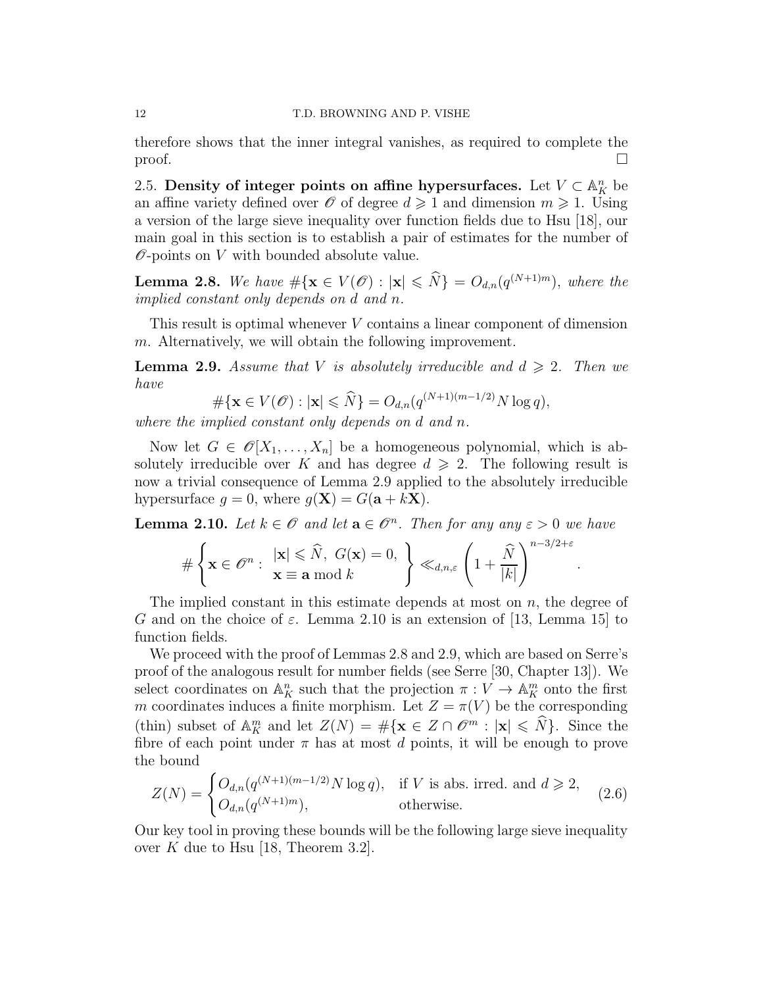therefore shows that the inner integral vanishes, as required to complete the  $\Box$ 

2.5. Density of integer points on affine hypersurfaces. Let  $V \subset \mathbb{A}^n_K$  be an affine variety defined over  $\mathscr O$  of degree  $d \geq 1$  and dimension  $m \geq 1$ . Using a version of the large sieve inequality over function fields due to Hsu [18], our main goal in this section is to establish a pair of estimates for the number of  $\mathscr O$ -points on V with bounded absolute value.

**Lemma 2.8.** We have  $\#\{\mathbf{x} \in V(\mathscr{O}) : |\mathbf{x}| \leq \widehat{N}\} = O_{d,n}(q^{(N+1)m})$ , where the implied constant only depends on d and n.

This result is optimal whenever V contains a linear component of dimension  $m$ . Alternatively, we will obtain the following improvement.

**Lemma 2.9.** Assume that V is absolutely irreducible and  $d \geq 2$ . Then we have

$$
\#\{\mathbf{x}\in V(\mathscr{O}): |\mathbf{x}|\leqslant \widehat{N}\} = O_{d,n}(q^{(N+1)(m-1/2)}N\log q),
$$

where the implied constant only depends on d and n.

Now let  $G \in \mathcal{O}[X_1,\ldots,X_n]$  be a homogeneous polynomial, which is absolutely irreducible over K and has degree  $d \geq 2$ . The following result is now a trivial consequence of Lemma 2.9 applied to the absolutely irreducible hypersurface  $g = 0$ , where  $g(\mathbf{X}) = G(\mathbf{a} + k\mathbf{X})$ .

**Lemma 2.10.** Let  $k \in \mathcal{O}$  and let  $\mathbf{a} \in \mathcal{O}^n$ . Then for any any  $\varepsilon > 0$  we have

$$
\#\left\{\mathbf{x}\in\mathscr{O}^n:\ \frac{|\mathbf{x}|\leqslant\widehat{N},\ G(\mathbf{x})=0,}{\mathbf{x}\equiv\mathbf{a}\bmod k}\right\}\ll_{d,n,\varepsilon}\left(1+\frac{\widehat{N}}{|k|}\right)^{n-3/2+\varepsilon}
$$

.

The implied constant in this estimate depends at most on  $n$ , the degree of G and on the choice of  $\varepsilon$ . Lemma 2.10 is an extension of [13, Lemma 15] to function fields.

We proceed with the proof of Lemmas 2.8 and 2.9, which are based on Serre's proof of the analogous result for number fields (see Serre [30, Chapter 13]). We select coordinates on  $\mathbb{A}_{K}^{n}$  such that the projection  $\pi: V \to \mathbb{A}_{K}^{m}$  onto the first m coordinates induces a finite morphism. Let  $Z = \pi(V)$  be the corresponding (thin) subset of  $\mathbb{A}_{K}^{m}$  and let  $Z(N) = \#\{\mathbf{x} \in Z \cap \mathscr{O}^{m} : |\mathbf{x}| \leq \widehat{N}\}\.$  Since the fibre of each point under  $\pi$  has at most d points, it will be enough to prove the bound

$$
Z(N) = \begin{cases} O_{d,n}(q^{(N+1)(m-1/2)}N \log q), & \text{if } V \text{ is abs. irred. and } d \geqslant 2, \\ O_{d,n}(q^{(N+1)m}), & \text{otherwise.} \end{cases}
$$
(2.6)

Our key tool in proving these bounds will be the following large sieve inequality over K due to Hsu [18, Theorem 3.2].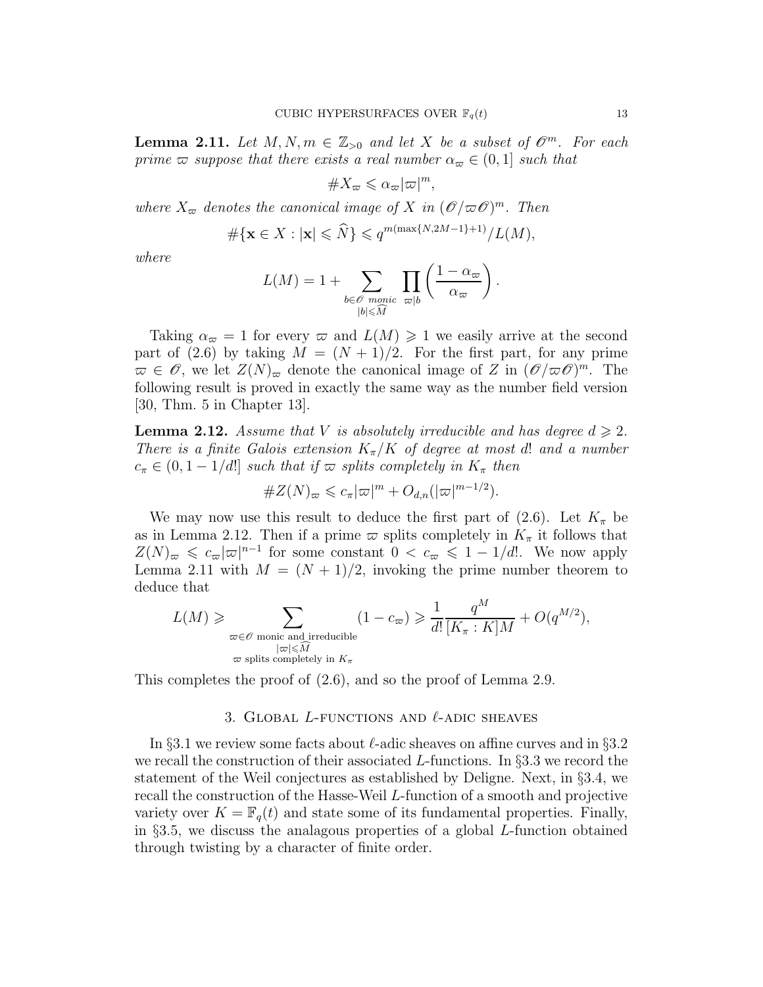**Lemma 2.11.** Let  $M, N, m \in \mathbb{Z}_{>0}$  and let X be a subset of  $\mathcal{O}^m$ . For each prime  $\varpi$  suppose that there exists a real number  $\alpha_{\varpi} \in (0,1]$  such that

$$
\#X_\varpi \leqslant \alpha_\varpi |\varpi|^m,
$$

where  $X_{\varpi}$  denotes the canonical image of X in  $(\mathscr{O}/\varpi\mathscr{O})^m$ . Then

$$
\#\{\mathbf{x}\in X: |\mathbf{x}|\leqslant \widehat{N}\}\leqslant q^{m(\max\{N,2M-1\}+1)}/L(M),
$$

where

$$
L(M) = 1 + \sum_{\substack{b \in \mathscr{O} \text{ monic } \omega | b}} \prod_{\substack{\varpi | b}} \left( \frac{1 - \alpha_{\varpi}}{\alpha_{\varpi}} \right).
$$

Taking  $\alpha_{\varpi} = 1$  for every  $\varpi$  and  $L(M) \geq 1$  we easily arrive at the second part of (2.6) by taking  $M = (N + 1)/2$ . For the first part, for any prime  $\overline{\omega} \in \mathscr{O}$ , we let  $Z(N)_{\overline{\omega}}$  denote the canonical image of Z in  $(\mathscr{O}/\overline{\omega}\mathscr{O})^m$ . The following result is proved in exactly the same way as the number field version [30, Thm. 5 in Chapter 13].

**Lemma 2.12.** Assume that V is absolutely irreducible and has degree  $d \geqslant 2$ . There is a finite Galois extension  $K_{\pi}/K$  of degree at most d! and a number  $c_{\pi} \in (0, 1-1/d!)$  such that if  $\varpi$  splits completely in  $K_{\pi}$  then

$$
\#Z(N)_{\varpi} \leqslant c_{\pi} |\varpi|^m + O_{d,n}(|\varpi|^{m-1/2}).
$$

We may now use this result to deduce the first part of (2.6). Let  $K_{\pi}$  be as in Lemma 2.12. Then if a prime  $\varpi$  splits completely in  $K_{\pi}$  it follows that  $Z(N)_{\varpi} \leqslant c_{\varpi} |\varpi|^{n-1}$  for some constant  $0 < c_{\varpi} \leqslant 1 - 1/d!$ . We now apply Lemma 2.11 with  $M = (N + 1)/2$ , invoking the prime number theorem to deduce that

$$
L(M) \geqslant \sum_{\substack{\varpi \in \mathscr{O} \text{ monic and irreducible} \\ |\varpi| \leqslant \widehat{M} \\ \varpi \text{ splits completely in } K_{\pi}}} (1 - c_{\varpi}) \geqslant \frac{1}{d!} \frac{q^M}{[K_{\pi} : K]M} + O(q^{M/2}),
$$

This completes the proof of (2.6), and so the proof of Lemma 2.9.

#### 3. GLOBAL L-FUNCTIONS AND  $\ell$ -ADIC SHEAVES

In §3.1 we review some facts about  $\ell$ -adic sheaves on affine curves and in §3.2 we recall the construction of their associated  $L$ -functions. In §3.3 we record the statement of the Weil conjectures as established by Deligne. Next, in §3.4, we recall the construction of the Hasse-Weil L-function of a smooth and projective variety over  $K = \mathbb{F}_q(t)$  and state some of its fundamental properties. Finally, in  $\S 3.5$ , we discuss the analagous properties of a global L-function obtained through twisting by a character of finite order.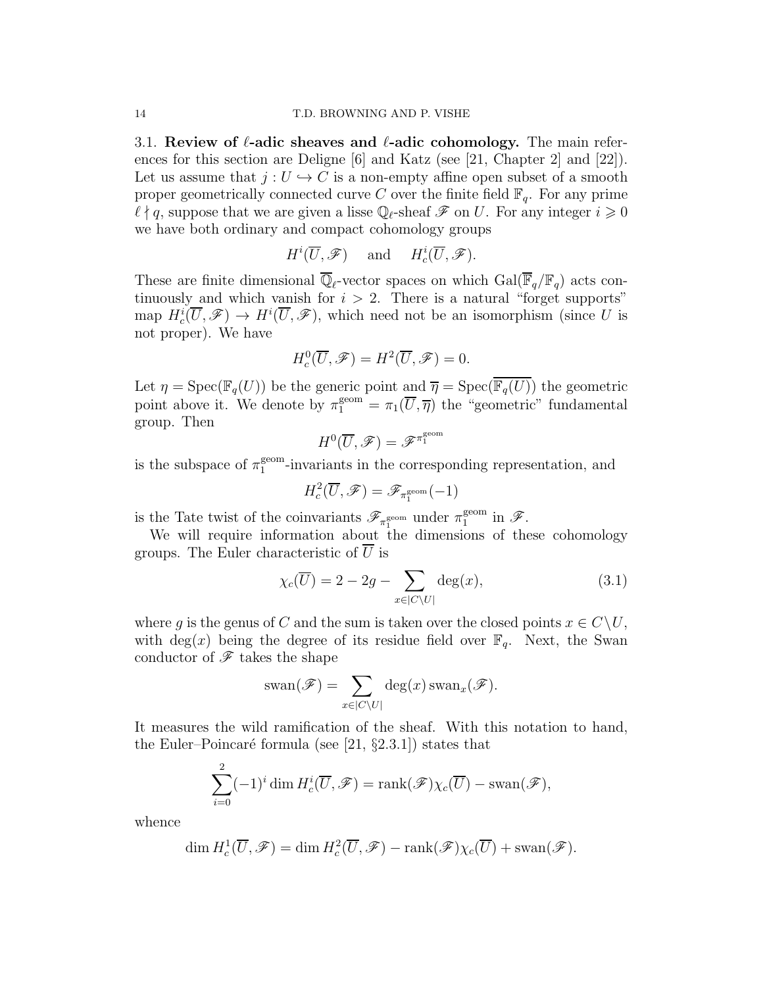3.1. Review of  $\ell$ -adic sheaves and  $\ell$ -adic cohomology. The main references for this section are Deligne [6] and Katz (see [21, Chapter 2] and [22]). Let us assume that  $j: U \hookrightarrow C$  is a non-empty affine open subset of a smooth proper geometrically connected curve C over the finite field  $\mathbb{F}_q$ . For any prime  $\ell \nmid q$ , suppose that we are given a lisse  $\mathbb{Q}_{\ell}$ -sheaf  $\mathscr{F}$  on U. For any integer  $i \geqslant 0$ we have both ordinary and compact cohomology groups

$$
H^i(\overline{U}, \mathscr{F}) \quad \text{and} \quad H^i_c(\overline{U}, \mathscr{F}).
$$

These are finite dimensional  $\mathbb{Q}_\ell$ -vector spaces on which  $Gal(\mathbb{F}_q/\mathbb{F}_q)$  acts continuously and which vanish for  $i > 2$ . There is a natural "forget supports" map  $H_c^i(\overline{U}, \mathscr{F}) \to H^i(\overline{U}, \mathscr{F})$ , which need not be an isomorphism (since U is not proper). We have

$$
H_c^0(\overline{U}, \mathscr{F}) = H^2(\overline{U}, \mathscr{F}) = 0.
$$

Let  $\eta = \text{Spec}(\mathbb{F}_q(U))$  be the generic point and  $\overline{\eta} = \text{Spec}(\overline{\mathbb{F}_q(U)})$  the geometric point above it. We denote by  $\pi_1^{\text{geom}} = \pi_1(\overline{U}, \overline{\eta})$  the "geometric" fundamental group. Then

$$
H^0(\overline{U}, \mathscr{F}) = \mathscr{F}^{\pi_1^{\text{geom}}}
$$

is the subspace of  $\pi_1^{\text{geom}}$ <sup>geom</sup>-invariants in the corresponding representation, and

$$
H^2_c(\overline{U}, \mathscr{F}) = \mathscr{F}_{\pi_1^{\text{geom}}}(-1)
$$

is the Tate twist of the coinvariants  $\mathscr{F}_{\pi_1^{\text{geom}}}$  under  $\pi_1^{\text{geom}}$  $_1^{\text{geom}}$  in  $\mathscr{F}.$ 

We will require information about the dimensions of these cohomology groups. The Euler characteristic of  $U$  is

$$
\chi_c(\overline{U}) = 2 - 2g - \sum_{x \in |C \setminus U|} \deg(x),\tag{3.1}
$$

where g is the genus of C and the sum is taken over the closed points  $x \in C\backslash U$ , with deg(x) being the degree of its residue field over  $\mathbb{F}_q$ . Next, the Swan conductor of  ${\mathscr{F}}$  takes the shape

$$
swap(\mathscr{F}) = \sum_{x \in |C \setminus U|} \deg(x) \, \text{swap}_x(\mathscr{F}).
$$

It measures the wild ramification of the sheaf. With this notation to hand, the Euler–Poincaré formula (see [21,  $\S 2.3.1$ ]) states that

$$
\sum_{i=0}^{2} (-1)^{i} \dim H_{c}^{i}(\overline{U}, \mathscr{F}) = \operatorname{rank}(\mathscr{F}) \chi_{c}(\overline{U}) - \operatorname{swap}(\mathscr{F}),
$$

whence

$$
\dim H_c^1(\overline{U}, \mathscr{F}) = \dim H_c^2(\overline{U}, \mathscr{F}) - \operatorname{rank}(\mathscr{F}) \chi_c(\overline{U}) + \operatorname{swap}(\mathscr{F}).
$$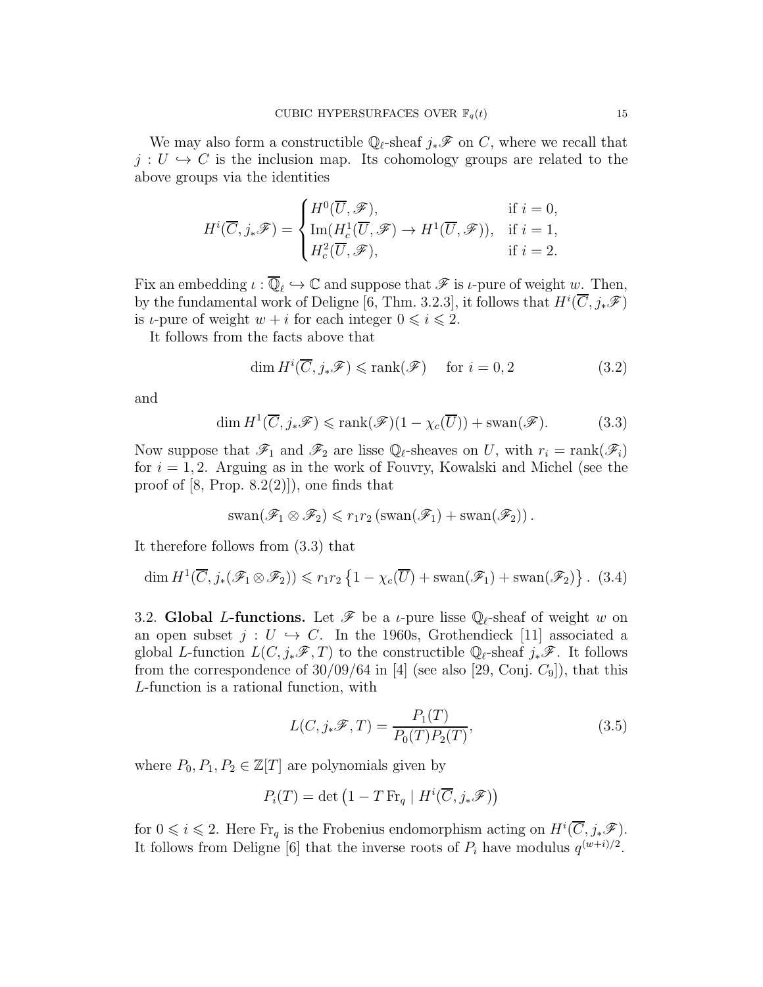We may also form a constructible  $\mathbb{Q}_{\ell}$ -sheaf  $j_*\mathscr{F}$  on C, where we recall that  $j: U \hookrightarrow C$  is the inclusion map. Its cohomology groups are related to the above groups via the identities

$$
H^{i}(\overline{C},j_{*}\mathscr{F}) = \begin{cases} H^{0}(\overline{U},\mathscr{F}), & \text{if } i = 0, \\ \text{Im}(H^{1}_{c}(\overline{U},\mathscr{F}) \to H^{1}(\overline{U},\mathscr{F})), & \text{if } i = 1, \\ H^{2}_{c}(\overline{U},\mathscr{F}), & \text{if } i = 2. \end{cases}
$$

Fix an embedding  $\iota : \overline{\mathbb{Q}}_{\ell} \hookrightarrow \mathbb{C}$  and suppose that  $\mathscr{F}$  is  $\iota$ -pure of weight  $w$ . Then, by the fundamental work of Deligne [6, Thm. 3.2.3], it follows that  $H^i(\overline{C}, j_*\mathscr{F})$ is *ι*-pure of weight  $w + i$  for each integer  $0 \le i \le 2$ .

It follows from the facts above that

$$
\dim H^i(\overline{C}, j_*\mathscr{F}) \leqslant \text{rank}(\mathscr{F}) \quad \text{ for } i = 0, 2 \tag{3.2}
$$

and

$$
\dim H^1(\overline{C}, j_*\mathscr{F}) \leqslant \text{rank}(\mathscr{F})(1 - \chi_c(\overline{U})) + \text{swap}(\mathscr{F}).\tag{3.3}
$$

Now suppose that  $\mathscr{F}_1$  and  $\mathscr{F}_2$  are lisse  $\mathbb{Q}_\ell$ -sheaves on U, with  $r_i = \text{rank}(\mathscr{F}_i)$ for  $i = 1, 2$ . Arguing as in the work of Fouvry, Kowalski and Michel (see the proof of  $[8, Prop. 8.2(2)]$ , one finds that

$$
swan(\mathscr{F}_1 \otimes \mathscr{F}_2) \leqslant r_1r_2 \left(swan(\mathscr{F}_1) + swan(\mathscr{F}_2)\right).
$$

It therefore follows from (3.3) that

$$
\dim H^1(\overline{C}, j_*(\mathscr{F}_1 \otimes \mathscr{F}_2)) \leqslant r_1 r_2 \left\{ 1 - \chi_c(\overline{U}) + \text{swap}(\mathscr{F}_1) + \text{swap}(\mathscr{F}_2) \right\}. (3.4)
$$

3.2. Global L-functions. Let  $\mathscr F$  be a *ι*-pure lisse  $\mathbb Q_\ell$ -sheaf of weight w on an open subset  $j: U \hookrightarrow C$ . In the 1960s, Grothendieck [11] associated a global L-function  $L(C, j_*\mathscr{F}, T)$  to the constructible  $\mathbb{Q}_\ell$ -sheaf  $j_*\mathscr{F}$ . It follows from the correspondence of  $30/09/64$  in [4] (see also [29, Conj.  $C_9$ ]), that this L-function is a rational function, with

$$
L(C, j_*\mathscr{F}, T) = \frac{P_1(T)}{P_0(T)P_2(T)},
$$
\n(3.5)

where  $P_0, P_1, P_2 \in \mathbb{Z}[T]$  are polynomials given by

$$
P_i(T) = \det \left( 1 - T \operatorname{Fr}_q \mid H^i(\overline{C}, j_*\mathscr{F}) \right)
$$

for  $0 \leq i \leq 2$ . Here  $\text{Fr}_q$  is the Frobenius endomorphism acting on  $H^i(\overline{C}, j_*\mathscr{F})$ . It follows from Deligne [6] that the inverse roots of  $P_i$  have modulus  $q^{(w+i)/2}$ .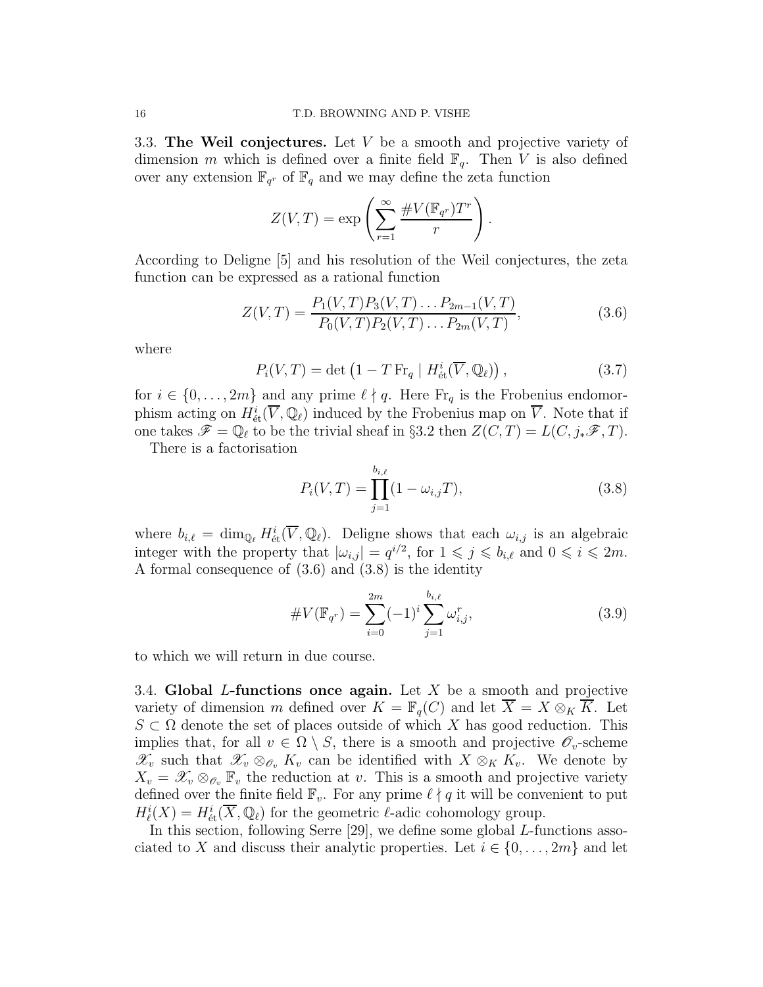3.3. The Weil conjectures. Let  $V$  be a smooth and projective variety of dimension m which is defined over a finite field  $\mathbb{F}_q$ . Then V is also defined over any extension  $\mathbb{F}_{q^r}$  of  $\mathbb{F}_q$  and we may define the zeta function

$$
Z(V,T) = \exp\left(\sum_{r=1}^{\infty} \frac{\#V(\mathbb{F}_{q^r})T^r}{r}\right).
$$

According to Deligne [5] and his resolution of the Weil conjectures, the zeta function can be expressed as a rational function

$$
Z(V,T) = \frac{P_1(V,T)P_3(V,T)\dots P_{2m-1}(V,T)}{P_0(V,T)P_2(V,T)\dots P_{2m}(V,T)},
$$
\n(3.6)

where

$$
P_i(V,T) = \det \left( 1 - T \operatorname{Fr}_q \mid H^i_{\text{\'et}}(\overline{V}, \mathbb{Q}_\ell) \right),\tag{3.7}
$$

for  $i \in \{0, \ldots, 2m\}$  and any prime  $\ell \nmid q$ . Here  $\mathrm{Fr}_q$  is the Frobenius endomorphism acting on  $H^i_{\text{\'et}}(\overline{V}, \mathbb{Q}_\ell)$  induced by the Frobenius map on  $\overline{V}$ . Note that if one takes  $\mathscr{F} = \mathbb{Q}_{\ell}$  to be the trivial sheaf in §3.2 then  $Z(\tilde{C}, T) = L(C, j_*\mathscr{F}, T)$ .

There is a factorisation

$$
P_i(V,T) = \prod_{j=1}^{b_{i,\ell}} (1 - \omega_{i,j} T), \qquad (3.8)
$$

where  $b_{i,\ell} = \dim_{\mathbb{Q}_{\ell}} H^i_{\text{\'et}}(\overline{V}, \mathbb{Q}_{\ell}).$  Deligne shows that each  $\omega_{i,j}$  is an algebraic integer with the property that  $|\omega_{i,j}| = q^{i/2}$ , for  $1 \leq j \leq b_{i,\ell}$  and  $0 \leq i \leq 2m$ . A formal consequence of (3.6) and (3.8) is the identity

$$
\#V(\mathbb{F}_{q^r}) = \sum_{i=0}^{2m} (-1)^i \sum_{j=1}^{b_{i,\ell}} \omega_{i,j}^r,
$$
\n(3.9)

to which we will return in due course.

3.4. Global L-functions once again. Let X be a smooth and projective variety of dimension m defined over  $K = \mathbb{F}_q(C)$  and let  $X = X \otimes_K K$ . Let  $S \subset \Omega$  denote the set of places outside of which X has good reduction. This implies that, for all  $v \in \Omega \setminus S$ , there is a smooth and projective  $\mathscr{O}_v$ -scheme  $\mathscr{X}_v$  such that  $\mathscr{X}_v \otimes_{\mathscr{O}_v} K_v$  can be identified with  $X \otimes_K K_v$ . We denote by  $X_v = \mathscr{X}_v \otimes_{\mathscr{O}_v} \mathbb{F}_v$  the reduction at v. This is a smooth and projective variety defined over the finite field  $\mathbb{F}_v$ . For any prime  $\ell \nmid q$  it will be convenient to put  $H^i_{\ell}(X) = H^i_{\text{\'et}}(\overline{X}, \mathbb{Q}_{\ell})$  for the geometric  $\ell$ -adic cohomology group.

In this section, following Serre [29], we define some global L-functions associated to X and discuss their analytic properties. Let  $i \in \{0, \ldots, 2m\}$  and let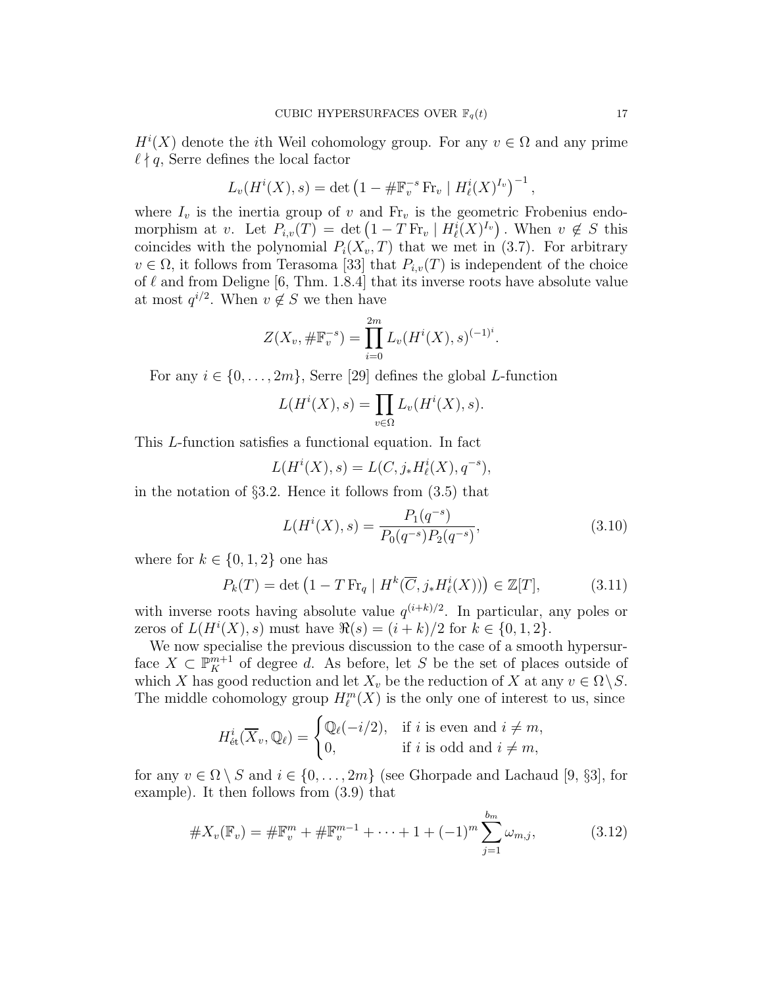$H^{i}(X)$  denote the *i*th Weil cohomology group. For any  $v \in \Omega$  and any prime  $\ell \nmid q$ , Serre defines the local factor

$$
L_v(H^{i}(X), s) = \det (1 - \# \mathbb{F}_v^{-s} \operatorname{Fr}_v | H^{i}_{\ell}(X)^{I_v})^{-1},
$$

where  $I_v$  is the inertia group of v and  $Fr_v$  is the geometric Frobenius endomorphism at v. Let  $P_{i,v}(T) = \det (1 - T \operatorname{Fr}_v | H_i^i(X)^{I_v})$ . When  $v \notin S$  this coincides with the polynomial  $P_i(X_v, T)$  that we met in (3.7). For arbitrary  $v \in \Omega$ , it follows from Terasoma [33] that  $P_{i,v}(T)$  is independent of the choice of  $\ell$  and from Deligne [6, Thm. 1.8.4] that its inverse roots have absolute value at most  $q^{i/2}$ . When  $v \notin S$  we then have

$$
Z(X_v, \# \mathbb{F}_v^{-s}) = \prod_{i=0}^{2m} L_v(H^i(X), s)^{(-1)^i}.
$$

For any  $i \in \{0, \ldots, 2m\}$ , Serre [29] defines the global L-function

$$
L(H^{i}(X), s) = \prod_{v \in \Omega} L_{v}(H^{i}(X), s).
$$

This L-function satisfies a functional equation. In fact

$$
L(H^{i}(X), s) = L(C, j_{*}H^{i}_{\ell}(X), q^{-s}),
$$

in the notation of  $\S 3.2$ . Hence it follows from  $(3.5)$  that

$$
L(H^{i}(X), s) = \frac{P_{1}(q^{-s})}{P_{0}(q^{-s})P_{2}(q^{-s})},
$$
\n(3.10)

where for  $k \in \{0, 1, 2\}$  one has

$$
P_k(T) = \det \left( 1 - T \operatorname{Fr}_q \mid H^k(\overline{C}, j_* H^i_{\ell}(X)) \right) \in \mathbb{Z}[T],\tag{3.11}
$$

with inverse roots having absolute value  $q^{(i+k)/2}$ . In particular, any poles or zeros of  $L(H^{i}(X), s)$  must have  $\Re(s) = (i + k)/2$  for  $k \in \{0, 1, 2\}.$ 

We now specialise the previous discussion to the case of a smooth hypersurface  $X \subset \mathbb{P}_{K}^{m+1}$  of degree d. As before, let S be the set of places outside of which X has good reduction and let  $X_v$  be the reduction of X at any  $v \in \Omega \backslash S$ . The middle cohomology group  $H_{\ell}^m(X)$  is the only one of interest to us, since

$$
H^i_{\text{\'et}}(\overline{X}_v, \mathbb{Q}_\ell) = \begin{cases} \mathbb{Q}_\ell(-i/2), & \text{if } i \text{ is even and } i \neq m, \\ 0, & \text{if } i \text{ is odd and } i \neq m, \end{cases}
$$

for any  $v \in \Omega \setminus S$  and  $i \in \{0, \ldots, 2m\}$  (see Ghorpade and Lachaud [9, §3], for example). It then follows from (3.9) that

$$
\#X_v(\mathbb{F}_v) = \# \mathbb{F}_v^m + \# \mathbb{F}_v^{m-1} + \dots + 1 + (-1)^m \sum_{j=1}^{b_m} \omega_{m,j}, \tag{3.12}
$$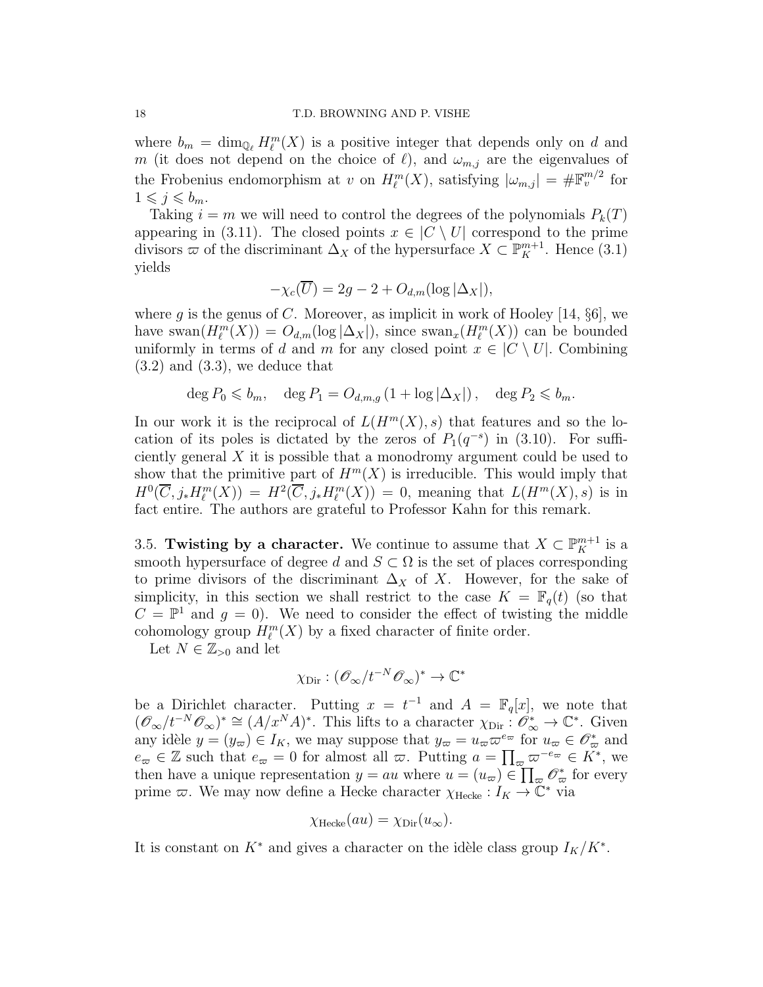where  $b_m = \dim_{\mathbb{Q}_{\ell}} H_{\ell}^m(X)$  is a positive integer that depends only on d and m (it does not depend on the choice of  $\ell$ ), and  $\omega_{m,j}$  are the eigenvalues of the Frobenius endomorphism at v on  $H^m_{\ell}(X)$ , satisfying  $|\omega_{m,j}| = \# \mathbb{F}_v^{m/2}$  for  $1 \leqslant j \leqslant b_m$ .

Taking  $i = m$  we will need to control the degrees of the polynomials  $P_k(T)$ appearing in (3.11). The closed points  $x \in C \setminus U$  correspond to the prime divisors  $\varpi$  of the discriminant  $\Delta_X$  of the hypersurface  $X \subset \mathbb{P}^{m+1}_K$ . Hence (3.1) yields

$$
-\chi_c(\overline{U}) = 2g - 2 + O_{d,m}(\log|\Delta_X|),
$$

where g is the genus of C. Moreover, as implicit in work of Hooley [14,  $\S6$ ], we have swan $(H_{\ell}^{m}(X)) = O_{d,m}(\log |\Delta_{X}|)$ , since swan $_{x}(H_{\ell}^{m}(X))$  can be bounded uniformly in terms of d and m for any closed point  $x \in C \setminus U$ . Combining  $(3.2)$  and  $(3.3)$ , we deduce that

$$
\deg P_0 \leqslant b_m, \quad \deg P_1 = O_{d,m,g} \left(1 + \log |\Delta_X|\right), \quad \deg P_2 \leqslant b_m.
$$

In our work it is the reciprocal of  $L(H^m(X), s)$  that features and so the location of its poles is dictated by the zeros of  $P_1(q^{-s})$  in (3.10). For sufficiently general X it is possible that a monodromy argument could be used to show that the primitive part of  $H^m(X)$  is irreducible. This would imply that  $H^0(\overline{C}, j_*H^m_{\ell}(X)) = H^2(\overline{C}, j_*H^m_{\ell}(X)) = 0$ , meaning that  $L(H^m(X), s)$  is in fact entire. The authors are grateful to Professor Kahn for this remark.

3.5. Twisting by a character. We continue to assume that  $X \subset \mathbb{P}_{K}^{m+1}$  is a smooth hypersurface of degree d and  $S \subset \Omega$  is the set of places corresponding to prime divisors of the discriminant  $\Delta_X$  of X. However, for the sake of simplicity, in this section we shall restrict to the case  $K = \mathbb{F}_q(t)$  (so that  $C = \mathbb{P}^1$  and  $g = 0$ ). We need to consider the effect of twisting the middle cohomology group  $H^m_{\ell}(X)$  by a fixed character of finite order.

Let  $N \in \mathbb{Z}_{>0}$  and let

$$
\chi_{\rm Dir}: (\mathscr{O}_{\infty}/t^{-N}\mathscr{O}_{\infty})^* \to \mathbb{C}^*
$$

be a Dirichlet character. Putting  $x = t^{-1}$  and  $A = \mathbb{F}_q[x]$ , we note that  $(\mathscr{O}_{\infty}/t^{-N}\mathscr{O}_{\infty})^* \cong (A/x^N A)^*$ . This lifts to a character  $\chi_{\text{Dir}} : \mathscr{O}_{\infty}^* \to \mathbb{C}^*$ . Given any idèle  $y = (y_{\varpi}) \in I_K$ , we may suppose that  $y_{\varpi} = u_{\varpi} \varpi^{e_{\varpi}}$  for  $u_{\varpi} \in \mathscr{O}_{\varpi}^*$  and  $e_{\varpi} \in \mathbb{Z}$  such that  $e_{\varpi} = 0$  for almost all  $\varpi$ . Putting  $a = \prod_{\varpi} \varpi^{-e_{\varpi}} \in K^*$ , we then have a unique representation  $y = au$  where  $u = (u_{\varpi}) \in \prod_{\varpi} \mathscr{O}_{\varpi}^*$  for every prime  $\varpi$ . We may now define a Hecke character  $\chi_{\text{Hecke}} : I_K \to \mathbb{C}^*$  via

$$
\chi_{\text{Hecke}}(au) = \chi_{\text{Dir}}(u_{\infty}).
$$

It is constant on  $K^*$  and gives a character on the idèle class group  $I_K/K^*$ .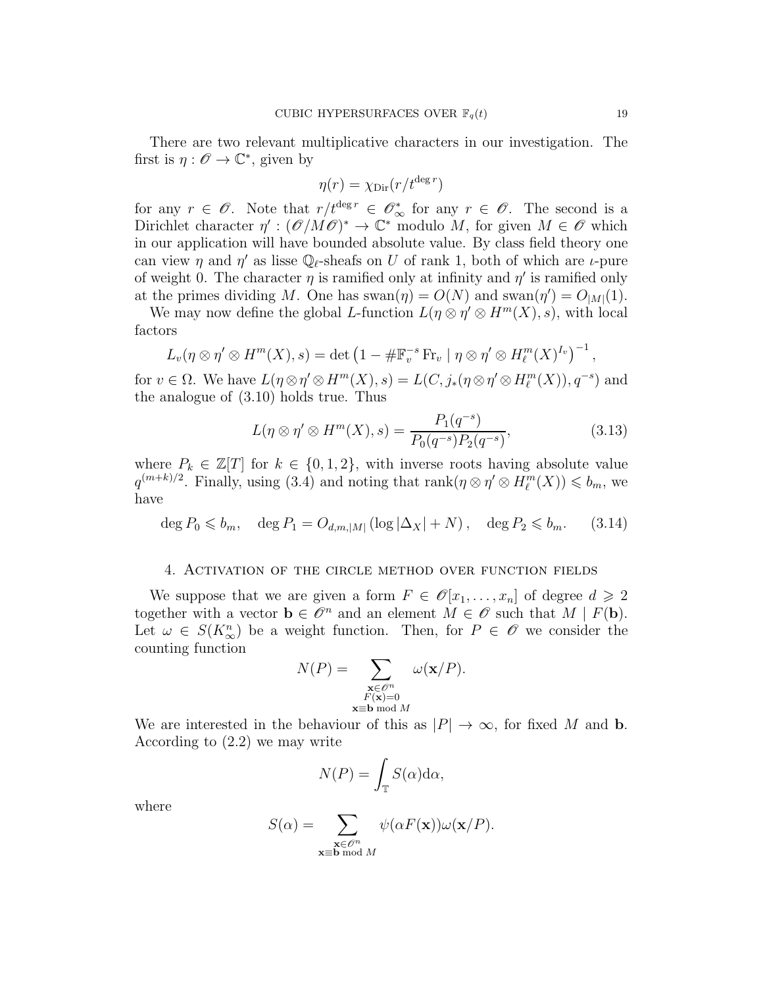There are two relevant multiplicative characters in our investigation. The first is  $\eta : \mathscr{O} \to \mathbb{C}^*$ , given by

$$
\eta(r) = \chi_{\rm Dir}(r/t^{\deg r})
$$

for any  $r \in \mathscr{O}$ . Note that  $r/t^{\deg r} \in \mathscr{O}_{\infty}^*$  for any  $r \in \mathscr{O}$ . The second is a Dirichlet character  $\eta' : (\mathscr{O}/M\mathscr{O})^* \to \mathbb{C}^*$  modulo M, for given  $M \in \mathscr{O}$  which in our application will have bounded absolute value. By class field theory one can view  $\eta$  and  $\eta'$  as lisse  $\mathbb{Q}_{\ell}$ -sheafs on U of rank 1, both of which are  $\iota$ -pure of weight 0. The character  $\eta$  is ramified only at infinity and  $\eta'$  is ramified only at the primes dividing M. One has swan $(\eta) = O(N)$  and swan $(\eta') = O_{|M|}(1)$ .

We may now define the global L-function  $L(\eta \otimes \eta' \otimes H^m(X), s)$ , with local factors

$$
L_v(\eta \otimes \eta' \otimes H^m(X), s) = \det \left(1 - \# \mathbb{F}_v^{-s} \operatorname{Fr}_v \mid \eta \otimes \eta' \otimes H^m_{\ell}(X)^{I_v}\right)^{-1},
$$

for  $v \in \Omega$ . We have  $L(\eta \otimes \eta' \otimes H^m(X), s) = L(C, j_*(\eta \otimes \eta' \otimes H^m_{\ell}(X)), q^{-s})$  and the analogue of (3.10) holds true. Thus

$$
L(\eta \otimes \eta' \otimes H^m(X), s) = \frac{P_1(q^{-s})}{P_0(q^{-s})P_2(q^{-s})},
$$
\n(3.13)

where  $P_k \in \mathbb{Z}[T]$  for  $k \in \{0,1,2\}$ , with inverse roots having absolute value  $q^{(m+k)/2}$ . Finally, using (3.4) and noting that  $\text{rank}(\eta \otimes \eta' \otimes H_{\ell}^{m}(X)) \leqslant b_m$ , we have

$$
\deg P_0 \leqslant b_m, \quad \deg P_1 = O_{d,m,|M|} \left( \log |\Delta_X| + N \right), \quad \deg P_2 \leqslant b_m. \tag{3.14}
$$

## 4. Activation of the circle method over function fields

We suppose that we are given a form  $F \in \mathcal{O}[x_1, \ldots, x_n]$  of degree  $d \geq 2$ together with a vector  $\mathbf{b} \in \mathscr{O}^n$  and an element  $M \in \mathscr{O}$  such that  $M \mid F(\mathbf{b})$ . Let  $\omega \in S(K_{\infty}^n)$  be a weight function. Then, for  $P \in \mathscr{O}$  we consider the counting function

$$
N(P) = \sum_{\substack{\mathbf{x} \in \mathcal{O}^n \\ F(\mathbf{x}) = 0 \\ \mathbf{x} \equiv \mathbf{b} \bmod M}} \omega(\mathbf{x}/P).
$$

We are interested in the behaviour of this as  $|P| \to \infty$ , for fixed M and b. According to (2.2) we may write

$$
N(P) = \int_{\mathbb{T}} S(\alpha) \mathrm{d}\alpha,
$$

where

$$
S(\alpha) = \sum_{\substack{\mathbf{x} \in \mathcal{O}^n \\ \mathbf{x} \equiv \mathbf{b} \bmod M}} \psi(\alpha F(\mathbf{x})) \omega(\mathbf{x}/P).
$$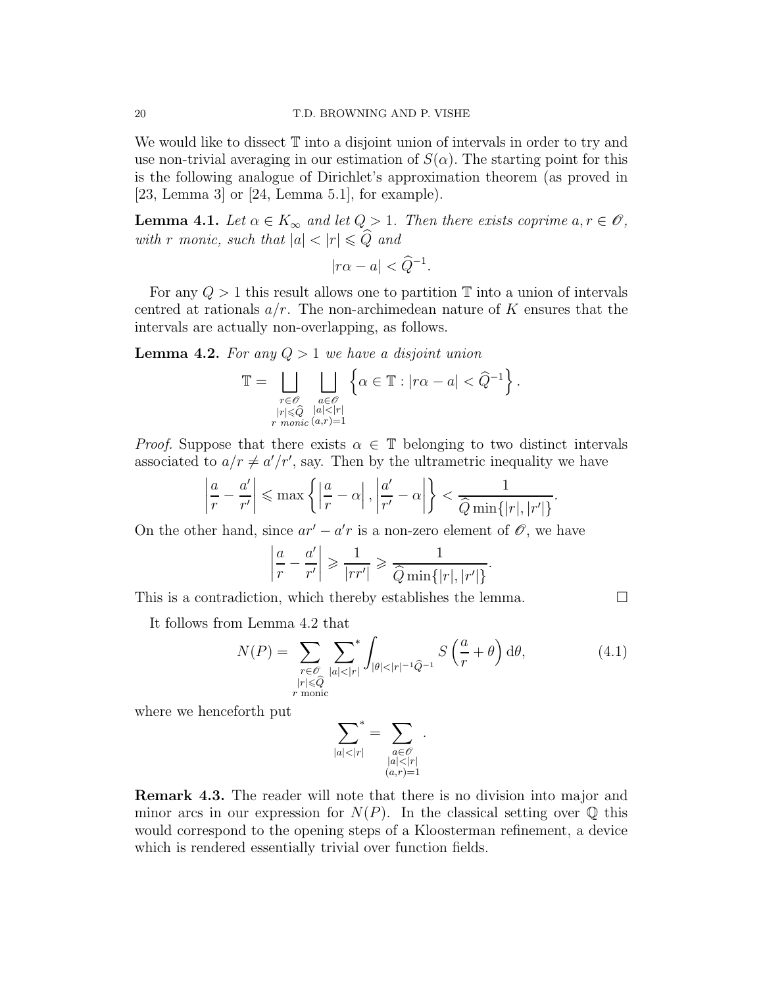We would like to dissect  $\mathbb T$  into a disjoint union of intervals in order to try and use non-trivial averaging in our estimation of  $S(\alpha)$ . The starting point for this is the following analogue of Dirichlet's approximation theorem (as proved in [23, Lemma 3] or [24, Lemma 5.1], for example).

**Lemma 4.1.** Let  $\alpha \in K_{\infty}$  and let  $Q > 1$ . Then there exists coprime  $a, r \in \mathcal{O}$ , with r monic, such that  $|a| < |r| \leq \widehat{Q}$  and

$$
|r\alpha - a| < \widehat{Q}^{-1}.
$$

For any  $Q > 1$  this result allows one to partition  $\mathbb T$  into a union of intervals centred at rationals  $a/r$ . The non-archimedean nature of K ensures that the intervals are actually non-overlapping, as follows.

**Lemma 4.2.** For any  $Q > 1$  we have a disjoint union

$$
\mathbb{T} = \bigsqcup_{\substack{r \in \mathscr{O} \\ |r| \leqslant \widehat{Q} \\ r \; \textit{monic}\; (a,r) = 1}} \bigsqcup_{\substack{a \in \mathscr{O} \\ |a| < |r| \\ \end{math}} \left\{ \alpha \in \mathbb{T} : |r\alpha - a| < \widehat{Q}^{-1} \right\}.
$$

*Proof.* Suppose that there exists  $\alpha \in \mathbb{T}$  belonging to two distinct intervals associated to  $a/r \neq a'/r'$ , say. Then by the ultrametric inequality we have

$$
\left|\frac{a}{r} - \frac{a'}{r'}\right| \le \max\left\{ \left|\frac{a}{r} - \alpha\right|, \left|\frac{a'}{r'} - \alpha\right|\right\} < \frac{1}{\widehat{Q}\min\{|r|, |r'|\}}
$$

On the other hand, since  $ar' - a'r$  is a non-zero element of  $\mathscr{O}$ , we have

$$
\left|\frac{a}{r} - \frac{a'}{r'}\right| \geqslant \frac{1}{|rr'|} \geqslant \frac{1}{\widehat{Q}\min\{|r|,|r'|\}}.
$$

This is a contradiction, which thereby establishes the lemma.  $\Box$ 

It follows from Lemma 4.2 that

$$
N(P) = \sum_{\substack{r \in \mathcal{O} \\ |r| \le \widehat{Q} \\ r \text{ monic}}} \sum_{|a| < |r|}^* \int_{|\theta| < |r|^{-1} \widehat{Q}^{-1}} S\left(\frac{a}{r} + \theta\right) d\theta,\tag{4.1}
$$

.

.

where we henceforth put

$$
\sum_{|a|<|r|}^*=\sum_{\substack{a\in\mathscr{O}\\|a|<|r|\\(a,r)=1}}
$$

Remark 4.3. The reader will note that there is no division into major and minor arcs in our expression for  $N(P)$ . In the classical setting over Q this would correspond to the opening steps of a Kloosterman refinement, a device which is rendered essentially trivial over function fields.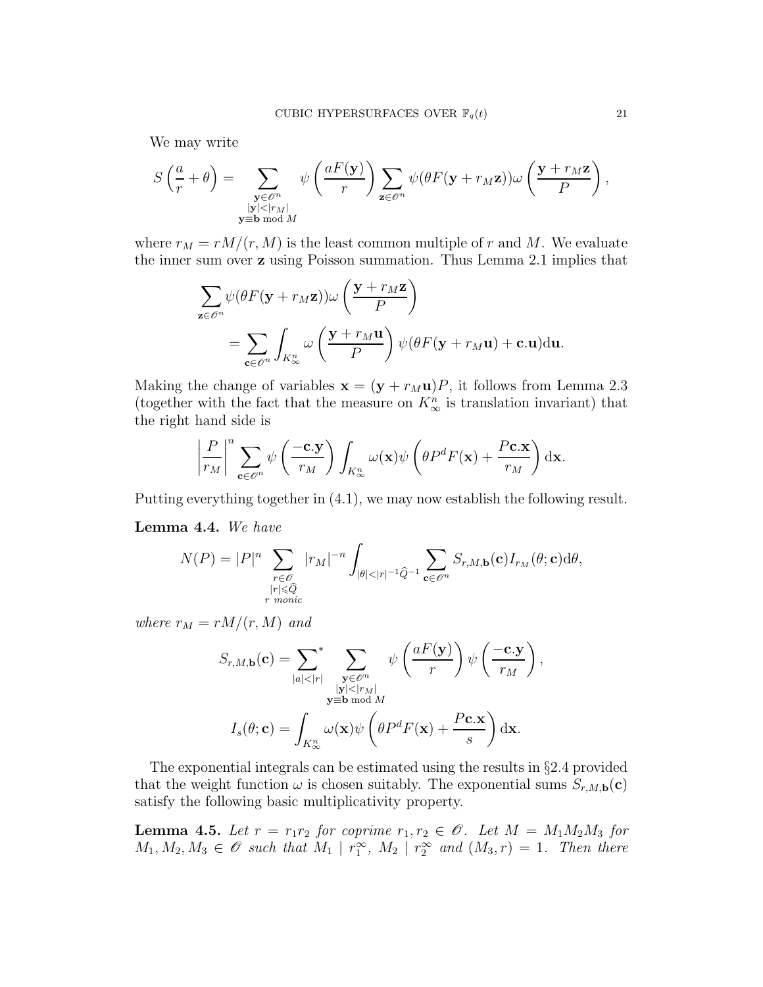We may write

$$
S\left(\frac{a}{r}+\theta\right)=\sum_{\substack{\mathbf{y}\in\mathscr{O}^n\\|\mathbf{y}|<|r_M|\\ \mathbf{y}\equiv\mathbf{b}\bmod{M}}}\psi\left(\frac{aF(\mathbf{y})}{r}\right)\sum_{\mathbf{z}\in\mathscr{O}^n}\psi(\theta F(\mathbf{y}+r_M\mathbf{z}))\omega\left(\frac{\mathbf{y}+r_M\mathbf{z}}{P}\right),
$$

where  $r_M = rM/(r, M)$  is the least common multiple of r and M. We evaluate the inner sum over z using Poisson summation. Thus Lemma 2.1 implies that

$$
\sum_{\mathbf{z} \in \mathscr{O}^n} \psi(\theta F(\mathbf{y} + r_M \mathbf{z})) \omega \left(\frac{\mathbf{y} + r_M \mathbf{z}}{P}\right)
$$
  
= 
$$
\sum_{\mathbf{c} \in \mathscr{O}^n} \int_{K_\infty^n} \omega \left(\frac{\mathbf{y} + r_M \mathbf{u}}{P}\right) \psi(\theta F(\mathbf{y} + r_M \mathbf{u}) + \mathbf{c}.\mathbf{u}) d\mathbf{u}.
$$

Making the change of variables  $\mathbf{x} = (\mathbf{y} + r_M \mathbf{u})P$ , it follows from Lemma 2.3 (together with the fact that the measure on  $K_{\infty}^{n}$  is translation invariant) that the right hand side is

$$
\left|\frac{P}{r_M}\right|^n \sum_{\mathbf{c}\in\mathscr{O}^n} \psi\left(\frac{-\mathbf{c}.\mathbf{y}}{r_M}\right) \int_{K_\infty^n} \omega(\mathbf{x}) \psi\left(\theta P^d F(\mathbf{x}) + \frac{P\mathbf{c}.\mathbf{x}}{r_M}\right) d\mathbf{x}.
$$

Putting everything together in (4.1), we may now establish the following result.

Lemma 4.4. We have

$$
N(P) = |P|^n \sum_{\substack{r \in \mathcal{O} \\ |r| \leq \widehat{Q} \\ r \text{ monic}}} |r_M|^{-n} \int_{|\theta| < |r|^{-1} \widehat{Q}^{-1}} \sum_{\mathbf{c} \in \mathcal{O}^n} S_{r,M,\mathbf{b}}(\mathbf{c}) I_{r_M}(\theta; \mathbf{c}) d\theta,
$$

where  $r_M = rM/(r, M)$  and

$$
S_{r,M,\mathbf{b}}(\mathbf{c}) = \sum_{|a| < |r|} \sum_{\substack{\mathbf{y} \in \mathscr{O}^n \\ \|\mathbf{y}\| < |r_M| \\ \mathbf{y} \equiv \mathbf{b} \bmod M}} \psi\left(\frac{aF(\mathbf{y})}{r}\right) \psi\left(\frac{-\mathbf{c}.\mathbf{y}}{r_M}\right),
$$
\n
$$
I_s(\theta; \mathbf{c}) = \int_{K_\infty^n} \omega(\mathbf{x}) \psi\left(\theta P^d F(\mathbf{x}) + \frac{P \mathbf{c}.\mathbf{x}}{s}\right) d\mathbf{x}.
$$

The exponential integrals can be estimated using the results in §2.4 provided that the weight function  $\omega$  is chosen suitably. The exponential sums  $S_{r,M,\mathbf{b}}(\mathbf{c})$ satisfy the following basic multiplicativity property.

**Lemma 4.5.** Let  $r = r_1r_2$  for coprime  $r_1, r_2 \in \mathcal{O}$ . Let  $M = M_1M_2M_3$  for  $M_1, M_2, M_3 \in \mathscr{O}$  such that  $M_1 \mid r_1^{\infty}, M_2 \mid r_2^{\infty}$  and  $(M_3, r) = 1$ . Then there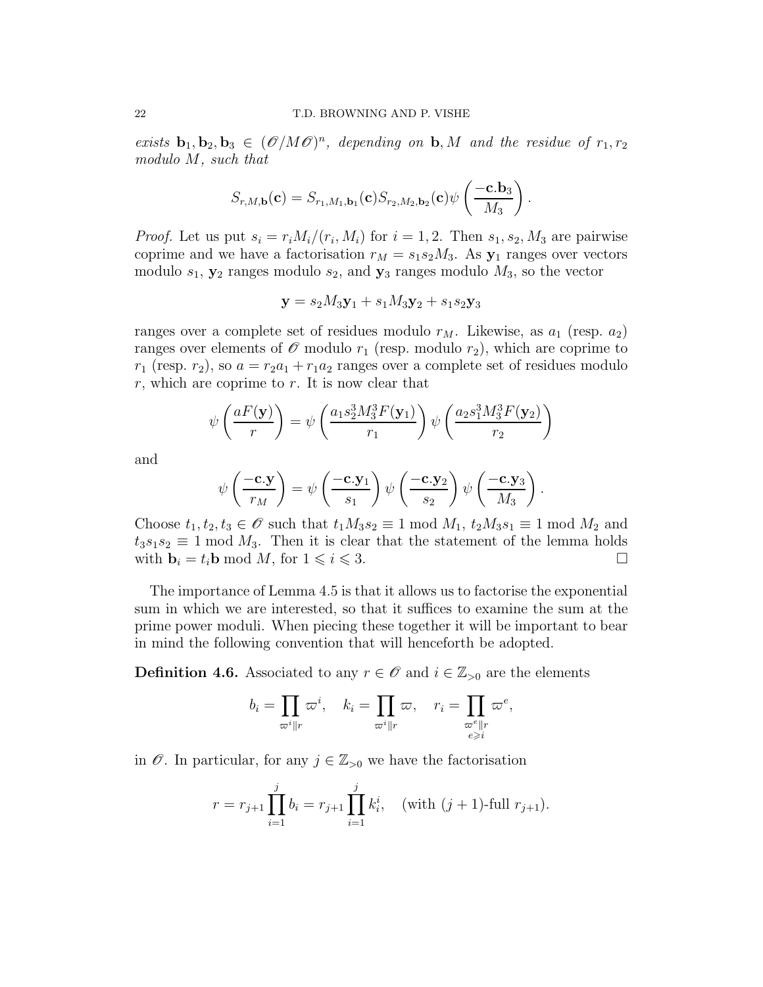exists  $\mathbf{b}_1, \mathbf{b}_2, \mathbf{b}_3 \in (\mathcal{O}/M\mathcal{O})^n$ , depending on  $\mathbf{b}, M$  and the residue of  $r_1, r_2$ modulo M, such that

$$
S_{r,M,\mathbf{b}}(\mathbf{c}) = S_{r_1,M_1,\mathbf{b}_1}(\mathbf{c}) S_{r_2,M_2,\mathbf{b}_2}(\mathbf{c}) \psi \left( \frac{-\mathbf{c}.\mathbf{b}_3}{M_3} \right)
$$

.

*Proof.* Let us put  $s_i = r_i M_i / (r_i, M_i)$  for  $i = 1, 2$ . Then  $s_1, s_2, M_3$  are pairwise coprime and we have a factorisation  $r_M = s_1 s_2 M_3$ . As  $y_1$  ranges over vectors modulo  $s_1$ ,  $y_2$  ranges modulo  $s_2$ , and  $y_3$  ranges modulo  $M_3$ , so the vector

$$
\mathbf{y} = s_2 M_3 \mathbf{y}_1 + s_1 M_3 \mathbf{y}_2 + s_1 s_2 \mathbf{y}_3
$$

ranges over a complete set of residues modulo  $r_M$ . Likewise, as  $a_1$  (resp.  $a_2$ ) ranges over elements of  $\mathscr O$  modulo  $r_1$  (resp. modulo  $r_2$ ), which are coprime to  $r_1$  (resp.  $r_2$ ), so  $a = r_2a_1 + r_1a_2$  ranges over a complete set of residues modulo  $r$ , which are coprime to  $r$ . It is now clear that

$$
\psi\left(\frac{aF(\mathbf{y})}{r}\right) = \psi\left(\frac{a_1s_2^3M_3^3F(\mathbf{y}_1)}{r_1}\right)\psi\left(\frac{a_2s_1^3M_3^3F(\mathbf{y}_2)}{r_2}\right)
$$

and

$$
\psi\left(\frac{-\mathbf{c}.\mathbf{y}}{r_M}\right) = \psi\left(\frac{-\mathbf{c}.\mathbf{y}_1}{s_1}\right) \psi\left(\frac{-\mathbf{c}.\mathbf{y}_2}{s_2}\right) \psi\left(\frac{-\mathbf{c}.\mathbf{y}_3}{M_3}\right).
$$

Choose  $t_1, t_2, t_3 \in \mathscr{O}$  such that  $t_1M_3s_2 \equiv 1 \mod M_1$ ,  $t_2M_3s_1 \equiv 1 \mod M_2$  and  $t_3s_1s_2 \equiv 1 \mod M_3$ . Then it is clear that the statement of the lemma holds with  $\mathbf{b}_i = t_i \mathbf{b} \bmod M$ , for  $1 \leqslant i \leqslant 3$ .

The importance of Lemma 4.5 is that it allows us to factorise the exponential sum in which we are interested, so that it suffices to examine the sum at the prime power moduli. When piecing these together it will be important to bear in mind the following convention that will henceforth be adopted.

**Definition 4.6.** Associated to any  $r \in \mathcal{O}$  and  $i \in \mathbb{Z}_{>0}$  are the elements

$$
b_i = \prod_{\varpi^i \| r} \varpi^i, \quad k_i = \prod_{\varpi^i \| r} \varpi, \quad r_i = \prod_{\substack{\varpi^e \| r \\ e \geqslant i}} \varpi^e,
$$

in  $\mathscr O$ . In particular, for any  $j \in \mathbb{Z}_{>0}$  we have the factorisation

$$
r = r_{j+1} \prod_{i=1}^{j} b_i = r_{j+1} \prod_{i=1}^{j} k_i^i, \quad (\text{with } (j+1)\text{-full } r_{j+1}).
$$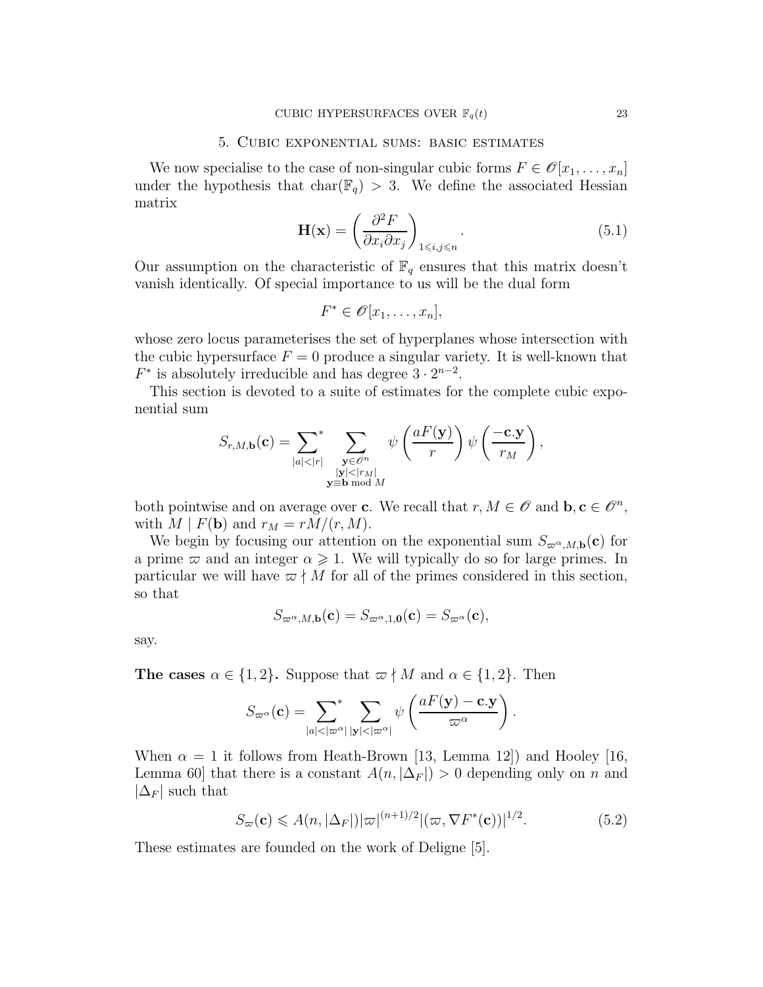### 5. Cubic exponential sums: basic estimates

We now specialise to the case of non-singular cubic forms  $F \in \mathcal{O}[x_1, \ldots, x_n]$ under the hypothesis that char( $\mathbb{F}_q$ ) > 3. We define the associated Hessian matrix

$$
\mathbf{H}(\mathbf{x}) = \left(\frac{\partial^2 F}{\partial x_i \partial x_j}\right)_{1 \le i,j \le n}.
$$
\n(5.1)

Our assumption on the characteristic of  $\mathbb{F}_q$  ensures that this matrix doesn't vanish identically. Of special importance to us will be the dual form

$$
F^* \in \mathscr{O}[x_1,\ldots,x_n],
$$

whose zero locus parameterises the set of hyperplanes whose intersection with the cubic hypersurface  $F = 0$  produce a singular variety. It is well-known that  $F^*$  is absolutely irreducible and has degree  $3 \cdot 2^{n-2}$ .

This section is devoted to a suite of estimates for the complete cubic exponential sum

$$
S_{r,M,\mathbf{b}}(\mathbf{c}) = \sum_{|a|<|r|} \sum_{\substack{\mathbf{y} \in \mathscr{O}^n \\ |\mathbf{y}| < |r_M| \\ \mathbf{y} \equiv \mathbf{b} \bmod M}} \psi\left(\frac{aF(\mathbf{y})}{r}\right) \psi\left(\frac{-\mathbf{c}.\mathbf{y}}{r_M}\right),
$$

both pointwise and on average over **c**. We recall that  $r, M \in \mathcal{O}$  and  $\mathbf{b}, \mathbf{c} \in \mathcal{O}^n$ , with  $M \mid F(\mathbf{b})$  and  $r_M = rM/(r, M)$ .

We begin by focusing our attention on the exponential sum  $S_{\varpi^{\alpha},M,\mathbf{b}}(\mathbf{c})$  for a prime  $\varpi$  and an integer  $\alpha \geq 1$ . We will typically do so for large primes. In particular we will have  $\varpi \nmid M$  for all of the primes considered in this section, so that

$$
S_{\varpi^{\alpha},M,\mathbf{b}}(\mathbf{c})=S_{\varpi^{\alpha},1,\mathbf{0}}(\mathbf{c})=S_{\varpi^{\alpha}}(\mathbf{c}),
$$

say.

The cases  $\alpha \in \{1,2\}$ . Suppose that  $\varpi \nmid M$  and  $\alpha \in \{1,2\}$ . Then

$$
S_{\varpi^{\alpha}}(\mathbf{c}) = \sum_{|a| < |\varpi^{\alpha}|} \sum_{|\mathbf{y}| < |\varpi^{\alpha}|} \psi\left(\frac{aF(\mathbf{y}) - \mathbf{c}.\mathbf{y}}{\varpi^{\alpha}}\right).
$$

When  $\alpha = 1$  it follows from Heath-Brown [13, Lemma 12]) and Hooley [16, Lemma 60] that there is a constant  $A(n, |\Delta_F|) > 0$  depending only on n and  $|\Delta_F|$  such that

$$
S_{\varpi}(\mathbf{c}) \leqslant A(n, |\Delta_F|) |\varpi|^{(n+1)/2} |(\varpi, \nabla F^*(\mathbf{c}))|^{1/2}.
$$
 (5.2)

These estimates are founded on the work of Deligne [5].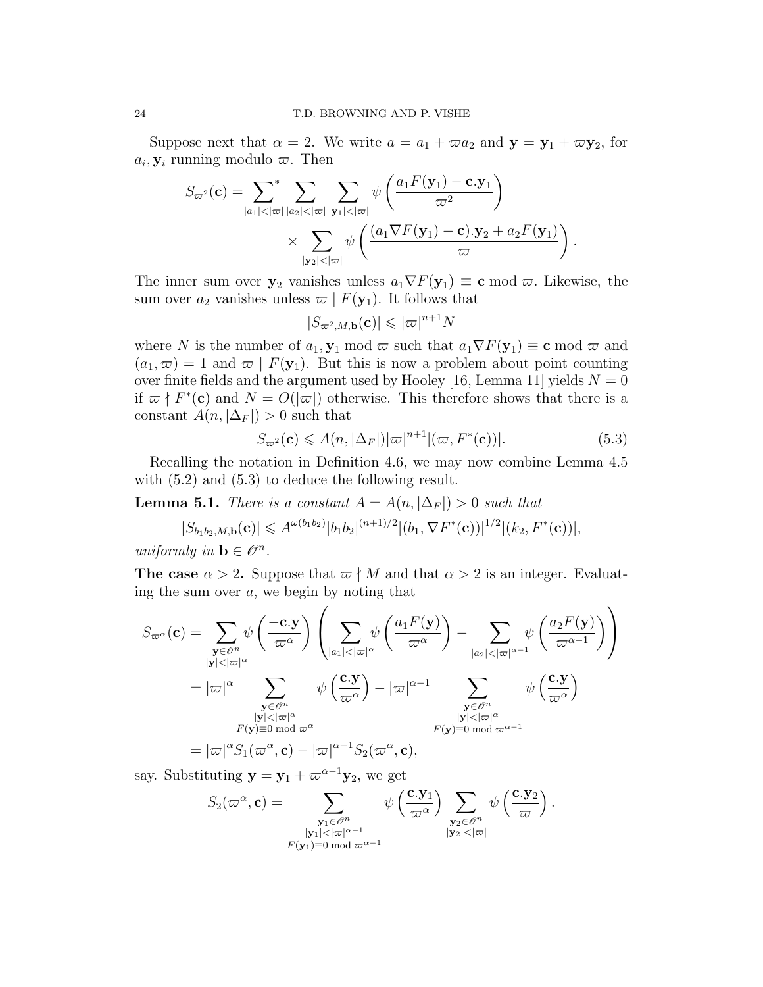Suppose next that  $\alpha = 2$ . We write  $a = a_1 + \varpi a_2$  and  $y = y_1 + \varpi y_2$ , for  $a_i, \mathbf{y}_i$  running modulo  $\varpi$ . Then

$$
S_{\varpi^2}(\mathbf{c}) = \sum_{|a_1| < |\varpi|} \sum_{|a_2| < |\varpi|} \sum_{|\mathbf{y}_1| < |\varpi|} \psi\left(\frac{a_1 F(\mathbf{y}_1) - \mathbf{c} \cdot \mathbf{y}_1}{\varpi^2}\right)
$$

$$
\times \sum_{|\mathbf{y}_2| < |\varpi|} \psi\left(\frac{(a_1 \nabla F(\mathbf{y}_1) - \mathbf{c}) \cdot \mathbf{y}_2 + a_2 F(\mathbf{y}_1)}{\varpi}\right).
$$

The inner sum over  $y_2$  vanishes unless  $a_1 \nabla F(y_1) \equiv \mathbf{c} \bmod \varpi$ . Likewise, the sum over  $a_2$  vanishes unless  $\varpi | F(\mathbf{y}_1)$ . It follows that

$$
|S_{\varpi^2, M, \mathbf{b}}(\mathbf{c})| \leqslant |\varpi|^{n+1} N
$$

where N is the number of  $a_1$ ,  $\mathbf{y}_1$  mod  $\varpi$  such that  $a_1 \nabla F(\mathbf{y}_1) \equiv \mathbf{c} \mod \varpi$  and  $(a_1,\varpi) = 1$  and  $\varpi \mid F(\mathbf{y}_1)$ . But this is now a problem about point counting over finite fields and the argument used by Hooley [16, Lemma 11] yields  $N = 0$ if  $\varpi \nmid F^*(c)$  and  $N = O(|\varpi|)$  otherwise. This therefore shows that there is a constant  $A(n, |\Delta_F|) > 0$  such that

$$
S_{\varpi^2}(\mathbf{c}) \leqslant A(n, |\Delta_F|) |\varpi|^{n+1} |(\varpi, F^*(\mathbf{c}))|.
$$
 (5.3)

 $\overline{\phantom{0}}$ 

Recalling the notation in Definition 4.6, we may now combine Lemma 4.5 with  $(5.2)$  and  $(5.3)$  to deduce the following result.

**Lemma 5.1.** There is a constant  $A = A(n, |\Delta_F|) > 0$  such that

$$
|S_{b_1b_2,M,\mathbf{b}}(\mathbf{c})| \leq A^{\omega(b_1b_2)}|b_1b_2|^{(n+1)/2}|(b_1,\nabla F^*(\mathbf{c}))|^{1/2}|(k_2,F^*(\mathbf{c}))|,
$$

uniformly in  $\mathbf{b} \in \mathscr{O}^n$ .

The case  $\alpha > 2$ . Suppose that  $\alpha \nmid M$  and that  $\alpha > 2$  is an integer. Evaluating the sum over  $a$ , we begin by noting that

$$
S_{\varpi^{\alpha}}(\mathbf{c}) = \sum_{\substack{\mathbf{y} \in \mathcal{C}^{n} \\ |\mathbf{y}| < |\varpi|^{\alpha}}} \psi\left(\frac{-\mathbf{c} \cdot \mathbf{y}}{\varpi^{\alpha}}\right) \left(\sum_{|a_{1}| < |\varpi|^{\alpha}} \psi\left(\frac{a_{1}F(\mathbf{y})}{\varpi^{\alpha}}\right) - \sum_{|a_{2}| < |\varpi|^{\alpha-1}} \psi\left(\frac{a_{2}F(\mathbf{y})}{\varpi^{\alpha-1}}\right)\right)
$$
  
\n
$$
= |\varpi|^{\alpha} \sum_{\substack{\mathbf{y} \in \mathcal{C}^{n} \\ |\mathbf{y}| < |\varpi|^{\alpha} \\ F(\mathbf{y}) \equiv 0 \bmod{\varpi}^{\alpha}}} \psi\left(\frac{\mathbf{c} \cdot \mathbf{y}}{\varpi^{\alpha}}\right) - |\varpi|^{\alpha-1} \sum_{\substack{\mathbf{y} \in \mathcal{C}^{n} \\ |\mathbf{y}| < |\varpi|^{\alpha} \\ F(\mathbf{y}) \equiv 0 \bmod{\varpi}^{\alpha-1}}} \psi\left(\frac{\mathbf{c} \cdot \mathbf{y}}{\varpi^{\alpha}}\right)
$$
  
\n
$$
= |\varpi|^{\alpha} S_{1}(\varpi^{\alpha}, \mathbf{c}) - |\varpi|^{\alpha-1} S_{2}(\varpi^{\alpha}, \mathbf{c}),
$$

say. Substituting  $y = y_1 + \varpi^{\alpha-1}y_2$ , we get

$$
S_2(\varpi^{\alpha}, \mathbf{c}) = \sum_{\substack{\mathbf{y}_1 \in \mathscr{O}^n \\ |\mathbf{y}_1| < |\varpi|^{\alpha - 1} \\ F(\mathbf{y}_1) \equiv 0 \bmod \varpi^{\alpha - 1}}} \psi\left(\frac{\mathbf{c}.\mathbf{y}_1}{\varpi^{\alpha}}\right) \sum_{\substack{\mathbf{y}_2 \in \mathscr{O}^n \\ |\mathbf{y}_2| < |\varpi|}} \psi\left(\frac{\mathbf{c}.\mathbf{y}_2}{\varpi}\right).
$$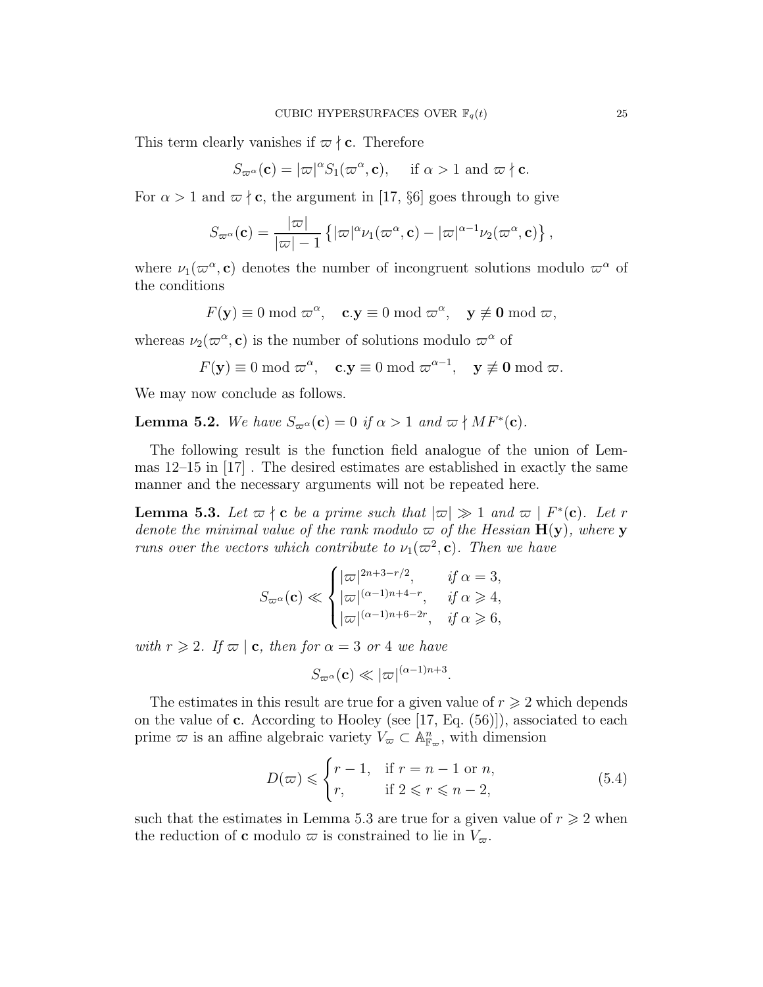This term clearly vanishes if  $\varpi \nmid c$ . Therefore

$$
S_{\varpi^{\alpha}}(\mathbf{c}) = |\varpi|^{\alpha} S_1(\varpi^{\alpha}, \mathbf{c}), \quad \text{ if } \alpha > 1 \text{ and } \varpi \nmid \mathbf{c}.
$$

For  $\alpha > 1$  and  $\varpi \nmid c$ , the argument in [17, §6] goes through to give

$$
S_{\varpi^{\alpha}}(\mathbf{c}) = \frac{|\varpi|}{|\varpi| - 1} \left\{ |\varpi|^{\alpha} \nu_1(\varpi^{\alpha}, \mathbf{c}) - |\varpi|^{\alpha - 1} \nu_2(\varpi^{\alpha}, \mathbf{c}) \right\},
$$

where  $\nu_1(\varpi^{\alpha}, \mathbf{c})$  denotes the number of incongruent solutions modulo  $\varpi^{\alpha}$  of the conditions

$$
F(\mathbf{y}) \equiv 0 \bmod \varpi^{\alpha}, \quad \mathbf{c}.\mathbf{y} \equiv 0 \bmod \varpi^{\alpha}, \quad \mathbf{y} \not\equiv \mathbf{0} \bmod \varpi,
$$

whereas  $\nu_2(\omega^{\alpha}, \mathbf{c})$  is the number of solutions modulo  $\omega^{\alpha}$  of

$$
F(\mathbf{y}) \equiv 0 \mod \varpi^{\alpha}, \quad \mathbf{c}.\mathbf{y} \equiv 0 \mod \varpi^{\alpha-1}, \quad \mathbf{y} \not\equiv \mathbf{0} \mod \varpi.
$$

We may now conclude as follows.

**Lemma 5.2.** We have  $S_{\varpi^{\alpha}}(\mathbf{c}) = 0$  if  $\alpha > 1$  and  $\varpi \nmid MF^*(\mathbf{c})$ .

The following result is the function field analogue of the union of Lemmas 12–15 in [17] . The desired estimates are established in exactly the same manner and the necessary arguments will not be repeated here.

**Lemma 5.3.** Let  $\varpi \nmid c$  be a prime such that  $|\varpi| \gg 1$  and  $\varpi \mid F^*(c)$ . Let r denote the minimal value of the rank modulo  $\varpi$  of the Hessian  $H(y)$ , where y runs over the vectors which contribute to  $\nu_1(\varpi^2, c)$ . Then we have

$$
S_{\varpi^{\alpha}}(\mathbf{c}) \ll \begin{cases} |\varpi|^{2n+3-r/2}, & \text{if } \alpha = 3, \\ |\varpi|^{(\alpha-1)n+4-r}, & \text{if } \alpha \geqslant 4, \\ |\varpi|^{(\alpha-1)n+6-2r}, & \text{if } \alpha \geqslant 6, \end{cases}
$$

with  $r \geq 2$ . If  $\varpi \mid \mathbf{c}$ , then for  $\alpha = 3$  or 4 we have

$$
S_{\varpi^{\alpha}}(\mathbf{c}) \ll |\varpi|^{(\alpha-1)n+3}
$$

The estimates in this result are true for a given value of  $r \geq 2$  which depends on the value of c. According to Hooley (see [17, Eq.  $(56)$ ]), associated to each prime  $\varpi$  is an affine algebraic variety  $V_{\varpi} \subset \mathbb{A}_{\mathbb{F}_{\varpi}}^n$ , with dimension

$$
D(\varpi) \leqslant \begin{cases} r-1, & \text{if } r = n-1 \text{ or } n, \\ r, & \text{if } 2 \leqslant r \leqslant n-2, \end{cases} \tag{5.4}
$$

.

such that the estimates in Lemma 5.3 are true for a given value of  $r \geq 2$  when the reduction of **c** modulo  $\varpi$  is constrained to lie in  $V_{\varpi}$ .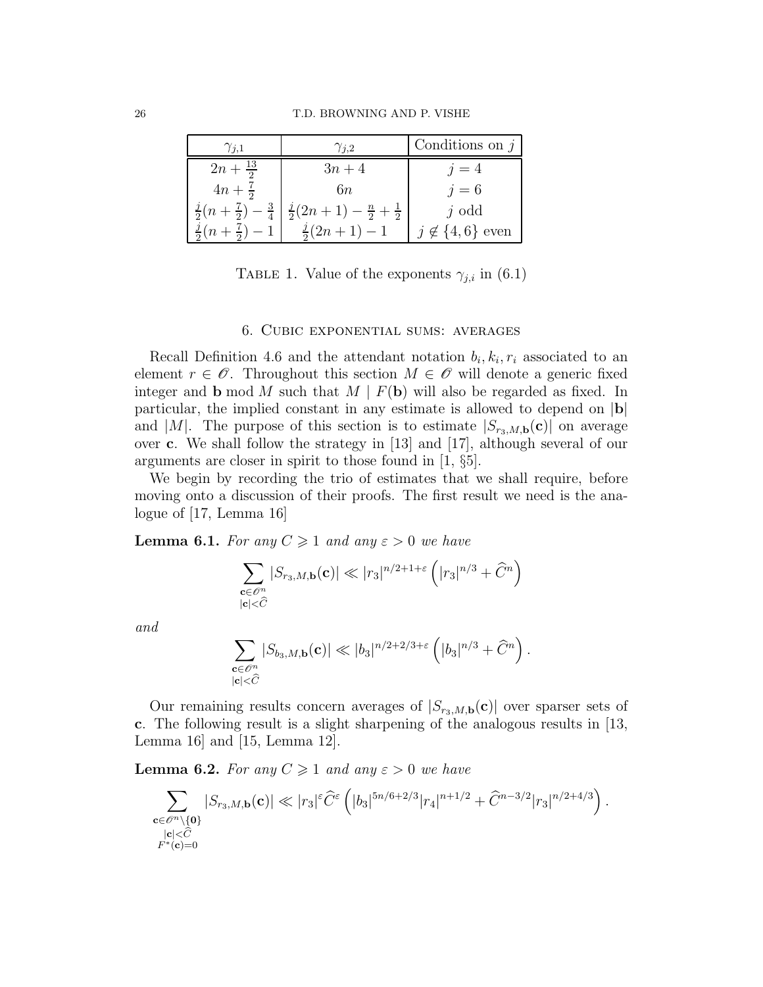| $\gamma_{j,1}$                           | $\gamma_{j,2}$                              | Conditions on $j$       |
|------------------------------------------|---------------------------------------------|-------------------------|
| $2n + \frac{13}{2}$                      | $3n+4$                                      | $j=4$                   |
| $4n + \frac{7}{2}$                       | 6n                                          | $j=6$                   |
| $\frac{j}{2}(n+\frac{7}{2})-\frac{3}{4}$ | $\frac{j}{2}(2n+1)-\frac{n}{2}+\frac{1}{2}$ | $j$ odd                 |
| $\frac{j}{2}(n+\frac{7}{2})-1$           | $\frac{j}{2}(2n+1)-1$                       | $j \notin \{4,6\}$ even |

TABLE 1. Value of the exponents  $\gamma_{j,i}$  in (6.1)

### 6. Cubic exponential sums: averages

Recall Definition 4.6 and the attendant notation  $b_i, k_i, r_i$  associated to an element  $r \in \mathscr{O}$ . Throughout this section  $M \in \mathscr{O}$  will denote a generic fixed integer and **b** mod M such that  $M \mid F(\mathbf{b})$  will also be regarded as fixed. In particular, the implied constant in any estimate is allowed to depend on  $|b|$ and |M|. The purpose of this section is to estimate  $|S_{r_3,M,\mathbf{b}}(\mathbf{c})|$  on average over c. We shall follow the strategy in [13] and [17], although several of our arguments are closer in spirit to those found in [1, §5].

We begin by recording the trio of estimates that we shall require, before moving onto a discussion of their proofs. The first result we need is the analogue of [17, Lemma 16]

**Lemma 6.1.** For any  $C \geq 1$  and any  $\varepsilon > 0$  we have

$$
\sum_{\substack{\mathbf{c}\in\mathscr{O}^n\\|\mathbf{c}|<\widehat{C}}} |S_{r_3,M,\mathbf{b}}(\mathbf{c})| \ll |r_3|^{n/2+1+\varepsilon} \left( |r_3|^{n/3} + \widehat{C}^n \right)
$$

and

$$
\sum_{\substack{\mathbf{c}\in \mathscr{O}^n\\|\mathbf{c}|<\widehat{C}}} |S_{b_3,M,\mathbf{b}}(\mathbf{c})| \ll |b_3|^{n/2+2/3+\varepsilon} \left( |b_3|^{n/3} + \widehat{C}^n \right).
$$

Our remaining results concern averages of  $|S_{r_3,M,\mathbf{b}}(\mathbf{c})|$  over sparser sets of c. The following result is a slight sharpening of the analogous results in [13, Lemma 16] and [15, Lemma 12].

**Lemma 6.2.** For any  $C \geq 1$  and any  $\varepsilon > 0$  we have

$$
\sum_{\substack{\mathbf{c}\in \mathscr{O}^n\backslash\{\mathbf{0}\}\\|\mathbf{c}|<\widehat{C}\\ F^*(\mathbf{c})=0}}|S_{r_3,M,\mathbf{b}}(\mathbf{c})|\ll |r_3|^\varepsilon \widehat{C}^\varepsilon\left(|b_3|^{5n/6+2/3}|r_4|^{n+1/2}+\widehat{C}^{n-3/2}|r_3|^{n/2+4/3}\right).
$$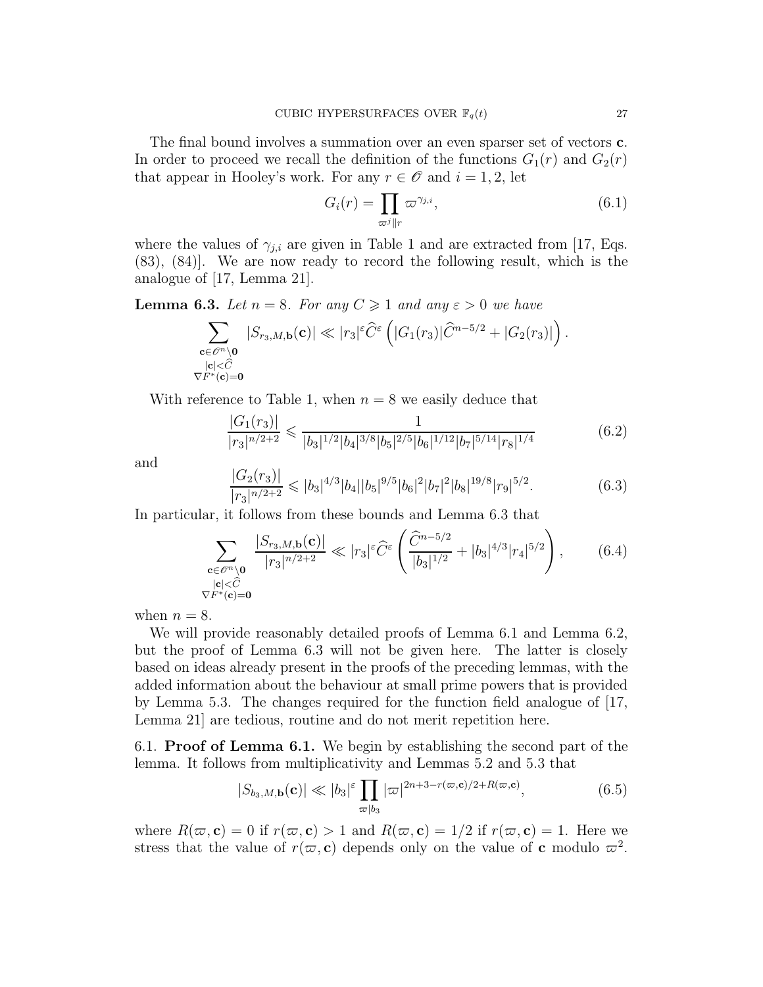The final bound involves a summation over an even sparser set of vectors c. In order to proceed we recall the definition of the functions  $G_1(r)$  and  $G_2(r)$ that appear in Hooley's work. For any  $r \in \mathscr{O}$  and  $i = 1, 2$ , let

$$
G_i(r) = \prod_{\varpi^j \| r} \varpi^{\gamma_{j,i}},\tag{6.1}
$$

where the values of  $\gamma_{j,i}$  are given in Table 1 and are extracted from [17, Eqs. (83), (84)]. We are now ready to record the following result, which is the analogue of [17, Lemma 21].

**Lemma 6.3.** Let  $n = 8$ . For any  $C \ge 1$  and any  $\varepsilon > 0$  we have

$$
\sum_{\substack{\mathbf{c}\in \mathscr{O}^n\backslash \mathbf{0}\\ |\mathbf{c}|<\widehat{C}\\ \nabla F^*(\mathbf{c})=\mathbf{0}}}|S_{r_3,M,\mathbf{b}}(\mathbf{c})|\ll |r_3|^{\varepsilon}\widehat{C}^{\varepsilon}\left(|G_1(r_3)|\widehat{C}^{n-5/2}+|G_2(r_3)|\right).
$$

With reference to Table 1, when  $n = 8$  we easily deduce that

$$
\frac{|G_1(r_3)|}{|r_3|^{n/2+2}} \leq \frac{1}{|b_3|^{1/2}|b_4|^{3/8}|b_5|^{2/5}|b_6|^{1/12}|b_7|^{5/14}|r_8|^{1/4}}\tag{6.2}
$$

and

$$
\frac{|G_2(r_3)|}{|r_3|^{n/2+2}} \leqslant |b_3|^{4/3}|b_4||b_5|^{9/5}|b_6|^2|b_7|^2|b_8|^{19/8}|r_9|^{5/2}.\tag{6.3}
$$

In particular, it follows from these bounds and Lemma 6.3 that

$$
\sum_{\substack{\mathbf{c}\in\mathscr{O}^n\backslash\mathbf{0} \\ |\mathbf{c}|<\widehat{C}\\ \nabla F^*(\mathbf{c})=\mathbf{0}}} \frac{|S_{r_3,M,\mathbf{b}}(\mathbf{c})|}{|r_3|^{n/2+2}} \ll |r_3|^{\varepsilon} \widehat{C}^{\varepsilon} \left(\frac{\widehat{C}^{n-5/2}}{|b_3|^{1/2}} + |b_3|^{4/3} |r_4|^{5/2}\right),\tag{6.4}
$$

when  $n = 8$ .

We will provide reasonably detailed proofs of Lemma 6.1 and Lemma 6.2, but the proof of Lemma 6.3 will not be given here. The latter is closely based on ideas already present in the proofs of the preceding lemmas, with the added information about the behaviour at small prime powers that is provided by Lemma 5.3. The changes required for the function field analogue of [17, Lemma 21] are tedious, routine and do not merit repetition here.

6.1. Proof of Lemma 6.1. We begin by establishing the second part of the lemma. It follows from multiplicativity and Lemmas 5.2 and 5.3 that

$$
|S_{b_3,M,\mathbf{b}}(\mathbf{c})| \ll |b_3|^{\varepsilon} \prod_{\varpi | b_3} |\varpi|^{2n+3-r(\varpi,\mathbf{c})/2+R(\varpi,\mathbf{c})}, \tag{6.5}
$$

where  $R(\varpi, \mathbf{c}) = 0$  if  $r(\varpi, \mathbf{c}) > 1$  and  $R(\varpi, \mathbf{c}) = 1/2$  if  $r(\varpi, \mathbf{c}) = 1$ . Here we stress that the value of  $r(\varpi, c)$  depends only on the value of c modulo  $\varpi^2$ .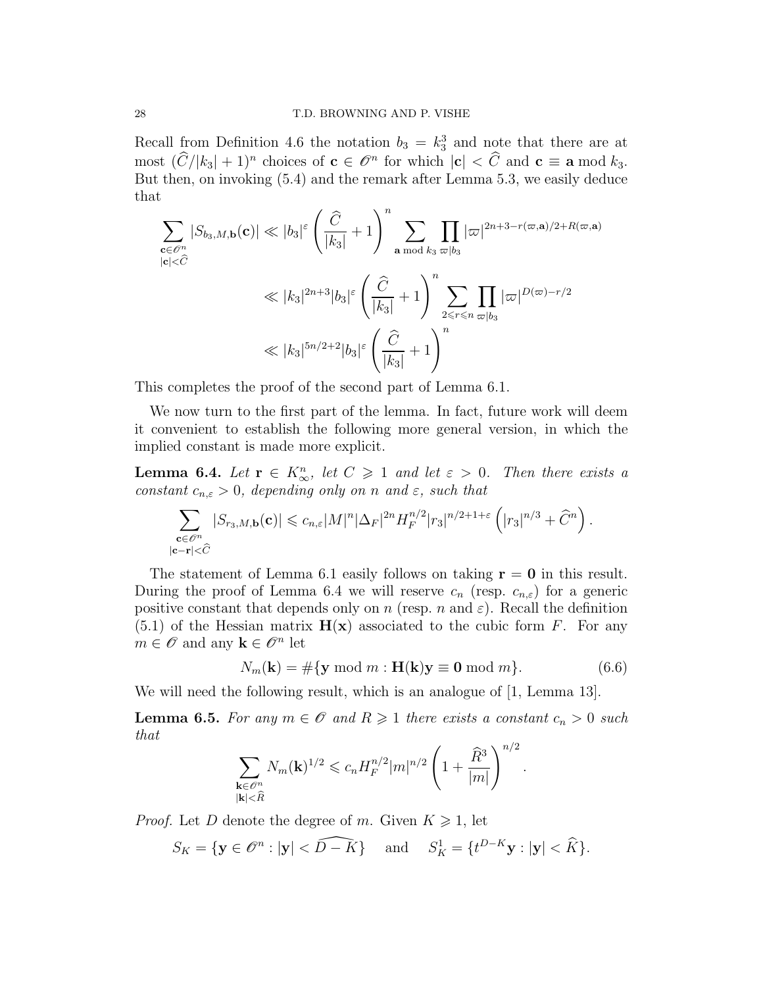Recall from Definition 4.6 the notation  $b_3 = k_3^3$  and note that there are at most  $(\widehat{C}/|k_3| + 1)^n$  choices of  $\mathbf{c} \in \mathscr{O}^n$  for which  $|\mathbf{c}| < \widehat{C}$  and  $\mathbf{c} \equiv \mathbf{a} \bmod k_3$ . But then, on invoking (5.4) and the remark after Lemma 5.3, we easily deduce that

$$
\sum_{\mathbf{c}\in\mathcal{O}^n} |S_{b_3,M,\mathbf{b}}(\mathbf{c})| \ll |b_3|^{\varepsilon} \left(\frac{\widehat{C}}{|k_3|}+1\right)^n \sum_{\mathbf{a}\bmod k_3} \prod_{\varpi|b_3} |\varpi|^{2n+3-r(\varpi,\mathbf{a})/2+R(\varpi,\mathbf{a})}
$$
  

$$
\ll |k_3|^{2n+3} |b_3|^{\varepsilon} \left(\frac{\widehat{C}}{|k_3|}+1\right)^n \sum_{2\leq r\leq n} \prod_{\varpi|b_3} |\varpi|^{D(\varpi)-r/2}
$$
  

$$
\ll |k_3|^{5n/2+2} |b_3|^{\varepsilon} \left(\frac{\widehat{C}}{|k_3|}+1\right)^n
$$

This completes the proof of the second part of Lemma 6.1.

We now turn to the first part of the lemma. In fact, future work will deem it convenient to establish the following more general version, in which the implied constant is made more explicit.

**Lemma 6.4.** Let  $\mathbf{r} \in K_{\infty}^n$ , let  $C \geq 1$  and let  $\varepsilon > 0$ . Then there exists a constant  $c_{n,\varepsilon} > 0$ , depending only on n and  $\varepsilon$ , such that

$$
\sum_{\substack{\mathbf{c}\in \mathscr{O}^n\\|\mathbf{c}-\mathbf{r}|<\widehat{C}}}|S_{r_3,M,\mathbf{b}}(\mathbf{c})|\leqslant c_{n,\varepsilon}|M|^n|\Delta_{F}|^{2n}H_{F}^{n/2}|r_3|^{n/2+1+\varepsilon}\left(|r_3|^{n/3}+\widehat{C}^{n}\right).
$$

The statement of Lemma 6.1 easily follows on taking  $\mathbf{r} = \mathbf{0}$  in this result. During the proof of Lemma 6.4 we will reserve  $c_n$  (resp.  $c_{n,\varepsilon}$ ) for a generic positive constant that depends only on n (resp. n and  $\varepsilon$ ). Recall the definition  $(5.1)$  of the Hessian matrix  $H(x)$  associated to the cubic form F. For any  $m \in \mathscr{O}$  and any  $\mathbf{k} \in \mathscr{O}^n$  let

$$
N_m(\mathbf{k}) = \# \{ \mathbf{y} \bmod m : \mathbf{H}(\mathbf{k}) \mathbf{y} \equiv \mathbf{0} \bmod m \}. \tag{6.6}
$$

We will need the following result, which is an analogue of [1, Lemma 13].

**Lemma 6.5.** For any  $m \in \mathcal{O}$  and  $R \geq 1$  there exists a constant  $c_n > 0$  such that

$$
\sum_{\substack{\mathbf{k}\in\mathscr{O}^n\\|\mathbf{k}|<\widehat{R}}}N_m(\mathbf{k})^{1/2}\leqslant c_nH_F^{n/2}|m|^{n/2}\left(1+\frac{\widehat{R}^3}{|m|}\right)^{n/2}.
$$

*Proof.* Let D denote the degree of m. Given  $K \geq 1$ , let

$$
S_K = \{ \mathbf{y} \in \mathscr{O}^n : |\mathbf{y}| < \widehat{D-K} \} \quad \text{and} \quad S_K^1 = \{ t^{D-K} \mathbf{y} : |\mathbf{y}| < \widehat{K} \}.
$$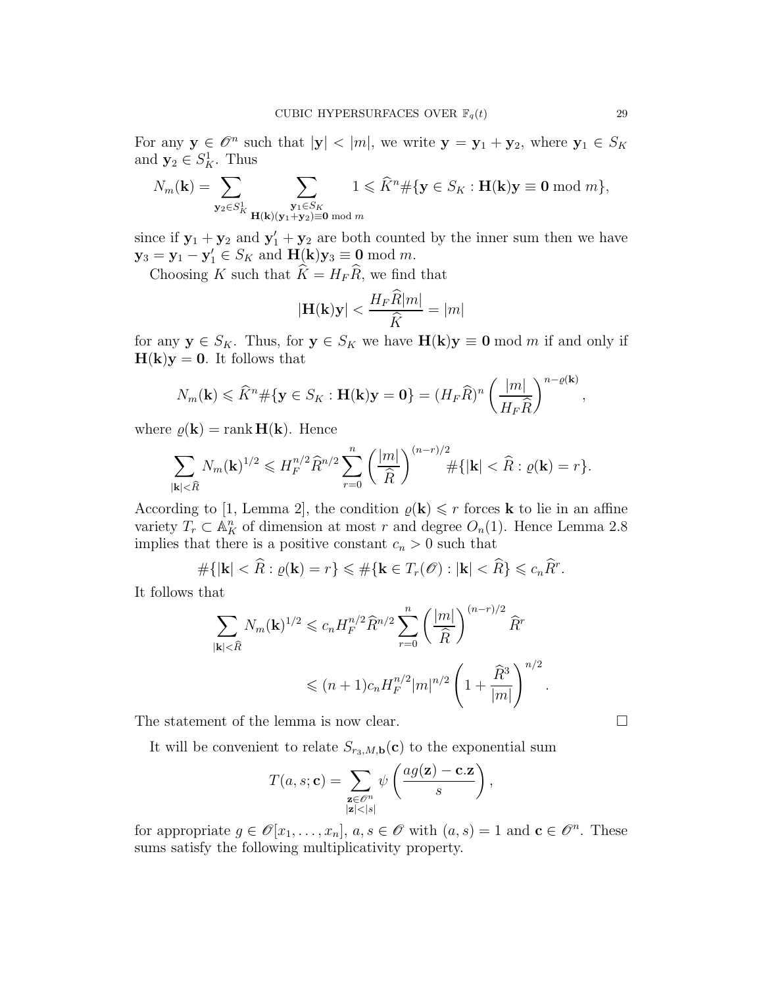For any  $y \in \mathscr{O}^n$  such that  $|y| < |m|$ , we write  $y = y_1 + y_2$ , where  $y_1 \in S_K$ and  $\mathbf{y}_2 \in S_K^1$ . Thus

$$
N_m(\mathbf{k}) = \sum_{\mathbf{y}_2 \in S_K^1} \sum_{\substack{\mathbf{y}_1 \in S_K \\ \mathbf{H}(\mathbf{k})(\mathbf{y}_1 + \mathbf{y}_2) \equiv \mathbf{0} \bmod m}} 1 \leqslant \widehat{K}^n \# \{ \mathbf{y} \in S_K : \mathbf{H}(\mathbf{k}) \mathbf{y} \equiv \mathbf{0} \bmod m \},
$$

since if  $y_1 + y_2$  and  $y'_1 + y_2$  are both counted by the inner sum then we have  $y_3 = y_1 - y_1' \in S_K$  and  $H(k)y_3 \equiv 0 \mod m$ .

Choosing K such that  $\widehat{K} = H_F\widehat{R}$ , we find that

$$
|\mathbf{H}(\mathbf{k})\mathbf{y}| < \frac{H_F R |m|}{\widehat{K}} = |m|
$$

for any  $y \in S_K$ . Thus, for  $y \in S_K$  we have  $H(k)y \equiv 0 \mod m$  if and only if  $H(k)y = 0$ . It follows that

$$
N_m(\mathbf{k}) \leq \widehat{K}^n \# \{ \mathbf{y} \in S_K : \mathbf{H}(\mathbf{k})\mathbf{y} = \mathbf{0} \} = (H_F \widehat{R})^n \left( \frac{|m|}{H_F \widehat{R}} \right)^{n - \varrho(\mathbf{k})},
$$

where  $\rho(\mathbf{k}) = \text{rank } \mathbf{H}(\mathbf{k})$ . Hence

$$
\sum_{|{\bf k}|<\widehat{R}}N_m({\bf k})^{1/2}\leqslant H_F^{n/2}\widehat{R}^{n/2}\sum_{r=0}^n\left(\frac{|m|}{\widehat{R}}\right)^{(n-r)/2}\#\{|{\bf k}|<\widehat{R}:\varrho({\bf k})=r\}.
$$

According to [1, Lemma 2], the condition  $\rho(\mathbf{k}) \leq r$  forces **k** to lie in an affine variety  $T_r \subset \mathbb{A}^n$  of dimension at most r and degree  $O_n(1)$ . Hence Lemma 2.8 implies that there is a positive constant  $c_n > 0$  such that

$$
\#\{|{\bf k}| < \widehat{R} : \varrho({\bf k}) = r\} \leqslant \#\{{\bf k} \in T_r(\mathscr{O}) : |{\bf k}| < \widehat{R}\} \leqslant c_n \widehat{R}^r.
$$

It follows that

$$
\sum_{|\mathbf{k}| < \widehat{R}} N_m(\mathbf{k})^{1/2} \leq c_n H_F^{n/2} \widehat{R}^{n/2} \sum_{r=0}^n \left( \frac{|m|}{\widehat{R}} \right)^{(n-r)/2} \widehat{R}^r
$$
  

$$
\leq (n+1)c_n H_F^{n/2} |m|^{n/2} \left( 1 + \frac{\widehat{R}^3}{|m|} \right)^{n/2}.
$$

The statement of the lemma is now clear.  $\Box$ 

It will be convenient to relate  $S_{r_3,M,\mathbf{b}}(\mathbf{c})$  to the exponential sum

$$
T(a, s; \mathbf{c}) = \sum_{\substack{\mathbf{z} \in \mathscr{O}^n \\ |\mathbf{z}| < |s|}} \psi\left(\frac{ag(\mathbf{z}) - \mathbf{c}.\mathbf{z}}{s}\right),
$$

for appropriate  $g \in \mathscr{O}[x_1, \ldots, x_n], a, s \in \mathscr{O}$  with  $(a, s) = 1$  and  $\mathbf{c} \in \mathscr{O}^n$ . These sums satisfy the following multiplicativity property.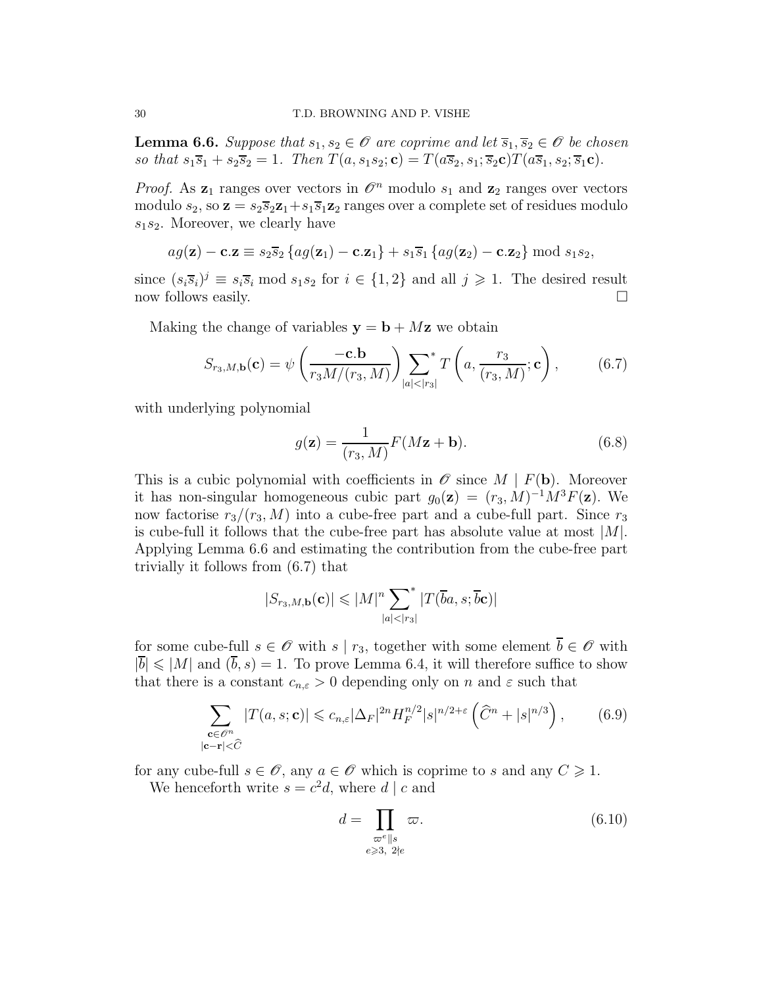**Lemma 6.6.** Suppose that  $s_1, s_2 \in \mathcal{O}$  are coprime and let  $\overline{s}_1, \overline{s}_2 \in \mathcal{O}$  be chosen so that  $s_1\overline{s}_1 + s_2\overline{s}_2 = 1$ . Then  $T(a, s_1s_2; \mathbf{c}) = T(a\overline{s}_2, s_1; \overline{s}_2\mathbf{c})T(a\overline{s}_1, s_2; \overline{s}_1\mathbf{c})$ .

*Proof.* As  $z_1$  ranges over vectors in  $\mathcal{O}^n$  modulo  $s_1$  and  $z_2$  ranges over vectors modulo  $s_2$ , so  $\mathbf{z} = s_2\overline{s}_2\mathbf{z}_1 + s_1\overline{s}_1\mathbf{z}_2$  ranges over a complete set of residues modulo  $s_1s_2$ . Moreover, we clearly have

$$
ag(\mathbf{z}) - \mathbf{c} \cdot \mathbf{z} \equiv s_2 \overline{s}_2 \left\{ ag(\mathbf{z}_1) - \mathbf{c} \cdot \mathbf{z}_1 \right\} + s_1 \overline{s}_1 \left\{ ag(\mathbf{z}_2) - \mathbf{c} \cdot \mathbf{z}_2 \right\} \bmod s_1 s_2,
$$

since  $(s_i \overline{s}_i)^j \equiv s_i \overline{s}_i \mod s_1 s_2$  for  $i \in \{1,2\}$  and all  $j \geqslant 1$ . The desired result now follows easily.

Making the change of variables  $y = b + Mz$  we obtain

$$
S_{r_3,M,\mathbf{b}}(\mathbf{c}) = \psi\left(\frac{-\mathbf{c}.\mathbf{b}}{r_3 M/(r_3, M)}\right) \sum_{|a| < |r_3|}^* T\left(a, \frac{r_3}{(r_3, M)}; \mathbf{c}\right),\tag{6.7}
$$

with underlying polynomial

$$
g(\mathbf{z}) = \frac{1}{(r_3, M)} F(M\mathbf{z} + \mathbf{b}).
$$
\n(6.8)

This is a cubic polynomial with coefficients in  $\mathscr O$  since  $M \mid F(\mathbf b)$ . Moreover it has non-singular homogeneous cubic part  $g_0(\mathbf{z}) = (r_3, M)^{-1} M^3 F(\mathbf{z})$ . We now factorise  $r_3/(r_3, M)$  into a cube-free part and a cube-full part. Since  $r_3$ is cube-full it follows that the cube-free part has absolute value at most  $|M|$ . Applying Lemma 6.6 and estimating the contribution from the cube-free part trivially it follows from (6.7) that

$$
|S_{r_3,M,\mathbf{b}}(\mathbf{c})| \leqslant |M|^n \sum_{|a|<|r_3|} \mathbf{r}(\overline{b}a,s;\overline{b}\mathbf{c})|
$$

for some cube-full  $s \in \mathscr{O}$  with  $s | r_3$ , together with some element  $\overline{b} \in \mathscr{O}$  with  $|\overline{b}| \leqslant |M|$  and  $(\overline{b}, s) = 1$ . To prove Lemma 6.4, it will therefore suffice to show that there is a constant  $c_{n,\varepsilon} > 0$  depending only on n and  $\varepsilon$  such that

$$
\sum_{\substack{\mathbf{c}\in\mathscr{O}^n\\|\mathbf{c}-\mathbf{r}|<\widehat{C}}} |T(a,s;\mathbf{c})| \leqslant c_{n,\varepsilon} |\Delta_F|^{2n} H_F^{n/2} |s|^{n/2+\varepsilon} \left(\widehat{C}^n + |s|^{n/3}\right),\tag{6.9}
$$

for any cube-full  $s \in \mathcal{O}$ , any  $a \in \mathcal{O}$  which is coprime to s and any  $C \geq 1$ . We henceforth write  $s = c^2 d$ , where  $d | c$  and

$$
d = \prod_{\substack{\varpi^e \parallel s \\ e \geqslant 3, 2 \nmid e}} \varpi. \tag{6.10}
$$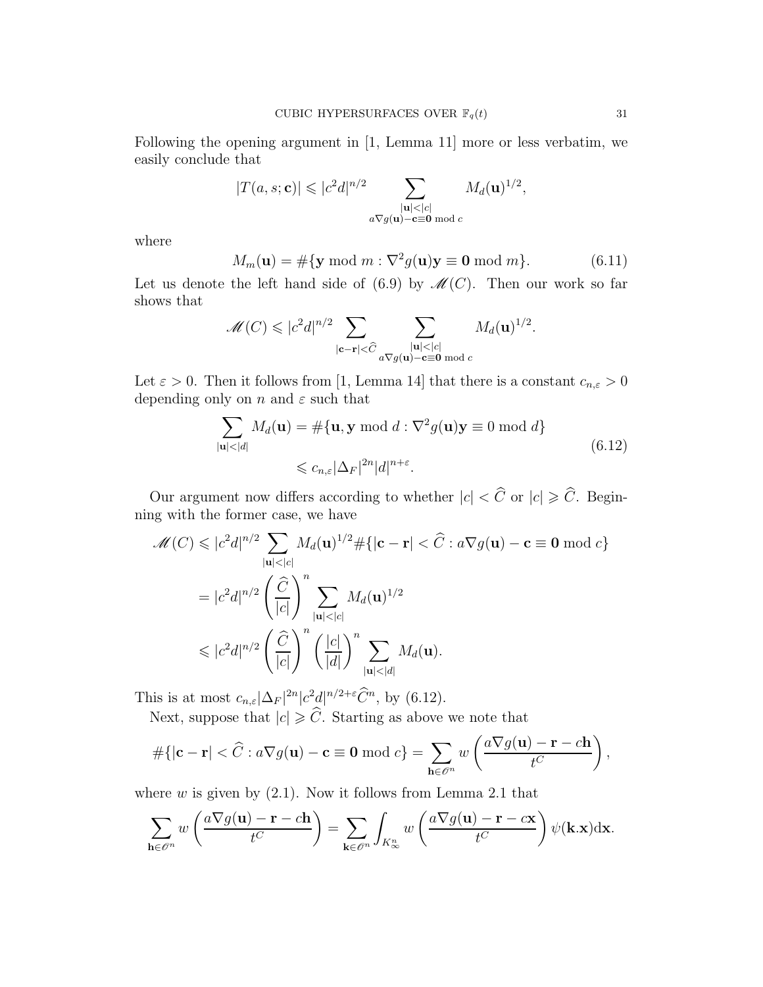Following the opening argument in [1, Lemma 11] more or less verbatim, we easily conclude that

$$
|T(a,s; \mathbf{c})| \leqslant |c^2 d|^{n/2} \sum_{\substack{|\mathbf{u}| < |c| \\ a \nabla g(\mathbf{u}) - \mathbf{c} \equiv \mathbf{0} \bmod c}} M_d(\mathbf{u})^{1/2},
$$

where

$$
M_m(\mathbf{u}) = \# \{ \mathbf{y} \bmod m : \nabla^2 g(\mathbf{u}) \mathbf{y} \equiv \mathbf{0} \bmod m \}. \tag{6.11}
$$

Let us denote the left hand side of (6.9) by  $\mathcal{M}(C)$ . Then our work so far shows that

$$
\mathscr{M}(C) \leqslant |c^2 d|^{n/2} \sum_{|\mathbf{c}-\mathbf{r}| < \widehat{C}} \sum_{\substack{|\mathbf{u}| < |c| \\ a \nabla g(\mathbf{u}) - \mathbf{c} \equiv \mathbf{0} \bmod c}} M_d(\mathbf{u})^{1/2}.
$$

Let  $\varepsilon > 0$ . Then it follows from [1, Lemma 14] that there is a constant  $c_{n,\varepsilon} > 0$ depending only on n and  $\varepsilon$  such that

$$
\sum_{|\mathbf{u}| < |d|} M_d(\mathbf{u}) = \#\{\mathbf{u}, \mathbf{y} \bmod d : \nabla^2 g(\mathbf{u})\mathbf{y} \equiv 0 \bmod d\}
$$
\n
$$
\leq c_{n,\varepsilon} |\Delta_F|^{2n} |d|^{n+\varepsilon}.
$$
\n(6.12)

Our argument now differs according to whether  $|c| < \widehat{C}$  or  $|c| \geq \widehat{C}$ . Beginning with the former case, we have

$$
\mathcal{M}(C) \leqslant |c^2 d|^{n/2} \sum_{|\mathbf{u}| < |c|} M_d(\mathbf{u})^{1/2} \# \{ |\mathbf{c} - \mathbf{r}| < \widehat{C} : a \nabla g(\mathbf{u}) - \mathbf{c} \equiv \mathbf{0} \bmod c \}
$$
\n
$$
= |c^2 d|^{n/2} \left( \frac{\widehat{C}}{|c|} \right)^n \sum_{|\mathbf{u}| < |c|} M_d(\mathbf{u})^{1/2}
$$
\n
$$
\leqslant |c^2 d|^{n/2} \left( \frac{\widehat{C}}{|c|} \right)^n \left( \frac{|c|}{|d|} \right)^n \sum_{|\mathbf{u}| < |d|} M_d(\mathbf{u}).
$$

This is at most  $c_{n,\varepsilon}|\Delta_F|^{2n}|c^2d|^{n/2+\varepsilon}\tilde{C}^n$ , by (6.12).

Next, suppose that  $|c| \geqslant C$ . Starting as above we note that

$$
\#\{|{\bf c}-{\bf r}|<\widehat{C}:a\nabla g({\bf u})-{\bf c}\equiv{\bf 0}\bmod c\}=\sum_{{\bf h}\in\mathscr{O}^n}w\left(\frac{a\nabla g({\bf u})-{\bf r}-c{\bf h}}{t^C}\right),\,
$$

where  $w$  is given by  $(2.1)$ . Now it follows from Lemma 2.1 that

$$
\sum_{\mathbf{h}\in\mathscr{O}^n} w\left(\frac{a\nabla g(\mathbf{u})-\mathbf{r}-c\mathbf{h}}{t^C}\right) = \sum_{\mathbf{k}\in\mathscr{O}^n} \int_{K^n_\infty} w\left(\frac{a\nabla g(\mathbf{u})-\mathbf{r}-c\mathbf{x}}{t^C}\right) \psi(\mathbf{k}.\mathbf{x}) d\mathbf{x}.
$$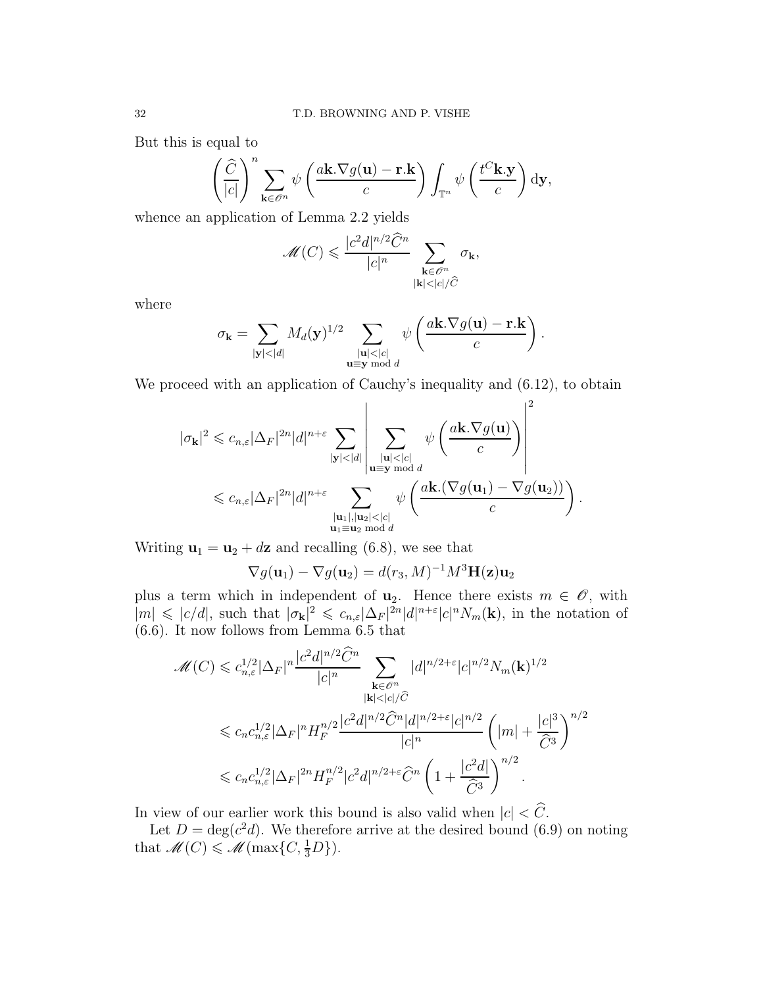But this is equal to

$$
\left(\frac{\widehat{C}}{|c|}\right)^n \sum_{\mathbf{k}\in\mathscr{O}^n}\psi\left(\frac{a\mathbf{k}.\nabla g(\mathbf{u})-\mathbf{r}.\mathbf{k}}{c}\right)\int_{\mathbb{T}^n}\psi\left(\frac{t^C\mathbf{k}.\mathbf{y}}{c}\right)\mathrm{d}\mathbf{y},\,
$$

whence an application of Lemma 2.2 yields

$$
\mathcal{M}(C) \leqslant \frac{|c^2 d|^{n/2} \hat{C}^n}{|c|^n} \sum_{\substack{\mathbf{k} \in \mathcal{O}^n \\ |\mathbf{k}| < |c|/\widehat{C}}} \sigma_{\mathbf{k}},
$$

where

$$
\sigma_{\mathbf{k}} = \sum_{|\mathbf{y}| < |d|} M_d(\mathbf{y})^{1/2} \sum_{\substack{|\mathbf{u}| < |c| \\ \mathbf{u} \equiv \mathbf{y} \bmod d}} \psi\left(\frac{a\mathbf{k}.\nabla g(\mathbf{u}) - \mathbf{r}.\mathbf{k}}{c}\right).
$$

We proceed with an application of Cauchy's inequality and  $(6.12)$ , to obtain

$$
|\sigma_{\mathbf{k}}|^2 \leqslant c_{n,\varepsilon} |\Delta_F|^{2n} |d|^{n+\varepsilon} \sum_{|\mathbf{y}| < |d|} \left| \sum_{\substack{|\mathbf{u}| < |c| \\ \mathbf{u} \equiv \mathbf{y} \bmod d}} \psi\left(\frac{a\mathbf{k}.\nabla g(\mathbf{u})}{c}\right) \right|^2
$$
  

$$
\leqslant c_{n,\varepsilon} |\Delta_F|^{2n} |d|^{n+\varepsilon} \sum_{\substack{|\mathbf{u}_1|, |\mathbf{u}_2| < |c| \\ \mathbf{u}_1 \equiv \mathbf{u}_2 \bmod d}} \psi\left(\frac{a\mathbf{k}.\nabla g(\mathbf{u}_1) - \nabla g(\mathbf{u}_2))}{c}\right).
$$

Writing  $\mathbf{u}_1 = \mathbf{u}_2 + d\mathbf{z}$  and recalling (6.8), we see that

$$
\nabla g(\mathbf{u}_1) - \nabla g(\mathbf{u}_2) = d(r_3, M)^{-1} M^3 \mathbf{H}(\mathbf{z}) \mathbf{u}_2
$$

plus a term which in independent of  $\mathbf{u}_2$ . Hence there exists  $m \in \mathscr{O}$ , with  $|m| \leqslant |c/d|$ , such that  $|\sigma_{\mathbf{k}}|^2 \leqslant c_{n,\varepsilon} |\Delta_F|^{2n} |d|^{n+\varepsilon} |c|^n N_m(\mathbf{k})$ , in the notation of (6.6). It now follows from Lemma 6.5 that

$$
\mathcal{M}(C) \leq c_{n,\varepsilon}^{1/2} |\Delta_F|^n \frac{|c^2 d|^{n/2} \hat{C}^n}{|c|^n} \sum_{\substack{\mathbf{k} \in \mathcal{O}^n \\ |\mathbf{k}| < |c|/\hat{C}}} |d|^{n/2+\varepsilon} |c|^{n/2} N_m(\mathbf{k})^{1/2}
$$
\n
$$
\leq c_n c_{n,\varepsilon}^{1/2} |\Delta_F|^n H_F^{n/2} \frac{|c^2 d|^{n/2} \hat{C}^n |d|^{n/2+\varepsilon} |c|^{n/2}}{|c|^n} \left( |m| + \frac{|c|^3}{\hat{C}^3} \right)^{n/2}
$$
\n
$$
\leq c_n c_{n,\varepsilon}^{1/2} |\Delta_F|^{2n} H_F^{n/2} |c^2 d|^{n/2+\varepsilon} \hat{C}^n \left( 1 + \frac{|c^2 d|}{\hat{C}^3} \right)^{n/2}.
$$

In view of our earlier work this bound is also valid when  $|c| < \widehat{C}$ .

Let  $D = \deg(c^2 d)$ . We therefore arrive at the desired bound (6.9) on noting that  $\mathscr{M}(C) \leqslant \mathscr{M}(\max\{C, \frac{1}{3}D\}).$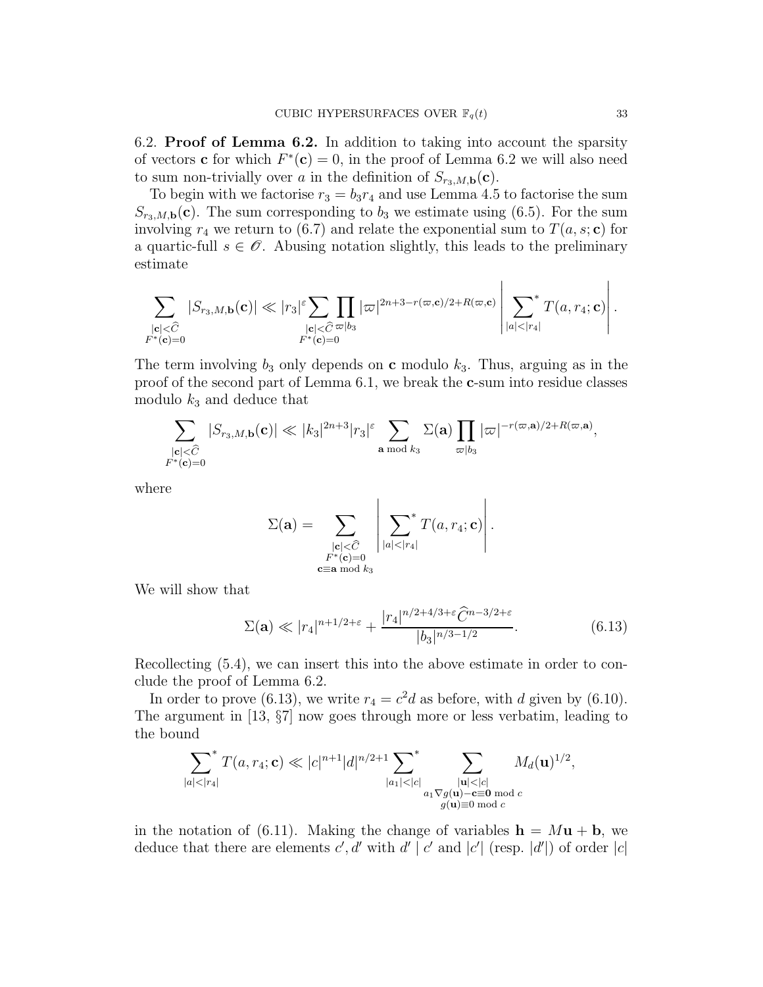6.2. Proof of Lemma 6.2. In addition to taking into account the sparsity of vectors **c** for which  $F^*(c) = 0$ , in the proof of Lemma 6.2 we will also need to sum non-trivially over a in the definition of  $S_{r_3,M,\mathbf{b}}(\mathbf{c})$ .

To begin with we factorise  $r_3 = b_3 r_4$  and use Lemma 4.5 to factorise the sum  $S_{r_3,M,\mathbf{b}}(\mathbf{c})$ . The sum corresponding to  $b_3$  we estimate using (6.5). For the sum involving  $r_4$  we return to (6.7) and relate the exponential sum to  $T(a, s; \mathbf{c})$  for a quartic-full  $s \in \mathscr{O}$ . Abusing notation slightly, this leads to the preliminary estimate

$$
\sum_{\substack{|\mathbf{c}| < \widehat{C}\\ F^*(\mathbf{c}) = 0}} |S_{r_3,M,\mathbf{b}}(\mathbf{c})| \ll |r_3|^{\varepsilon} \sum_{\substack{|\mathbf{c}| < \widehat{C}\\ F^*(\mathbf{c}) = 0}} \prod_{|\mathbf{c}| \leq \widehat{C}} |\varpi|^{2n+3-r(\varpi,\mathbf{c})/2 + R(\varpi,\mathbf{c})} \left| \sum_{|a| < |r_4|} f(a,r_4;\mathbf{c}) \right|.
$$

The term involving  $b_3$  only depends on **c** modulo  $k_3$ . Thus, arguing as in the proof of the second part of Lemma 6.1, we break the c-sum into residue classes modulo  $k_3$  and deduce that

$$
\sum_{\substack{|\mathbf{c}| < \widehat{C}\\F^*(\mathbf{c}) = 0}} |S_{r_3,M,\mathbf{b}}(\mathbf{c})| \ll |k_3|^{2n+3} |r_3|^\varepsilon \sum_{\mathbf{a} \bmod k_3} \Sigma(\mathbf{a}) \prod_{\varpi | b_3} |\varpi|^{-r(\varpi, \mathbf{a})/2 + R(\varpi, \mathbf{a})},
$$

where

$$
\Sigma(\mathbf{a}) = \sum_{\substack{|\mathbf{c}| \leq \widehat{C}\\ F^*(\mathbf{c}) = 0 \\ \mathbf{c} \equiv \mathbf{a} \bmod k_3}} \left| \sum_{|a| < |r_4|} T(a, r_4; \mathbf{c}) \right|.
$$

We will show that

$$
\Sigma(\mathbf{a}) \ll |r_4|^{n+1/2+\varepsilon} + \frac{|r_4|^{n/2+4/3+\varepsilon} \tilde{C}^{n-3/2+\varepsilon}}{|b_3|^{n/3-1/2}}.\tag{6.13}
$$

Recollecting (5.4), we can insert this into the above estimate in order to conclude the proof of Lemma 6.2.

In order to prove (6.13), we write  $r_4 = c^2 d$  as before, with d given by (6.10). The argument in [13, §7] now goes through more or less verbatim, leading to the bound

$$
\sum_{|a|<|r_4|}^* T(a,r_4; \mathbf{c}) \ll |c|^{n+1} |d|^{n/2+1} \sum_{|a_1|<|c|}^* \sum_{\substack{|\mathbf{u}|<|c|\\a_1 \nabla g(\mathbf{u})-\mathbf{c} \equiv \mathbf{0} \bmod c\\g(\mathbf{u}) \equiv 0 \bmod c}} M_d(\mathbf{u})^{1/2},
$$

in the notation of (6.11). Making the change of variables  $h = Mu + b$ , we deduce that there are elements  $c', d'$  with  $d' | c'$  and  $|c'|$  (resp.  $|d'|$ ) of order  $|c|$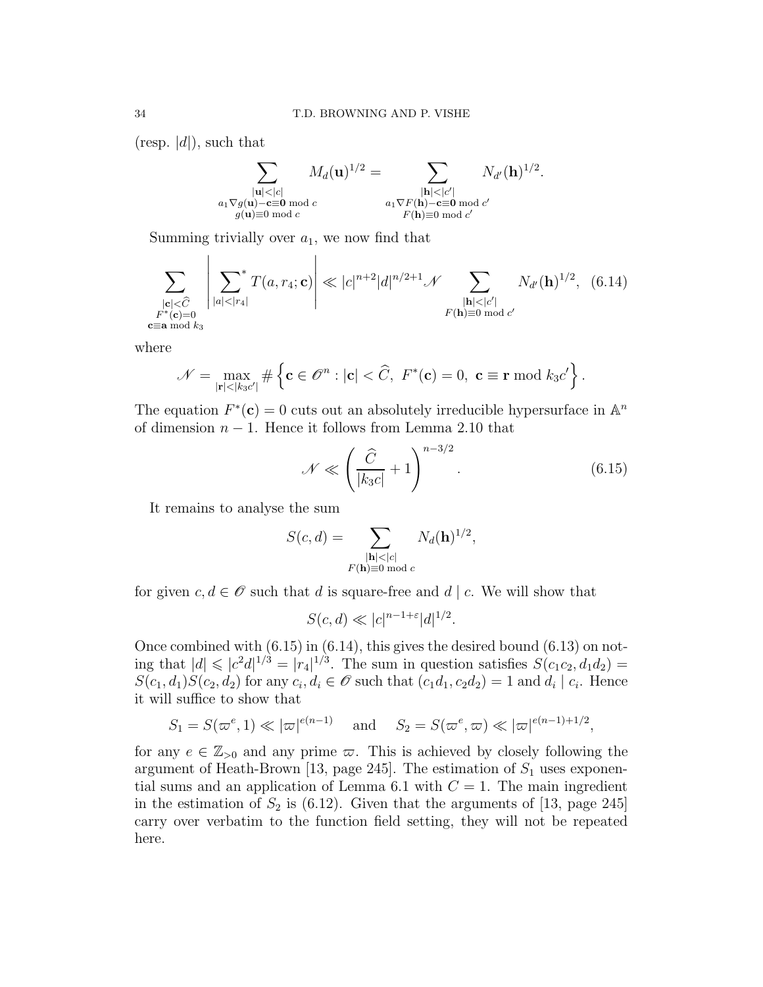(resp.  $|d|$ ), such that

 $\mathbf{L}$ 

$$
\sum_{\substack{|\mathbf{u}|<|c|\\ a_1\nabla g(\mathbf{u})-\mathbf{c}\equiv \mathbf{0} \bmod c}} M_d(\mathbf{u})^{1/2} = \sum_{\substack{|\mathbf{h}|<|c'|\\ a_1\nabla F(\mathbf{h})-\mathbf{c}\equiv \mathbf{0} \bmod c'}} N_{d'}(\mathbf{h})^{1/2}.
$$
  

$$
\sum_{\substack{|\mathbf{h}|<|c'|\\ g(\mathbf{u})\equiv 0 \bmod c'}} M_d(\mathbf{u})^{1/2} = \sum_{\substack{|\mathbf{h}|<|c'|\\ F(\mathbf{h})\equiv 0 \bmod c'}}
$$

Summing trivially over  $a_1$ , we now find that

 $\overline{1}$ 

$$
\sum_{\substack{|\mathbf{c}| < \widehat{C}\\ F^*(\mathbf{c}) = 0\\ \mathbf{c} \equiv \mathbf{a} \bmod k_3}} \left| \sum_{|a| < |r_4|}^* T(a, r_4; \mathbf{c}) \right| \ll |c|^{n+2} |d|^{n/2+1} \mathcal{N} \sum_{\substack{|\mathbf{h}| < |c'|\\ F(\mathbf{h}) \equiv 0 \bmod c'}} N_{d'}(\mathbf{h})^{1/2}, \quad (6.14)
$$

where

$$
\mathcal{N} = \max_{|\mathbf{r}| < |k_3 c'|} \# \left\{ \mathbf{c} \in \mathscr{O}^n : |\mathbf{c}| < \widehat{C}, \ F^*(\mathbf{c}) = 0, \ \mathbf{c} \equiv \mathbf{r} \bmod k_3 c' \right\}.
$$

The equation  $F^*(c) = 0$  cuts out an absolutely irreducible hypersurface in  $\mathbb{A}^n$ of dimension  $n - 1$ . Hence it follows from Lemma 2.10 that

$$
\mathcal{N} \ll \left(\frac{\widehat{C}}{|k_3 c|} + 1\right)^{n-3/2}.\tag{6.15}
$$

It remains to analyse the sum

$$
S(c,d) = \sum_{\substack{|\mathbf{h}| < |c| \\ F(\mathbf{h}) \equiv 0 \bmod c}} N_d(\mathbf{h})^{1/2},
$$

for given  $c, d \in \mathcal{O}$  such that d is square-free and d | c. We will show that

$$
S(c,d) \ll |c|^{n-1+\varepsilon}|d|^{1/2}.
$$

Once combined with  $(6.15)$  in  $(6.14)$ , this gives the desired bound  $(6.13)$  on noting that  $|d| \leqslant |c^2 d|^{1/3} = |r_4|^{1/3}$ . The sum in question satisfies  $S(c_1c_2, d_1d_2) =$  $S(c_1, d_1)S(c_2, d_2)$  for any  $c_i, d_i \in \mathscr{O}$  such that  $(c_1d_1, c_2d_2) = 1$  and  $d_i | c_i$ . Hence it will suffice to show that

$$
S_1 = S(\varpi^e, 1) \ll |\varpi|^{e(n-1)} \quad \text{and} \quad S_2 = S(\varpi^e, \varpi) \ll |\varpi|^{e(n-1)+1/2},
$$

for any  $e \in \mathbb{Z}_{>0}$  and any prime  $\varpi$ . This is achieved by closely following the argument of Heath-Brown [13, page 245]. The estimation of  $S_1$  uses exponential sums and an application of Lemma 6.1 with  $C = 1$ . The main ingredient in the estimation of  $S_2$  is (6.12). Given that the arguments of [13, page 245] carry over verbatim to the function field setting, they will not be repeated here.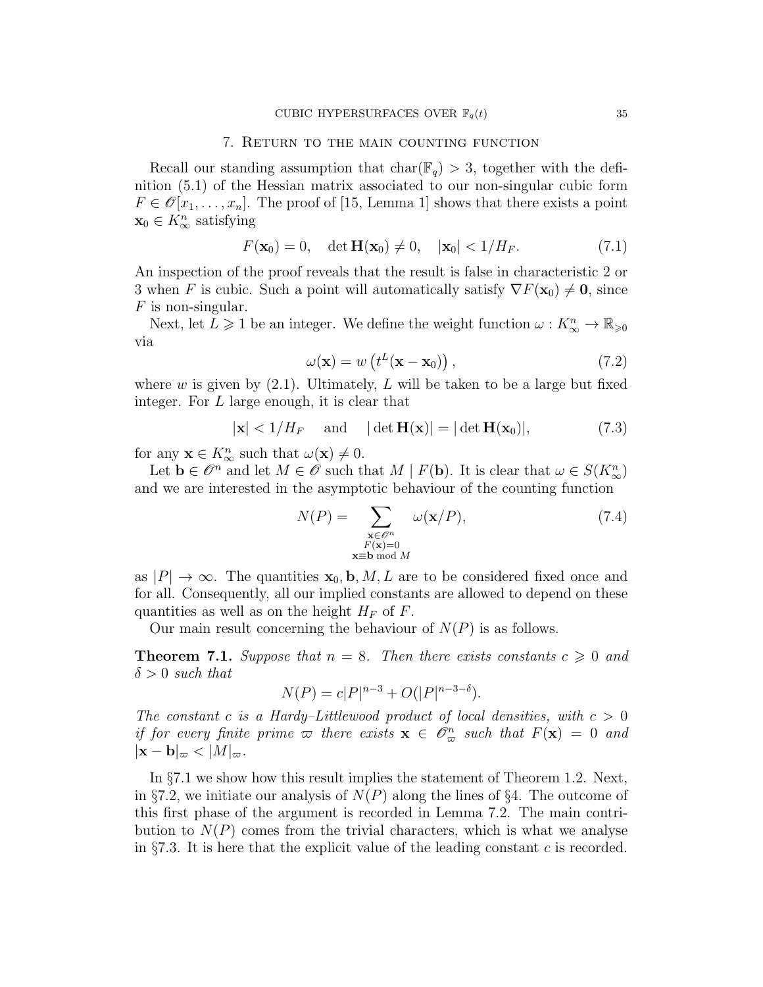### 7. Return to the main counting function

Recall our standing assumption that  $char(\mathbb{F}_q) > 3$ , together with the definition (5.1) of the Hessian matrix associated to our non-singular cubic form  $F \in \mathcal{O}[x_1, \ldots, x_n]$ . The proof of [15, Lemma 1] shows that there exists a point  $\mathbf{x}_0 \in K^n_{\infty}$  satisfying

$$
F(\mathbf{x}_0) = 0, \quad \det \mathbf{H}(\mathbf{x}_0) \neq 0, \quad |\mathbf{x}_0| < 1/H_F. \tag{7.1}
$$

An inspection of the proof reveals that the result is false in characteristic 2 or 3 when F is cubic. Such a point will automatically satisfy  $\nabla F(\mathbf{x}_0) \neq \mathbf{0}$ , since  $F$  is non-singular.

Next, let  $L \geq 1$  be an integer. We define the weight function  $\omega: K^n_{\infty} \to \mathbb{R}_{\geq 0}$ via

$$
\omega(\mathbf{x}) = w\left(t^L(\mathbf{x} - \mathbf{x}_0)\right),\tag{7.2}
$$

where w is given by  $(2.1)$ . Ultimately, L will be taken to be a large but fixed integer. For L large enough, it is clear that

$$
|\mathbf{x}| < 1/H_F
$$
 and  $|\det \mathbf{H}(\mathbf{x})| = |\det \mathbf{H}(\mathbf{x}_0)|,$  (7.3)

for any  $\mathbf{x} \in K^n_{\infty}$  such that  $\omega(\mathbf{x}) \neq 0$ .

Let  $\mathbf{b} \in \mathscr{O}^n$  and let  $M \in \mathscr{O}$  such that  $M \mid F(\mathbf{b})$ . It is clear that  $\omega \in S(K^n_\infty)$ and we are interested in the asymptotic behaviour of the counting function

$$
N(P) = \sum_{\substack{\mathbf{x} \in \mathcal{O}^n \\ F(\mathbf{x}) = 0 \\ \mathbf{x} \equiv \mathbf{b} \bmod M}} \omega(\mathbf{x}/P),
$$
 (7.4)

as  $|P| \to \infty$ . The quantities  $\mathbf{x}_0, \mathbf{b}, M, L$  are to be considered fixed once and for all. Consequently, all our implied constants are allowed to depend on these quantities as well as on the height  $H_F$  of F.

Our main result concerning the behaviour of  $N(P)$  is as follows.

**Theorem 7.1.** Suppose that  $n = 8$ . Then there exists constants  $c \geq 0$  and  $\delta > 0$  such that

$$
N(P) = c|P|^{n-3} + O(|P|^{n-3-\delta}).
$$

The constant c is a Hardy–Littlewood product of local densities, with  $c > 0$ if for every finite prime  $\varpi$  there exists  $\mathbf{x} \in \mathscr{O}_{\varpi}^n$  such that  $F(\mathbf{x}) = 0$  and  $|\mathbf{x} - \mathbf{b}|_{\varpi} < |M|_{\varpi}$ .

In §7.1 we show how this result implies the statement of Theorem 1.2. Next, in §7.2, we initiate our analysis of  $N(P)$  along the lines of §4. The outcome of this first phase of the argument is recorded in Lemma 7.2. The main contribution to  $N(P)$  comes from the trivial characters, which is what we analyse in §7.3. It is here that the explicit value of the leading constant c is recorded.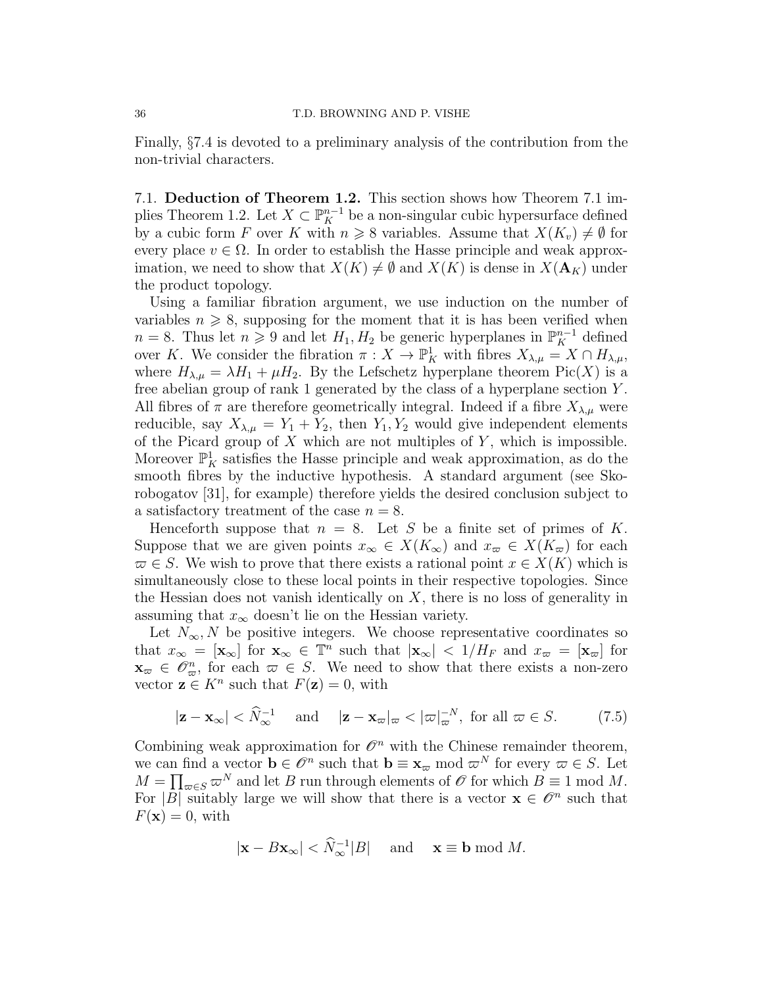Finally, §7.4 is devoted to a preliminary analysis of the contribution from the non-trivial characters.

7.1. Deduction of Theorem 1.2. This section shows how Theorem 7.1 implies Theorem 1.2. Let  $X \subset \mathbb{P}_{K}^{n-1}$  be a non-singular cubic hypersurface defined by a cubic form F over K with  $n \geq 8$  variables. Assume that  $X(K_n) \neq \emptyset$  for every place  $v \in \Omega$ . In order to establish the Hasse principle and weak approximation, we need to show that  $X(K) \neq \emptyset$  and  $X(K)$  is dense in  $X(\mathbf{A}_K)$  under the product topology.

Using a familiar fibration argument, we use induction on the number of variables  $n \geqslant 8$ , supposing for the moment that it is has been verified when  $n = 8$ . Thus let  $n \geq 9$  and let  $H_1, H_2$  be generic hyperplanes in  $\mathbb{P}_K^{n-1}$  defined over K. We consider the fibration  $\pi: X \to \mathbb{P}^1_K$  with fibres  $X_{\lambda,\mu} = X \cap H_{\lambda,\mu}$ , where  $H_{\lambda,\mu} = \lambda H_1 + \mu H_2$ . By the Lefschetz hyperplane theorem  $Pic(X)$  is a free abelian group of rank 1 generated by the class of a hyperplane section Y . All fibres of  $\pi$  are therefore geometrically integral. Indeed if a fibre  $X_{\lambda,\mu}$  were reducible, say  $X_{\lambda,\mu} = Y_1 + Y_2$ , then  $Y_1, Y_2$  would give independent elements of the Picard group of  $X$  which are not multiples of  $Y$ , which is impossible. Moreover  $\mathbb{P}^1_K$  satisfies the Hasse principle and weak approximation, as do the smooth fibres by the inductive hypothesis. A standard argument (see Skorobogatov [31], for example) therefore yields the desired conclusion subject to a satisfactory treatment of the case  $n = 8$ .

Henceforth suppose that  $n = 8$ . Let S be a finite set of primes of K. Suppose that we are given points  $x_{\infty} \in X(K_{\infty})$  and  $x_{\infty} \in X(K_{\infty})$  for each  $\overline{\omega} \in S$ . We wish to prove that there exists a rational point  $x \in X(K)$  which is simultaneously close to these local points in their respective topologies. Since the Hessian does not vanish identically on  $X$ , there is no loss of generality in assuming that  $x_{\infty}$  doesn't lie on the Hessian variety.

Let  $N_{\infty}$ , N be positive integers. We choose representative coordinates so that  $x_{\infty} = [\mathbf{x}_{\infty}]$  for  $\mathbf{x}_{\infty} \in \mathbb{T}^n$  such that  $|\mathbf{x}_{\infty}| < 1/H_F$  and  $x_{\infty} = [\mathbf{x}_{\infty}]$  for  $\mathbf{x}_{\varpi} \in \mathscr{O}_{\varpi}^n$ , for each  $\varpi \in S$ . We need to show that there exists a non-zero vector  $z \in K^n$  such that  $F(z) = 0$ , with

$$
|\mathbf{z} - \mathbf{x}_{\infty}| < \widehat{N}_{\infty}^{-1} \quad \text{and} \quad |\mathbf{z} - \mathbf{x}_{\infty}|_{\varpi} < |\varpi|_{\varpi}^{-N}, \text{ for all } \varpi \in S. \tag{7.5}
$$

Combining weak approximation for  $\mathcal{O}^n$  with the Chinese remainder theorem, we can find a vector  $\mathbf{b} \in \mathscr{O}^n$  such that  $\mathbf{b} \equiv \mathbf{x}_{\varpi} \bmod \varpi^N$  for every  $\varpi \in S$ . Let  $M = \prod_{\varpi \in S} \varpi^N$  and let B run through elements of  $\mathscr O$  for which  $B \equiv 1 \mod M$ . For  $|\overline{B}|$  suitably large we will show that there is a vector  $\mathbf{x} \in \mathscr{O}^n$  such that  $F(\mathbf{x}) = 0$ , with

$$
|\mathbf{x} - B\mathbf{x}_{\infty}| < \widehat{N}_{\infty}^{-1}|B|
$$
 and  $\mathbf{x} \equiv \mathbf{b} \bmod M$ .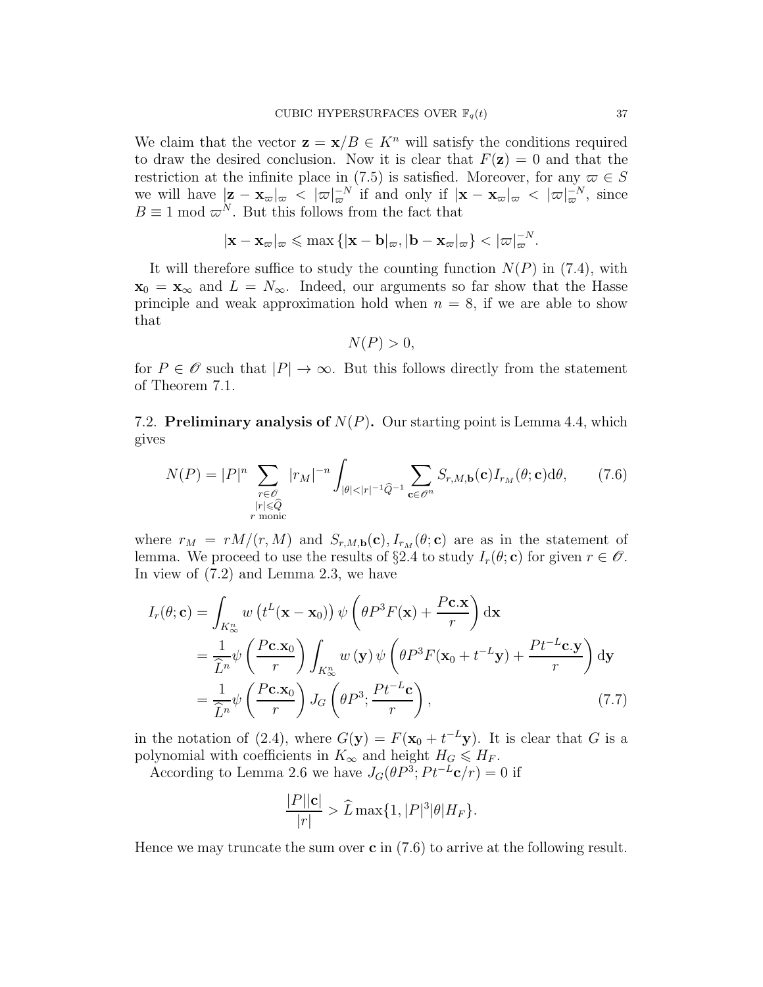We claim that the vector  $\mathbf{z} = \mathbf{x}/B \in K^n$  will satisfy the conditions required to draw the desired conclusion. Now it is clear that  $F(\mathbf{z}) = 0$  and that the restriction at the infinite place in (7.5) is satisfied. Moreover, for any  $\varpi \in S$ we will have  $|\mathbf{z} - \mathbf{x}_{\infty}|_{\infty} < |\varpi|_{\infty}^{-N}$  if and only if  $|\mathbf{x} - \mathbf{x}_{\infty}|_{\infty} < |\varpi|_{\infty}^{-N}$ , since  $B \equiv 1 \mod \varpi^N$ . But this follows from the fact that

$$
|\mathbf{x} - \mathbf{x}_{\varpi}|_{\varpi} \le \max\{|\mathbf{x} - \mathbf{b}|_{\varpi}, |\mathbf{b} - \mathbf{x}_{\varpi}|_{\varpi}\} < |\varpi|_{\varpi}^{-N}.
$$

It will therefore suffice to study the counting function  $N(P)$  in (7.4), with  $\mathbf{x}_0 = \mathbf{x}_{\infty}$  and  $L = N_{\infty}$ . Indeed, our arguments so far show that the Hasse principle and weak approximation hold when  $n = 8$ , if we are able to show that

$$
N(P) > 0,
$$

for  $P \in \mathscr{O}$  such that  $|P| \to \infty$ . But this follows directly from the statement of Theorem 7.1.

7.2. Preliminary analysis of  $N(P)$ . Our starting point is Lemma 4.4, which gives

$$
N(P) = |P|^n \sum_{\substack{r \in \mathcal{O} \\ |r| \leq \widehat{Q} \\ r \text{ monic}}} |r_M|^{-n} \int_{|\theta| < |r|^{-1} \widehat{Q}^{-1}} \sum_{\mathbf{c} \in \mathcal{O}^n} S_{r,M,\mathbf{b}}(\mathbf{c}) I_{r_M}(\theta; \mathbf{c}) d\theta, \qquad (7.6)
$$

where  $r_M = rM/(r, M)$  and  $S_{r,M,\mathbf{b}}(\mathbf{c}), I_{r_M}(\theta; \mathbf{c})$  are as in the statement of lemma. We proceed to use the results of §2.4 to study  $I_r(\theta; \mathbf{c})$  for given  $r \in \mathcal{O}$ . In view of (7.2) and Lemma 2.3, we have

$$
I_r(\theta; \mathbf{c}) = \int_{K_{\infty}^n} w(t^L(\mathbf{x} - \mathbf{x}_0)) \psi\left(\theta P^3 F(\mathbf{x}) + \frac{P \mathbf{c}.\mathbf{x}}{r}\right) d\mathbf{x}
$$
  
\n
$$
= \frac{1}{\hat{L}^n} \psi\left(\frac{P \mathbf{c}.\mathbf{x}_0}{r}\right) \int_{K_{\infty}^n} w(\mathbf{y}) \psi\left(\theta P^3 F(\mathbf{x}_0 + t^{-L} \mathbf{y}) + \frac{P t^{-L} \mathbf{c}.\mathbf{y}}{r}\right) d\mathbf{y}
$$
  
\n
$$
= \frac{1}{\hat{L}^n} \psi\left(\frac{P \mathbf{c}.\mathbf{x}_0}{r}\right) J_G\left(\theta P^3; \frac{P t^{-L} \mathbf{c}}{r}\right), \qquad (7.7)
$$

in the notation of (2.4), where  $G(y) = F(x_0 + t^{-L}y)$ . It is clear that G is a polynomial with coefficients in  $K_{\infty}$  and height  $H_G \leqslant H_F$ .

According to Lemma 2.6 we have  $J_G(\theta P^3; Pt^{-L}\mathbf{c}/r) = 0$  if

$$
\frac{|P||\mathbf{c}|}{|r|} > \widehat{L} \max\{1, |P|^3|\theta|H_F\}.
$$

Hence we may truncate the sum over  $\mathbf c$  in (7.6) to arrive at the following result.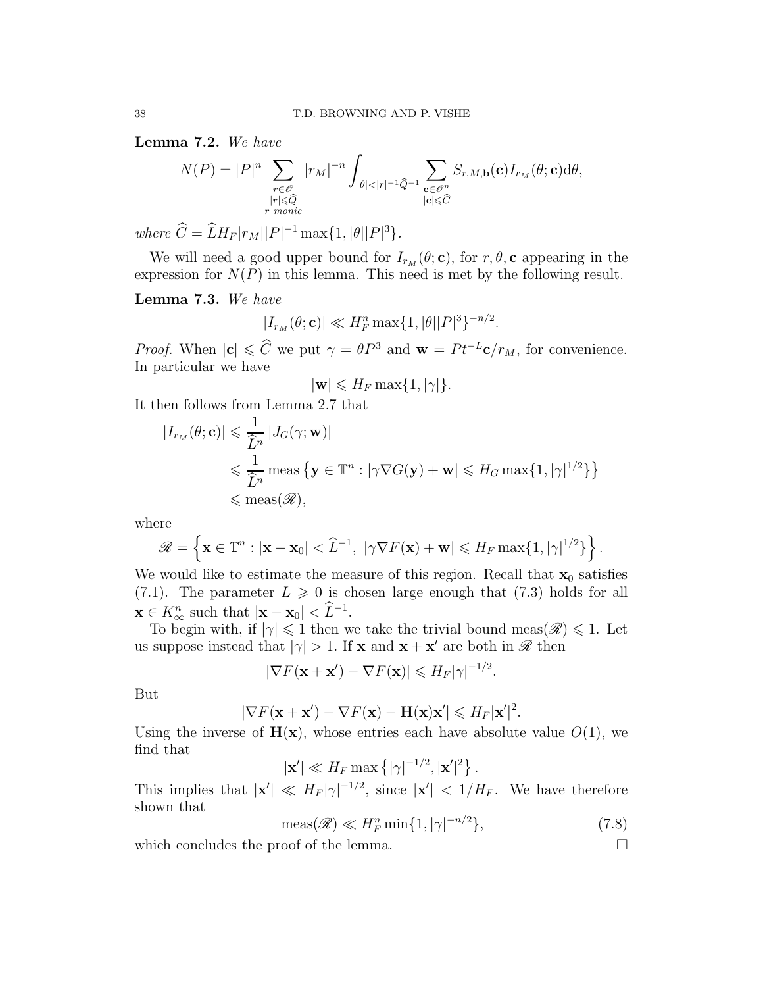Lemma 7.2. We have

$$
N(P) = |P|^n \sum_{\substack{r \in \mathcal{O} \\ |r| \le \widehat{Q} \\ r \text{ monic}}} |r_M|^{-n} \int_{|\theta| < |r|^{-1} \widehat{Q}^{-1}} \sum_{\substack{\mathbf{c} \in \mathcal{O}^n \\ |\mathbf{c}| \le \widehat{C}}} S_{r,M,\mathbf{b}}(\mathbf{c}) I_{r_M}(\theta; \mathbf{c}) d\theta,
$$

where  $C = L H_F |r_M| |P|^{-1} \max\{1, |\theta| |P|^3\}.$ 

We will need a good upper bound for  $I_{r_M}(\theta; \mathbf{c})$ , for  $r, \theta, \mathbf{c}$  appearing in the expression for  $N(P)$  in this lemma. This need is met by the following result.

Lemma 7.3. We have

$$
|I_{r_M}(\theta; \mathbf{c})| \ll H_F^n \max\{1, |\theta| |P|^3\}^{-n/2}.
$$

*Proof.* When  $|c| \leq \widehat{C}$  we put  $\gamma = \theta P^3$  and  $\mathbf{w} = P t^{-L} \mathbf{c}/r_M$ , for convenience. In particular we have

$$
|\mathbf{w}| \leqslant H_F \max\{1, |\gamma|\}.
$$

It then follows from Lemma 2.7 that

$$
\begin{aligned} |I_{r_M}(\theta; \mathbf{c})| &\leq \frac{1}{\widehat{L}^n} |J_G(\gamma; \mathbf{w})| \\ &\leq \frac{1}{\widehat{L}^n} \operatorname{meas} \left\{ \mathbf{y} \in \mathbb{T}^n : |\gamma \nabla G(\mathbf{y}) + \mathbf{w}| \leq H_G \max\{1, |\gamma|^{1/2}\} \right\} \\ &\leqslant \operatorname{meas}(\mathscr{R}), \end{aligned}
$$

where

$$
\mathscr{R} = \left\{ \mathbf{x} \in \mathbb{T}^n : |\mathbf{x} - \mathbf{x}_0| < \widehat{L}^{-1}, \ |\gamma \nabla F(\mathbf{x}) + \mathbf{w}| \leqslant H_F \max\{1, |\gamma|^{1/2}\} \right\}.
$$

We would like to estimate the measure of this region. Recall that  $x_0$  satisfies (7.1). The parameter  $L \ge 0$  is chosen large enough that (7.3) holds for all  $\mathbf{x} \in K^n_\infty$  such that  $|\mathbf{x} - \mathbf{x}_0| < \tilde{L}^{-1}$ .

To begin with, if  $|\gamma| \leq 1$  then we take the trivial bound meas( $\mathscr{R} \leq 1$ . Let us suppose instead that  $|\gamma| > 1$ . If **x** and **x** + **x'** are both in **R** then

$$
|\nabla F(\mathbf{x} + \mathbf{x}') - \nabla F(\mathbf{x})| \leq H_F |\gamma|^{-1/2}.
$$

But

$$
|\nabla F(\mathbf{x} + \mathbf{x}') - \nabla F(\mathbf{x}) - \mathbf{H}(\mathbf{x})\mathbf{x}'| \le H_F |\mathbf{x}'|^2.
$$

Using the inverse of  $H(x)$ , whose entries each have absolute value  $O(1)$ , we find that

 $|\mathbf{x}'| \ll H_F \max\left\{ |\gamma|^{-1/2}, |\mathbf{x}'|^2 \right\}.$ 

This implies that  $|\mathbf{x}'| \ll H_F |\gamma|^{-1/2}$ , since  $|\mathbf{x}'| < 1/H_F$ . We have therefore shown that

$$
\operatorname{meas}(\mathscr{R}) \ll H_F^n \min\{1, |\gamma|^{-n/2}\},\tag{7.8}
$$

which concludes the proof of the lemma.  $\Box$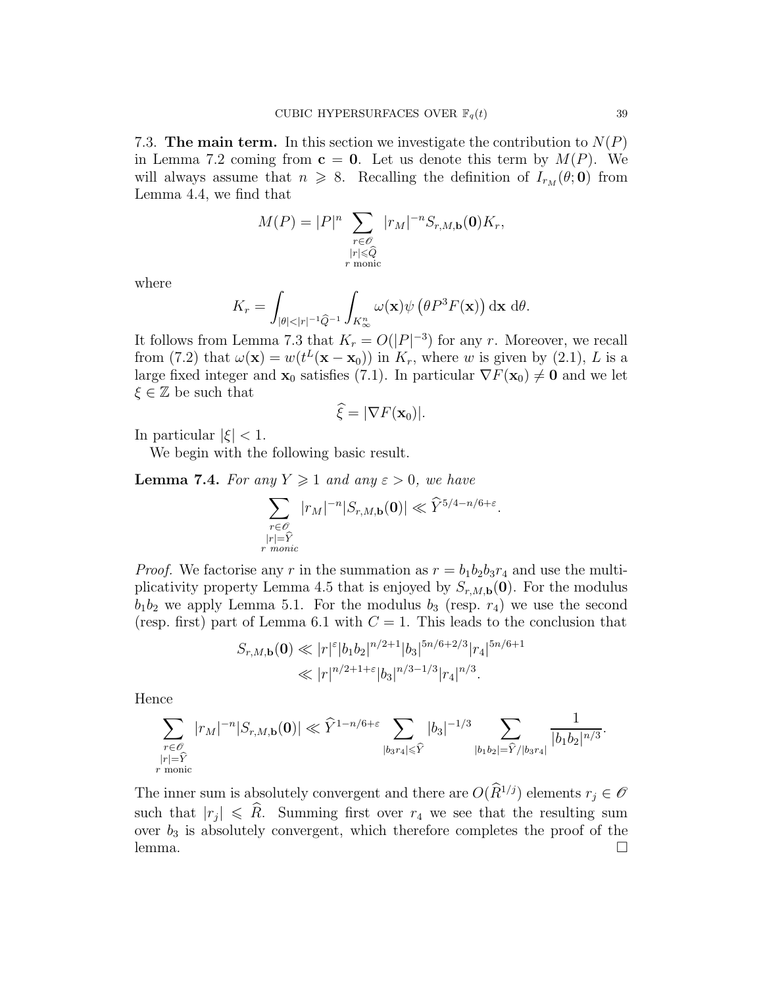7.3. The main term. In this section we investigate the contribution to  $N(P)$ in Lemma 7.2 coming from  $c = 0$ . Let us denote this term by  $M(P)$ . We will always assume that  $n \ge 8$ . Recalling the definition of  $I_{r_M}(\theta; \mathbf{0})$  from Lemma 4.4, we find that

$$
M(P) = |P|^n \sum_{\substack{r \in \mathcal{O} \\ |r| \le \widehat{Q} \\ r \text{ monic}}} |r_M|^{-n} S_{r,M,\mathbf{b}}(\mathbf{0}) K_r,
$$

where

$$
K_r = \int_{|\theta| < |r|^{-1} \widehat{Q}^{-1}} \int_{K^n_\infty} \omega(\mathbf{x}) \psi\left(\theta P^3 F(\mathbf{x})\right) \mathrm{d}\mathbf{x} \; \mathrm{d}\theta.
$$

It follows from Lemma 7.3 that  $K_r = O(|P|^{-3})$  for any r. Moreover, we recall from (7.2) that  $\omega(\mathbf{x}) = w(t^L(\mathbf{x} - \mathbf{x}_0))$  in  $K_r$ , where w is given by (2.1), L is a large fixed integer and  $\mathbf{x}_0$  satisfies (7.1). In particular  $\nabla F(\mathbf{x}_0) \neq \mathbf{0}$  and we let  $\xi \in \mathbb{Z}$  be such that

$$
\widehat{\xi} = |\nabla F(\mathbf{x}_0)|.
$$

In particular  $|\xi|$  < 1.

We begin with the following basic result.

**Lemma 7.4.** For any  $Y \geq 1$  and any  $\varepsilon > 0$ , we have

$$
\sum_{\substack{r \in \mathcal{O} \\ |r| = \widehat{Y} \\ r \text{ monic}}} |r_M|^{-n} |S_{r,M,\mathbf{b}}(\mathbf{0})| \ll \widehat{Y}^{5/4 - n/6 + \varepsilon}.
$$

*Proof.* We factorise any r in the summation as  $r = b_1b_2b_3r_4$  and use the multiplicativity property Lemma 4.5 that is enjoyed by  $S_{r,M,\mathbf{b}}(\mathbf{0})$ . For the modulus  $b_1b_2$  we apply Lemma 5.1. For the modulus  $b_3$  (resp.  $r_4$ ) we use the second (resp. first) part of Lemma 6.1 with  $C = 1$ . This leads to the conclusion that

$$
S_{r,M,\mathbf{b}}(\mathbf{0}) \ll |r|^{\varepsilon} |b_1 b_2|^{n/2+1} |b_3|^{5n/6+2/3} |r_4|^{5n/6+1}
$$
  

$$
\ll |r|^{n/2+1+\varepsilon} |b_3|^{n/3-1/3} |r_4|^{n/3}.
$$

Hence

 $\boldsymbol{r}$ 

$$
\sum_{\substack{r \in \mathscr{O} \\ |r| = \widehat{Y} \\ \text{monic}}} |r_M|^{-n}|S_{r,M,\mathbf{b}}(\mathbf{0})| \ll \widehat{Y}^{1-n/6+\varepsilon} \sum_{|b_3r_4| \leqslant \widehat{Y}} |b_3|^{-1/3} \sum_{|b_1b_2| = \widehat{Y}/|b_3r_4|} \frac{1}{|b_1b_2|^{n/3}}.
$$

The inner sum is absolutely convergent and there are  $O(\widehat{R}^{1/j})$  elements  $r_j \in \mathscr{O}$ such that  $|r_j| \le R$ . Summing first over  $r_4$  we see that the resulting sum over  $b_3$  is absolutely convergent, which therefore completes the proof of the lemma.  $\Box$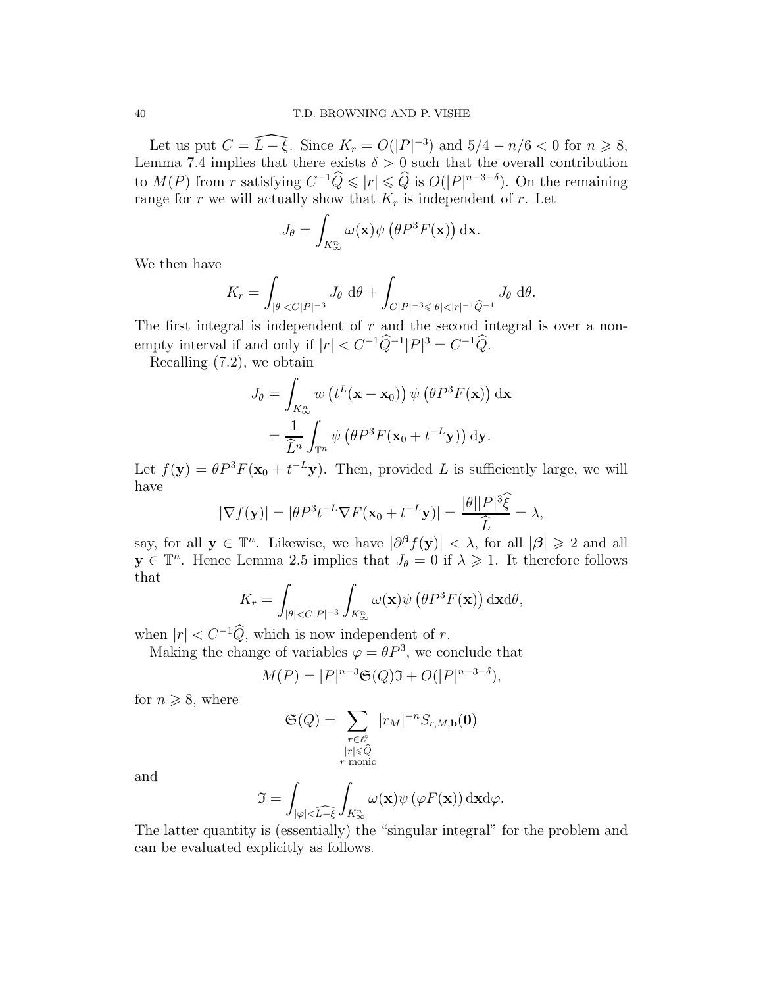Let us put  $C = \widehat{L - \xi}$ . Since  $K_r = O(|P|^{-3})$  and  $5/4 - n/6 < 0$  for  $n \ge 8$ , Lemma 7.4 implies that there exists  $\delta > 0$  such that the overall contribution to  $M(P)$  from r satisfying  $C^{-1}\widehat{Q} \leqslant |r| \leqslant \widehat{Q}$  is  $O(|P|^{n-3-\delta})$ . On the remaining range for r we will actually show that  $K_r$  is independent of r. Let

$$
J_{\theta} = \int_{K_{\infty}^{n}} \omega(\mathbf{x}) \psi\left(\theta P^{3} F(\mathbf{x})\right) d\mathbf{x}.
$$

We then have

$$
K_r = \int_{|\theta| < C|P|^{-3}} J_\theta \, \mathrm{d}\theta + \int_{C|P|^{-3} \leqslant |\theta| < |r|^{-1} \widehat{Q}^{-1}} J_\theta \, \mathrm{d}\theta.
$$

The first integral is independent of  $r$  and the second integral is over a nonempty interval if and only if  $|r| < C^{-1} \widehat{Q}^{-1} |P|^3 = C^{-1} \widehat{Q}$ .

Recalling  $(7.2)$ , we obtain

$$
J_{\theta} = \int_{K_{\infty}^{n}} w(t^{L}(\mathbf{x} - \mathbf{x}_{0})) \psi(\theta P^{3} F(\mathbf{x})) d\mathbf{x}
$$
  
= 
$$
\frac{1}{\widehat{L}^{n}} \int_{\mathbb{T}^{n}} \psi(\theta P^{3} F(\mathbf{x}_{0} + t^{-L} \mathbf{y})) d\mathbf{y}.
$$

Let  $f(\mathbf{y}) = \theta P^3 F(\mathbf{x}_0 + t^{-L} \mathbf{y})$ . Then, provided L is sufficiently large, we will have

$$
|\nabla f(\mathbf{y})| = |\theta P^3 t^{-L} \nabla F(\mathbf{x}_0 + t^{-L} \mathbf{y})| = \frac{|\theta||P|^3 \hat{\xi}}{\hat{L}} = \lambda,
$$

say, for all  $y \in \mathbb{T}^n$ . Likewise, we have  $|\partial^{\beta} f(y)| < \lambda$ , for all  $|\beta| \geq 2$  and all  $y \in \mathbb{T}^n$ . Hence Lemma 2.5 implies that  $J_{\theta} = 0$  if  $\lambda \geq 1$ . It therefore follows that

$$
K_r = \int_{|\theta| < C|P|^{-3}} \int_{K_\infty^n} \omega(\mathbf{x}) \psi\left(\theta P^3 F(\mathbf{x})\right) \mathrm{d}\mathbf{x} \mathrm{d}\theta,
$$

when  $|r| < C^{-1}\widehat{Q}$ , which is now independent of r.

Making the change of variables  $\varphi = \theta P^3$ , we conclude that

$$
M(P) = |P|^{n-3} \mathfrak{S}(Q) \mathfrak{I} + O(|P|^{n-3-\delta}),
$$

for  $n \geqslant 8$ , where

$$
\mathfrak{S}(Q) = \sum_{\substack{r \in \mathcal{O} \\ |r| \le \widehat{Q} \\ r \text{ monic}}} |r_M|^{-n} S_{r,M,\mathbf{b}}(\mathbf{0})
$$

and

$$
\mathfrak{I} = \int_{|\varphi| < \widehat{L - \xi}} \int_{K_{\infty}^n} \omega(\mathbf{x}) \psi(\varphi F(\mathbf{x})) \, \mathrm{d}\mathbf{x} \mathrm{d}\varphi.
$$

The latter quantity is (essentially) the "singular integral" for the problem and can be evaluated explicitly as follows.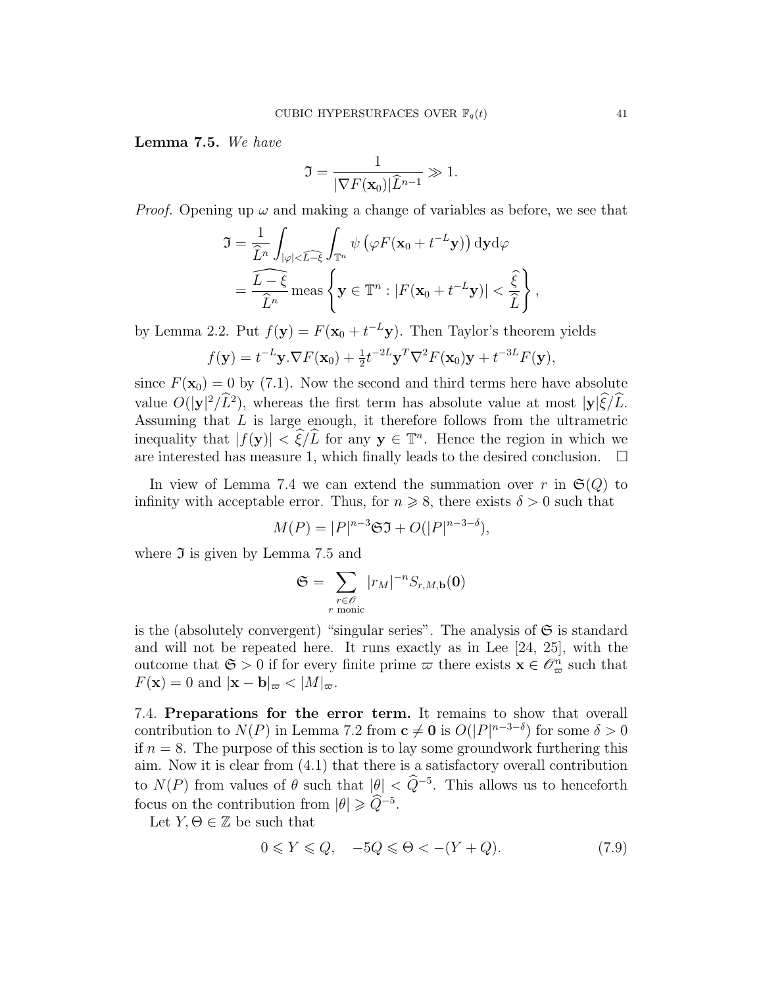Lemma 7.5. We have

$$
\mathfrak{I} = \frac{1}{|\nabla F(\mathbf{x}_0)| \widehat{L}^{n-1}} \gg 1.
$$

*Proof.* Opening up  $\omega$  and making a change of variables as before, we see that

$$
\mathfrak{I} = \frac{1}{\widehat{L}^n} \int_{|\varphi| < \widehat{L-\xi}} \int_{\mathbb{T}^n} \psi \left( \varphi F(\mathbf{x}_0 + t^{-L} \mathbf{y}) \right) d\mathbf{y} d\varphi
$$
\n
$$
= \frac{\widehat{L-\xi}}{\widehat{L}^n} \operatorname{meas} \left\{ \mathbf{y} \in \mathbb{T}^n : |F(\mathbf{x}_0 + t^{-L} \mathbf{y})| < \frac{\widehat{\xi}}{\widehat{L}} \right\},
$$

by Lemma 2.2. Put  $f(\mathbf{y}) = F(\mathbf{x}_0 + t^{-L}\mathbf{y})$ . Then Taylor's theorem yields

$$
f(\mathbf{y}) = t^{-L} \mathbf{y} \cdot \nabla F(\mathbf{x}_0) + \frac{1}{2} t^{-2L} \mathbf{y}^T \nabla^2 F(\mathbf{x}_0) \mathbf{y} + t^{-3L} F(\mathbf{y}),
$$

since  $F(\mathbf{x}_0) = 0$  by (7.1). Now the second and third terms here have absolute value  $O(|y|^2/\tilde{L}^2)$ , whereas the first term has absolute value at most  $|y|\tilde{\xi}/\tilde{L}$ . Assuming that  $L$  is large enough, it therefore follows from the ultrametric inequality that  $|f(\mathbf{y})| < \xi/L$  for any  $\mathbf{y} \in \mathbb{T}^n$ . Hence the region in which we are interested has measure 1, which finally leads to the desired conclusion.  $\Box$ 

In view of Lemma 7.4 we can extend the summation over r in  $\mathfrak{S}(Q)$  to infinity with acceptable error. Thus, for  $n \geq 8$ , there exists  $\delta > 0$  such that

$$
M(P) = |P|^{n-3} \mathfrak{S} \mathfrak{I} + O(|P|^{n-3-\delta}),
$$

where  $\Im$  is given by Lemma 7.5 and

$$
\mathfrak{S} = \sum_{\substack{r \in \mathscr{O} \\ r \text{ monic}}} |r_M|^{-n} S_{r,M,\mathbf{b}}(\mathbf{0})
$$

is the (absolutely convergent) "singular series". The analysis of  $\mathfrak S$  is standard and will not be repeated here. It runs exactly as in Lee [24, 25], with the outcome that  $\mathfrak{S} > 0$  if for every finite prime  $\varpi$  there exists  $\mathbf{x} \in \mathscr{O}_{\varpi}^n$  such that  $F(\mathbf{x}) = 0$  and  $|\mathbf{x} - \mathbf{b}|_{\varpi} < |M|_{\varpi}$ .

7.4. Preparations for the error term. It remains to show that overall contribution to  $N(P)$  in Lemma 7.2 from  $c \neq 0$  is  $O(|P|^{n-3-\delta})$  for some  $\delta > 0$ if  $n = 8$ . The purpose of this section is to lay some groundwork furthering this aim. Now it is clear from (4.1) that there is a satisfactory overall contribution to  $N(P)$  from values of  $\theta$  such that  $|\theta| < \widehat{Q}^{-5}$ . This allows us to henceforth focus on the contribution from  $|\theta| \geq Q^{-5}$ .

Let  $Y, \Theta \in \mathbb{Z}$  be such that

$$
0 \leq Y \leq Q, \quad -5Q \leq \Theta < -(Y+Q). \tag{7.9}
$$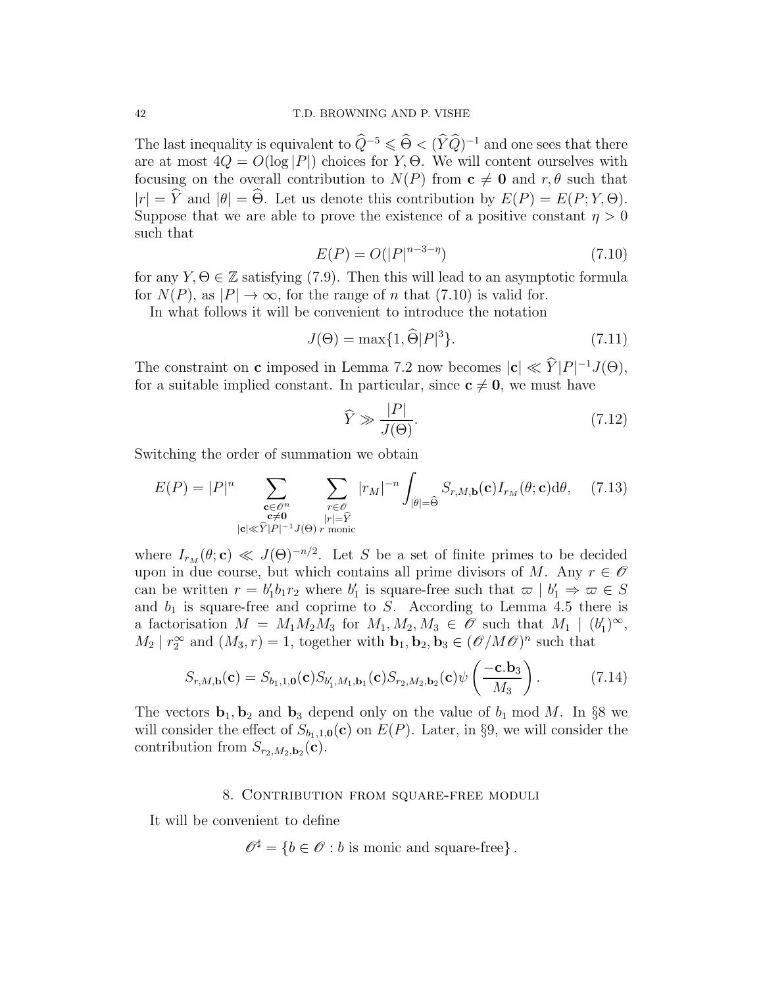The last inequality is equivalent to  $\widehat{Q}^{-5} \leq \widehat{\Theta} < (\widehat{Y}\widehat{Q})^{-1}$  and one sees that there are at most  $4Q = O(\log |P|)$  choices for Y,  $\Theta$ . We will content ourselves with focusing on the overall contribution to  $N(P)$  from  $c \neq 0$  and  $r, \theta$  such that  $|r| = \hat{Y}$  and  $|\theta| = \hat{\Theta}$ . Let us denote this contribution by  $E(P) = E(P; Y, \Theta)$ . Suppose that we are able to prove the existence of a positive constant  $\eta > 0$ such that

$$
E(P) = O(|P|^{n-3-\eta})\tag{7.10}
$$

for any  $Y, \Theta \in \mathbb{Z}$  satisfying (7.9). Then this will lead to an asymptotic formula for  $N(P)$ , as  $|P| \to \infty$ , for the range of n that (7.10) is valid for.

In what follows it will be convenient to introduce the notation

$$
J(\Theta) = \max\{1, \widehat{\Theta}|P|^3\}.
$$
\n(7.11)

The constraint on **c** imposed in Lemma 7.2 now becomes  $|c| \ll \hat{Y}|P|^{-1}J(\Theta)$ , for a suitable implied constant. In particular, since  $c \neq 0$ , we must have

$$
\widehat{Y} \gg \frac{|P|}{J(\Theta)}.\tag{7.12}
$$

Switching the order of summation we obtain

$$
E(P) = |P|^n \sum_{\substack{\mathbf{c} \in \mathcal{O}^n \\ \mathbf{c} \neq \mathbf{0} \\ |\mathbf{c}| \ll \widehat{Y}|P|^{-1}J(\Theta)}} \sum_{\substack{r \in \mathcal{O} \\ |r| = \widehat{Y} \\ \text{monic}}} |r_M|^{-n} \int_{|\theta| = \widehat{\Theta}} S_{r,M,\mathbf{b}}(\mathbf{c}) I_{r_M}(\theta; \mathbf{c}) d\theta, \quad (7.13)
$$

where  $I_{r_M}(\theta; \mathbf{c}) \ll J(\Theta)^{-n/2}$ . Let S be a set of finite primes to be decided upon in due course, but which contains all prime divisors of M. Any  $r \in \mathscr{O}$ can be written  $r = b'_1 b_1 r_2$  where  $b'_1$  is square-free such that  $\varpi \mid b'_1 \Rightarrow \varpi \in S$ and  $b_1$  is square-free and coprime to S. According to Lemma 4.5 there is a factorisation  $M = M_1 M_2 M_3$  for  $M_1, M_2, M_3 \in \mathscr{O}$  such that  $M_1 \mid (b'_1)^{\infty}$ ,  $M_2 | r_2^{\infty}$  and  $(M_3, r) = 1$ , together with  $\mathbf{b}_1, \mathbf{b}_2, \mathbf{b}_3 \in (\mathcal{O}/M\mathcal{O})^n$  such that

$$
S_{r,M,\mathbf{b}}(\mathbf{c}) = S_{b_1,1,\mathbf{0}}(\mathbf{c}) S_{b'_1,M_1,\mathbf{b}_1}(\mathbf{c}) S_{r_2,M_2,\mathbf{b}_2}(\mathbf{c}) \psi\left(\frac{-\mathbf{c}.\mathbf{b}_3}{M_3}\right). \tag{7.14}
$$

The vectors  $\mathbf{b}_1, \mathbf{b}_2$  and  $\mathbf{b}_3$  depend only on the value of  $b_1 \mod M$ . In §8 we will consider the effect of  $S_{b_1,1,0}(c)$  on  $E(P)$ . Later, in §9, we will consider the contribution from  $S_{r_2,M_2,\mathbf{b}_2}(\mathbf{c})$ .

# 8. Contribution from square-free moduli

It will be convenient to define

$$
\mathscr{O}^{\sharp} = \{b \in \mathscr{O} : b \text{ is monic and square-free}\}.
$$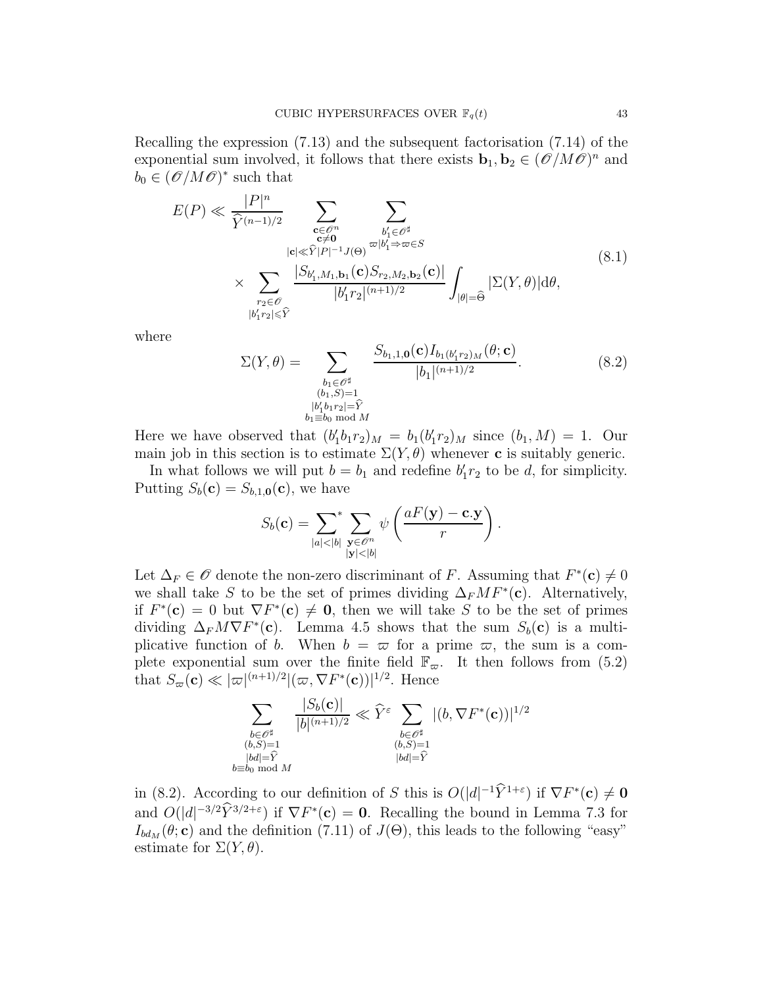Recalling the expression (7.13) and the subsequent factorisation (7.14) of the exponential sum involved, it follows that there exists  $\mathbf{b}_1, \mathbf{b}_2 \in (\hat{\mathscr{O}}/M\hat{\mathscr{O}})^n$  and  $b_0 \in (\mathscr{O}/M\mathscr{O})^*$  such that

$$
E(P) \ll \frac{|P|^n}{\widehat{Y}^{(n-1)/2}} \sum_{\substack{\mathbf{c} \in \mathcal{O}^n \\ |\mathbf{c}| \ll \widehat{Y}|P|^{-1}J(\Theta)}} \sum_{\substack{b'_1 \in \mathcal{O}^\sharp \\ |\mathbf{c}_1| \ll \widehat{Y}|P|^{-1}J(\Theta)}} \sum_{\substack{b'_1 \in \mathcal{O}^\sharp \\ |\mathbf{c}_1| \ll \widehat{Y}^2}} \sum_{\substack{|\mathbf{c}_1| \ll \widehat{Y}^2|P|^{-1}J(\Theta) \\ |\mathbf{c}_1| \ll \widehat{Y}^2}} \sum_{\substack{|\mathbf{c}_1| \ll \widehat{Y}^2|P| \ll \widehat{Y}^2}} \sum_{\substack{|\mathbf{c}_1| \ll \widehat{Y}^2|P| \ll \widehat{Y}^2}} \sum_{\substack{|\mathbf{c}_1| \ll \widehat{Y}^2|P| \ll \widehat{Y}^2}} (8.1)
$$
\n
$$
\times \sum_{\substack{r_2 \in \mathcal{O} \\ |\mathbf{b}'_1 r_2| \ll \widehat{Y}}} \frac{|S_{b'_1, M_1, \mathbf{b}_1}(\mathbf{c}) S_{r_2, M_2, \mathbf{b}_2}(\mathbf{c})|}{|b'_1 r_2|^{(n+1)/2}} \int_{|\theta| = \widehat{\Theta}} |\Sigma(Y, \theta)| d\theta,
$$
\n
$$
(8.1)
$$

where

$$
\Sigma(Y,\theta) = \sum_{\substack{b_1 \in \mathcal{O}^\sharp \\ (b_1,S)=1 \\ b'_1b_1r_2|\geq \hat{Y} \\ b_1 \equiv b_0 \bmod{M}}} \frac{S_{b_1,1,0}(\mathbf{c}) I_{b_1(b'_1r_2)_M}(\theta; \mathbf{c})}{|b_1|^{(n+1)/2}}.
$$
(8.2)

Here we have observed that  $(b'_1b_1r_2)_M = b_1(b'_1r_2)_M$  since  $(b_1, M) = 1$ . Our main job in this section is to estimate  $\Sigma(Y, \theta)$  whenever c is suitably generic.

In what follows we will put  $b = b_1$  and redefine  $b'_1 r_2$  to be d, for simplicity. Putting  $S_b(\mathbf{c}) = S_{b,1,\mathbf{0}}(\mathbf{c})$ , we have

$$
S_b(\mathbf{c}) = \sum_{|a| < |b|} \sum_{\substack{\mathbf{y} \in \mathscr{O}^n \\ |\mathbf{y}| < |b|}} \psi\left(\frac{aF(\mathbf{y}) - \mathbf{c} \cdot \mathbf{y}}{r}\right).
$$

Let  $\Delta_F \in \mathscr{O}$  denote the non-zero discriminant of F. Assuming that  $F^*(c) \neq 0$ we shall take S to be the set of primes dividing  $\Delta_F M F^*(c)$ . Alternatively, if  $F^*(c) = 0$  but  $\nabla F^*(c) \neq 0$ , then we will take S to be the set of primes dividing  $\Delta_F M \nabla F^*(c)$ . Lemma 4.5 shows that the sum  $S_b(c)$  is a multiplicative function of b. When  $b = \varpi$  for a prime  $\varpi$ , the sum is a complete exponential sum over the finite field  $\mathbb{F}_{\varpi}$ . It then follows from (5.2) that  $S_{\varpi}(\mathbf{c}) \ll |\varpi|^{(n+1)/2} |(\varpi, \nabla F^*(\mathbf{c}))|^{1/2}$ . Hence

$$
\sum_{\substack{b \in \mathscr{O}^\sharp \\ (b,S)=1 \\ |bd|=\widehat{Y} \\ b \equiv b_0 \bmod{M}}} \frac{|S_b(\mathbf{c})|}{|b|^{(n+1)/2}} \ll \widehat{Y}^{\varepsilon} \sum_{\substack{b \in \mathscr{O}^\sharp \\ (b,S)=1 \\ |bd|=\widehat{Y}}} |(b, \nabla F^*(\mathbf{c}))|^{1/2}
$$

in (8.2). According to our definition of S this is  $O(|d|^{-1}\hat{Y}^{1+\varepsilon})$  if  $\nabla F^*(c) \neq 0$ and  $O(|d|^{-3/2}\hat{Y}^{3/2+\epsilon})$  if  $\nabla F^*(c) = 0$ . Recalling the bound in Lemma 7.3 for  $I_{bd_M}(\theta; \mathbf{c})$  and the definition (7.11) of  $J(\Theta)$ , this leads to the following "easy" estimate for  $\Sigma(Y, \theta)$ .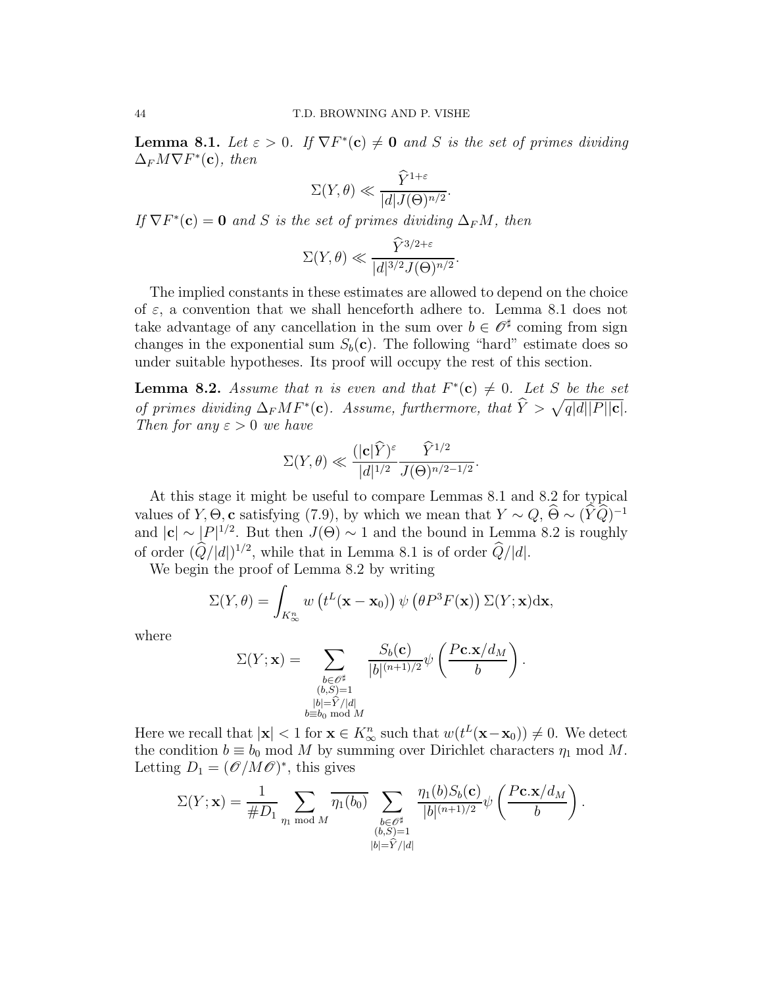**Lemma 8.1.** Let  $\varepsilon > 0$ . If  $\nabla F^*(c) \neq 0$  and S is the set of primes dividing  $\Delta_F M \nabla F^*(\mathbf{c})$ , then

$$
\Sigma(Y,\theta) \ll \frac{\hat{Y}^{1+\varepsilon}}{|d| J(\Theta)^{n/2}}.
$$

If  $\nabla F^*(c) = 0$  and S is the set of primes dividing  $\Delta_F M$ , then

$$
\Sigma(Y,\theta) \ll \frac{\widehat{Y}^{3/2+\varepsilon}}{|d|^{3/2}J(\Theta)^{n/2}}.
$$

The implied constants in these estimates are allowed to depend on the choice of  $\varepsilon$ , a convention that we shall henceforth adhere to. Lemma 8.1 does not take advantage of any cancellation in the sum over  $b \in \mathcal{O}^{\sharp}$  coming from sign changes in the exponential sum  $S_b(c)$ . The following "hard" estimate does so under suitable hypotheses. Its proof will occupy the rest of this section.

**Lemma 8.2.** Assume that n is even and that  $F^*(c) \neq 0$ . Let S be the set of primes dividing  $\Delta_F MF^*(c)$ . Assume, furthermore, that  $\hat{Y} > \sqrt{q|d||P||c|}$ . Then for any  $\varepsilon > 0$  we have

$$
\Sigma(Y,\theta) \ll \frac{(|\mathbf{c}| \widehat{Y})^{\varepsilon}}{|d|^{1/2}} \frac{\widehat{Y}^{1/2}}{J(\Theta)^{n/2-1/2}}.
$$

At this stage it might be useful to compare Lemmas 8.1 and 8.2 for typical values of Y,  $\Theta$ , c satisfying (7.9), by which we mean that  $Y \sim Q$ ,  $\Theta \sim (\widehat{Y}\widehat{Q})^{-1}$ and  $|c| \sim |P|^{1/2}$ . But then  $J(\Theta) \sim 1$  and the bound in Lemma 8.2 is roughly of order  $(Q/|d|)^{1/2}$ , while that in Lemma 8.1 is of order  $Q/|d|$ .

We begin the proof of Lemma 8.2 by writing

$$
\Sigma(Y,\theta) = \int_{K_{\infty}^n} w\left(t^L(\mathbf{x}-\mathbf{x}_0)\right) \psi\left(\theta P^3 F(\mathbf{x})\right) \Sigma(Y;\mathbf{x}) d\mathbf{x},
$$

where

$$
\Sigma(Y; \mathbf{x}) = \sum_{\substack{b \in \mathscr{O}^{\sharp} \\ (b,S)=1 \\ |b|=\widehat{Y}/|d| \\ b \equiv b_0 \bmod{M}}} \frac{S_b(\mathbf{c})}{|b|^{(n+1)/2}} \psi\left(\frac{P\mathbf{c}.\mathbf{x}/d_M}{b}\right).
$$

Here we recall that  $|\mathbf{x}| < 1$  for  $\mathbf{x} \in K^n_{\infty}$  such that  $w(t^L(\mathbf{x}-\mathbf{x}_0)) \neq 0$ . We detect the condition  $b \equiv b_0 \mod M$  by summing over Dirichlet characters  $\eta_1 \mod M$ . Letting  $D_1 = (\mathscr{O}/M\mathscr{O})^*$ , this gives

$$
\Sigma(Y; \mathbf{x}) = \frac{1}{\#D_1} \sum_{\eta_1 \bmod M} \overline{\eta_1(b_0)} \sum_{\substack{b \in \mathscr{O}^{\sharp} \\ (b,S)=1 \\ |b|=\widehat{Y}/|d|}} \frac{\eta_1(b)S_b(\mathbf{c})}{|b|^{(n+1)/2}} \psi\left(\frac{P\mathbf{c}.\mathbf{x}/d_M}{b}\right).
$$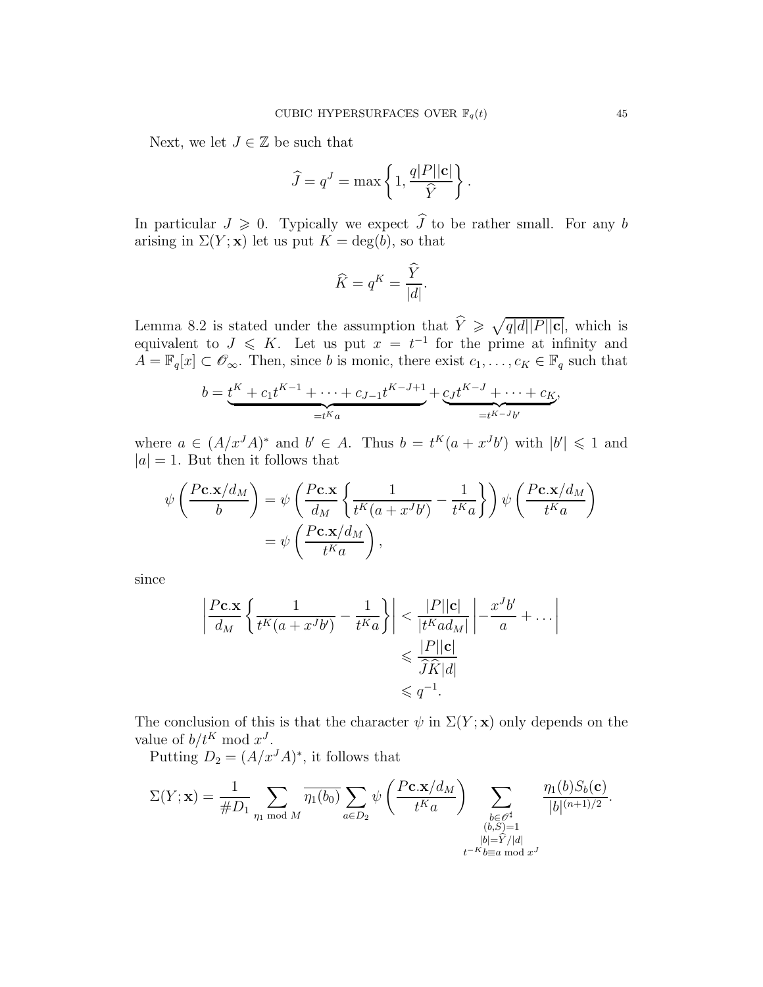Next, we let  $J \in \mathbb{Z}$  be such that

$$
\widehat{J} = q^{J} = \max \left\{ 1, \frac{q|P||\mathbf{c}|}{\widehat{Y}} \right\}.
$$

In particular  $J \geq 0$ . Typically we expect  $\hat{J}$  to be rather small. For any b arising in  $\Sigma(Y; \mathbf{x})$  let us put  $K = \deg(b)$ , so that

$$
\widehat{K} = q^K = \frac{\widehat{Y}}{|d|}.
$$

Lemma 8.2 is stated under the assumption that  $\hat{Y} \geq \sqrt{q|d||P||c|}$ , which is equivalent to  $J \leqslant K$ . Let us put  $x = t^{-1}$  for the prime at infinity and  $A = \mathbb{F}_q[x] \subset \mathscr{O}_{\infty}$ . Then, since b is monic, there exist  $c_1, \ldots, c_K \in \mathbb{F}_q$  such that

$$
b = \underbrace{t^K + c_1 t^{K-1} + \dots + c_{J-1} t^{K-J+1}}_{=t^{K} a} + \underbrace{c_J t^{K-J} + \dots + c_K}_{=t^{K-J} b'},
$$

where  $a \in (A/x^{J}A)^{*}$  and  $b' \in A$ . Thus  $b = t^{K}(a + x^{J}b')$  with  $|b'| \leq 1$  and  $|a| = 1$ . But then it follows that

$$
\psi\left(\frac{P\mathbf{c}.\mathbf{x}/d_M}{b}\right) = \psi\left(\frac{P\mathbf{c}.\mathbf{x}}{d_M}\left\{\frac{1}{t^K(a+x^Jb')}-\frac{1}{t^Ka}\right\}\right)\psi\left(\frac{P\mathbf{c}.\mathbf{x}/d_M}{t^Ka}\right)
$$

$$
= \psi\left(\frac{P\mathbf{c}.\mathbf{x}/d_M}{t^Ka}\right),
$$

since

$$
\left| \frac{P \mathbf{c}.\mathbf{x}}{d_M} \left\{ \frac{1}{t^K(a + x^J b')} - \frac{1}{t^K a} \right\} \right| < \frac{|P||\mathbf{c}|}{|t^K a d_M|} \left| - \frac{x^J b'}{a} + \dots \right|
$$
\n
$$
\leq \frac{|P||\mathbf{c}|}{\widehat{J}\widehat{K}|d|}
$$
\n
$$
\leq q^{-1}.
$$

The conclusion of this is that the character  $\psi$  in  $\Sigma(Y; \mathbf{x})$  only depends on the value of  $b/t^K \mod x^J$ .

Putting  $D_2 = (A/x<sup>J</sup>A)^*$ , it follows that

$$
\Sigma(Y; \mathbf{x}) = \frac{1}{\#D_1} \sum_{\eta_1 \bmod M} \overline{\eta_1(b_0)} \sum_{a \in D_2} \psi\left(\frac{P \mathbf{c}. \mathbf{x}/d_M}{t^K a}\right) \sum_{\substack{b \in \mathcal{O}^\sharp \\ (b,S)=1 \\ t^{-K} b \equiv a \bmod x^J}} \frac{\eta_1(b) S_b(\mathbf{c})}{|b|^{(n+1)/2}}.
$$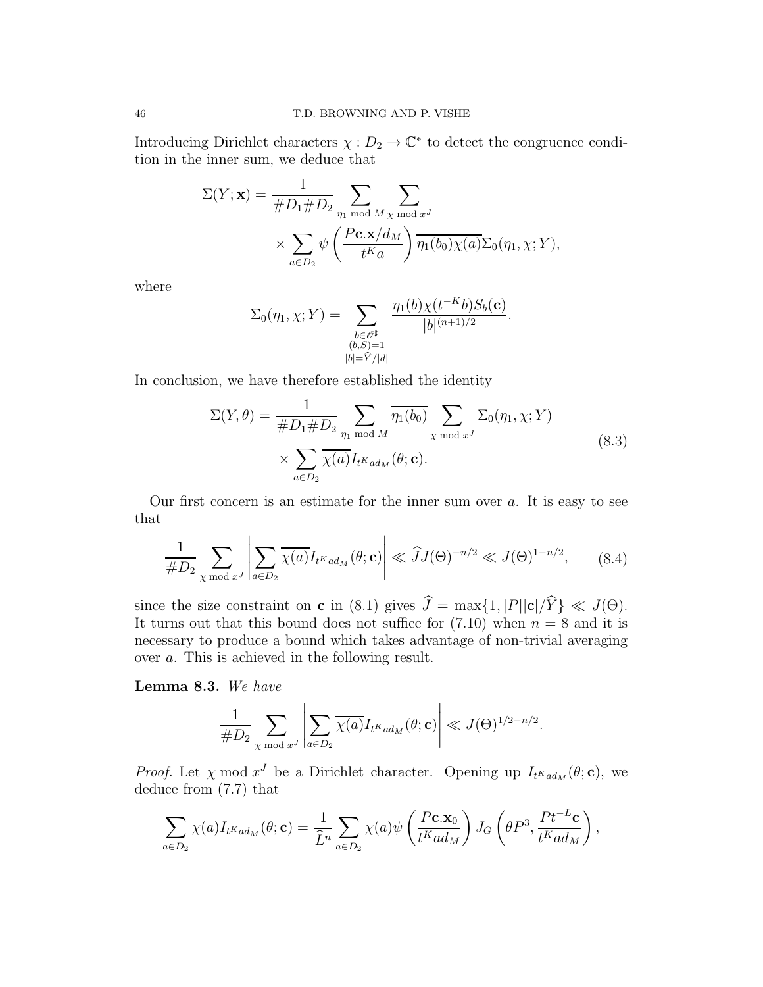Introducing Dirichlet characters  $\chi: D_2 \to \mathbb{C}^*$  to detect the congruence condition in the inner sum, we deduce that

$$
\Sigma(Y; \mathbf{x}) = \frac{1}{\#D_1 \#D_2} \sum_{\eta_1 \bmod M} \sum_{\chi \bmod x^J}
$$

$$
\times \sum_{a \in D_2} \psi\left(\frac{P \mathbf{c}. \mathbf{x}/d_M}{t^K a}\right) \overline{\eta_1(b_0) \chi(a)} \Sigma_0(\eta_1, \chi; Y),
$$

where

$$
\Sigma_0(\eta_1, \chi; Y) = \sum_{\substack{b \in \mathscr{O}^\sharp \\ (b, S) = 1 \\ |b| = \widehat{Y}/|d|}} \frac{\eta_1(b) \chi(t^{-K}b) S_b(\mathbf{c})}{|b|^{(n+1)/2}}.
$$

In conclusion, we have therefore established the identity

$$
\Sigma(Y,\theta) = \frac{1}{\#D_1 \#D_2} \sum_{\eta_1 \bmod M} \overline{\eta_1(b_0)} \sum_{\chi \bmod x^J} \Sigma_0(\eta_1, \chi; Y)
$$
  
 
$$
\times \sum_{a \in D_2} \overline{\chi(a)} I_{t^K a d_M}(\theta; \mathbf{c}).
$$
 (8.3)

Our first concern is an estimate for the inner sum over  $a$ . It is easy to see that

$$
\frac{1}{\#D_2} \sum_{\chi \bmod x^J} \left| \sum_{a \in D_2} \overline{\chi(a)} I_{t^K a d_M}(\theta; \mathbf{c}) \right| \ll \widehat{J} J(\Theta)^{-n/2} \ll J(\Theta)^{1-n/2}, \quad (8.4)
$$

since the size constraint on **c** in (8.1) gives  $\hat{J} = \max\{1, |P||\mathbf{c}|/\hat{Y}\} \ll J(\Theta)$ . It turns out that this bound does not suffice for  $(7.10)$  when  $n = 8$  and it is necessary to produce a bound which takes advantage of non-trivial averaging over a. This is achieved in the following result.

Lemma 8.3. We have

$$
\frac{1}{\# D_2} \sum_{\chi \bmod x^J} \left|\sum_{a \in D_2} \overline{\chi(a)} I_{t^Kad_M}(\theta;\mathbf{c})\right| \ll J(\Theta)^{1/2-n/2}.
$$

*Proof.* Let  $\chi$  mod  $x^J$  be a Dirichlet character. Opening up  $I_{t^Kad_M}(\theta; \mathbf{c})$ , we deduce from (7.7) that

$$
\sum_{a\in D_2} \chi(a) I_{t^Kad_M}(\theta; \mathbf{c}) = \frac{1}{\widehat{L}^n} \sum_{a\in D_2} \chi(a) \psi\left(\frac{P\mathbf{c}.\mathbf{x}_0}{t^Kad_M}\right) J_G\left(\theta P^3, \frac{Pt^{-L}\mathbf{c}}{t^Kad_M}\right),
$$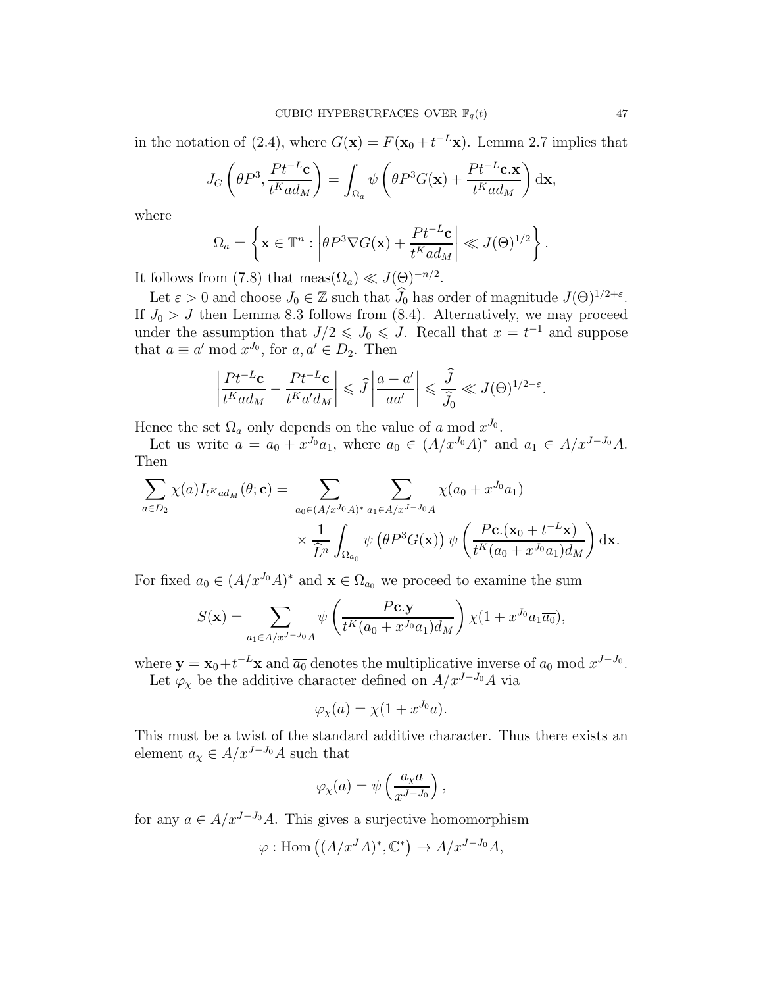in the notation of (2.4), where  $G(\mathbf{x}) = F(\mathbf{x}_0 + t^{-L}\mathbf{x})$ . Lemma 2.7 implies that

$$
J_G\left(\theta P^3, \frac{Pt^{-L}\mathbf{c}}{t^K a d_M}\right) = \int_{\Omega_a} \psi\left(\theta P^3 G(\mathbf{x}) + \frac{Pt^{-L}\mathbf{c}.\mathbf{x}}{t^K a d_M}\right) d\mathbf{x},
$$

where

$$
\Omega_a = \left\{ \mathbf{x} \in \mathbb{T}^n : \left| \theta P^3 \nabla G(\mathbf{x}) + \frac{P t^{-L} \mathbf{c}}{t^K a d_M} \right| \ll J(\Theta)^{1/2} \right\}.
$$

It follows from (7.8) that meas $(\Omega_a) \ll J(\Theta)^{-n/2}$ .

Let  $\varepsilon > 0$  and choose  $J_0 \in \mathbb{Z}$  such that  $\hat{J}_0$  has order of magnitude  $J(\Theta)^{1/2+\varepsilon}$ . If  $J_0 > J$  then Lemma 8.3 follows from (8.4). Alternatively, we may proceed under the assumption that  $J/2 \leqslant J_0 \leqslant J$ . Recall that  $x = t^{-1}$  and suppose that  $a \equiv a' \bmod x^{J_0}$ , for  $a, a' \in D_2$ . Then

$$
\left|\frac{Pt^{-L}\mathbf{c}}{t^Kad_M} - \frac{Pt^{-L}\mathbf{c}}{t^Ka'd_M}\right| \leq \widehat{J}\left|\frac{a-a'}{aa'}\right| \leq \frac{\widehat{J}}{\widehat{J}_0} \ll J(\Theta)^{1/2-\varepsilon}.
$$

Hence the set  $\Omega_a$  only depends on the value of a mod  $x^{J_0}$ .

Let us write  $a = a_0 + x^{J_0} a_1$ , where  $a_0 \in (A/x^{J_0}A)^*$  and  $a_1 \in A/x^{J-J_0}A$ . Then

$$
\sum_{a\in D_2} \chi(a) I_{t^Kad_M}(\theta; \mathbf{c}) = \sum_{a_0 \in (A/x^{J_0}A)^*} \sum_{a_1 \in A/x^{J-J_0}A} \chi(a_0 + x^{J_0}a_1)
$$

$$
\times \frac{1}{\widehat{L}^n} \int_{\Omega_{a_0}} \psi(\theta P^3 G(\mathbf{x})) \psi\left(\frac{P\mathbf{c}.\left(\mathbf{x}_0 + t^{-L}\mathbf{x}\right)}{t^K(a_0 + x^{J_0}a_1)d_M}\right) d\mathbf{x}.
$$

For fixed  $a_0 \in (A/x^{J_0}A)^*$  and  $\mathbf{x} \in \Omega_{a_0}$  we proceed to examine the sum

$$
S(\mathbf{x}) = \sum_{a_1 \in A/x^{J-J_0}A} \psi \left( \frac{P\mathbf{c}.\mathbf{y}}{t^K(a_0 + x^{J_0}a_1)d_M} \right) \chi(1 + x^{J_0}a_1\overline{a_0}),
$$

where  $y = x_0 + t^{-L}x$  and  $\overline{a_0}$  denotes the multiplicative inverse of  $a_0$  mod  $x^{J-J_0}$ . Let  $\varphi_\chi$  be the additive character defined on  $A/x^{J-J_0}A$  via

$$
\frac{1}{2}
$$

$$
\varphi_{\chi}(a) = \chi(1 + x^{J_0}a).
$$

This must be a twist of the standard additive character. Thus there exists an element  $a_{\chi} \in A/x^{J-J_0}A$  such that

$$
\varphi_{\chi}(a) = \psi\left(\frac{a_{\chi}a}{x^{J-J_0}}\right),\,
$$

for any  $a \in A/x^{J-J_0}A$ . This gives a surjective homomorphism

$$
\varphi: \text{Hom}\left((A/x^J A)^*, \mathbb{C}^*\right) \to A/x^{J-J_0} A,
$$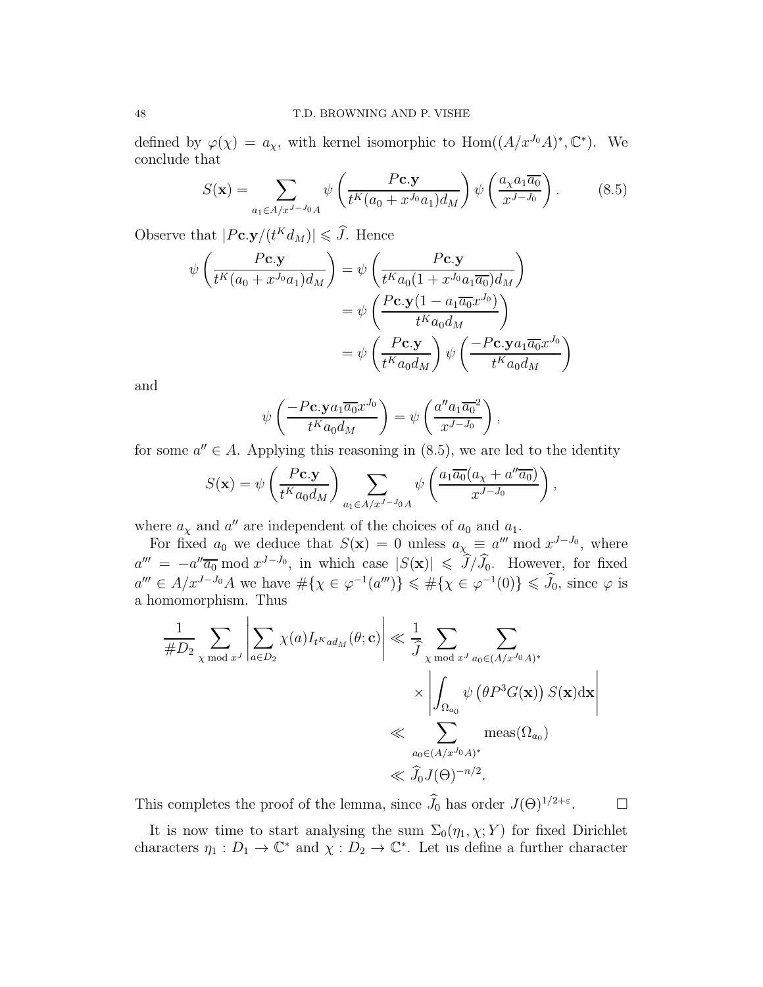defined by  $\varphi(\chi) = a_{\chi}$ , with kernel isomorphic to  $\text{Hom}((A/x^{J_0}A)^*, \mathbb{C}^*)$ . We conclude that

$$
S(\mathbf{x}) = \sum_{a_1 \in A/x^{J-J_0}A} \psi \left( \frac{P\mathbf{c}.\mathbf{y}}{t^K(a_0 + x^{J_0}a_1)d_M} \right) \psi \left( \frac{a_\chi a_1 \overline{a_0}}{x^{J-J_0}} \right). \tag{8.5}
$$

Observe that  $|P \mathbf{c}. \mathbf{y}/(t^K d_M)| \leq \tilde{J}$ . Hence

$$
\psi\left(\frac{P\mathbf{c}.\mathbf{y}}{t^K(a_0+x^{J_0}a_1)d_M}\right) = \psi\left(\frac{P\mathbf{c}.\mathbf{y}}{t^Ka_0(1+x^{J_0}a_1\overline{a_0})d_M}\right)
$$

$$
= \psi\left(\frac{P\mathbf{c}.\mathbf{y}(1-a_1\overline{a_0}x^{J_0})}{t^Ka_0d_M}\right)
$$

$$
= \psi\left(\frac{P\mathbf{c}.\mathbf{y}}{t^Ka_0d_M}\right)\psi\left(\frac{-P\mathbf{c}.\mathbf{y}a_1\overline{a_0}x^{J_0}}{t^Ka_0d_M}\right)
$$

and

$$
\psi\left(\frac{-P\mathbf{c}.\mathbf{y}a_1\overline{a_0}x^{J_0}}{t^K a_0d_M}\right) = \psi\left(\frac{a''a_1\overline{a_0}^2}{x^{J-J_0}}\right),\,
$$

for some  $a'' \in A$ . Applying this reasoning in  $(8.5)$ , we are led to the identity

$$
S(\mathbf{x}) = \psi \left( \frac{P \mathbf{c} \cdot \mathbf{y}}{t^K a_0 d_M} \right) \sum_{a_1 \in A/x^{J-J_0} A} \psi \left( \frac{a_1 \overline{a_0} (a_\chi + a'' \overline{a_0})}{x^{J-J_0}} \right)
$$

,

where  $a_{\chi}$  and  $a''$  are independent of the choices of  $a_0$  and  $a_1$ .

For fixed  $a_0$  we deduce that  $S(\mathbf{x}) = 0$  unless  $a_\chi \equiv a''' \bmod x^{J-J_0}$ , where  $a''' = -a''\overline{a_0} \mod x^{J-J_0}$ , in which case  $|S(\mathbf{x})| \leqslant J/J_0$ . However, for fixed  $a''' \in A/x^{J-J_0}A$  we have  $\#\{\chi \in \varphi^{-1}(a''')\} \leq \#\{\chi \in \varphi^{-1}(0)\} \leq \tilde{J}_0$ , since  $\varphi$  is a homomorphism. Thus

$$
\frac{1}{\#D_2} \sum_{\chi \bmod x^J} \left| \sum_{a \in D_2} \chi(a) I_{t^K a d_M}(\theta; \mathbf{c}) \right| \ll \frac{1}{\hat{J}} \sum_{\chi \bmod x^J} \sum_{a_0 \in (A/x^{J_0} A)^*} \times \left| \int_{\Omega_{a_0}} \psi(\theta P^3 G(\mathbf{x})) S(\mathbf{x}) d\mathbf{x} \right|
$$
  
\$\ll\$  $\sum_{a_0 \in (A/x^{J_0} A)^*} \text{meas}(\Omega_{a_0})$   
\$\ll\$  $\hat{J}_0 J(\Theta)^{-n/2}.$ 

This completes the proof of the lemma, since  $\widehat{J}_0$  has order  $J(\Theta)^{1/2+\varepsilon}$ .  $\Box$ 

It is now time to start analysing the sum  $\Sigma_0(\eta_1, \chi; Y)$  for fixed Dirichlet characters  $\eta_1: D_1 \to \mathbb{C}^*$  and  $\chi: D_2 \to \mathbb{C}^*$ . Let us define a further character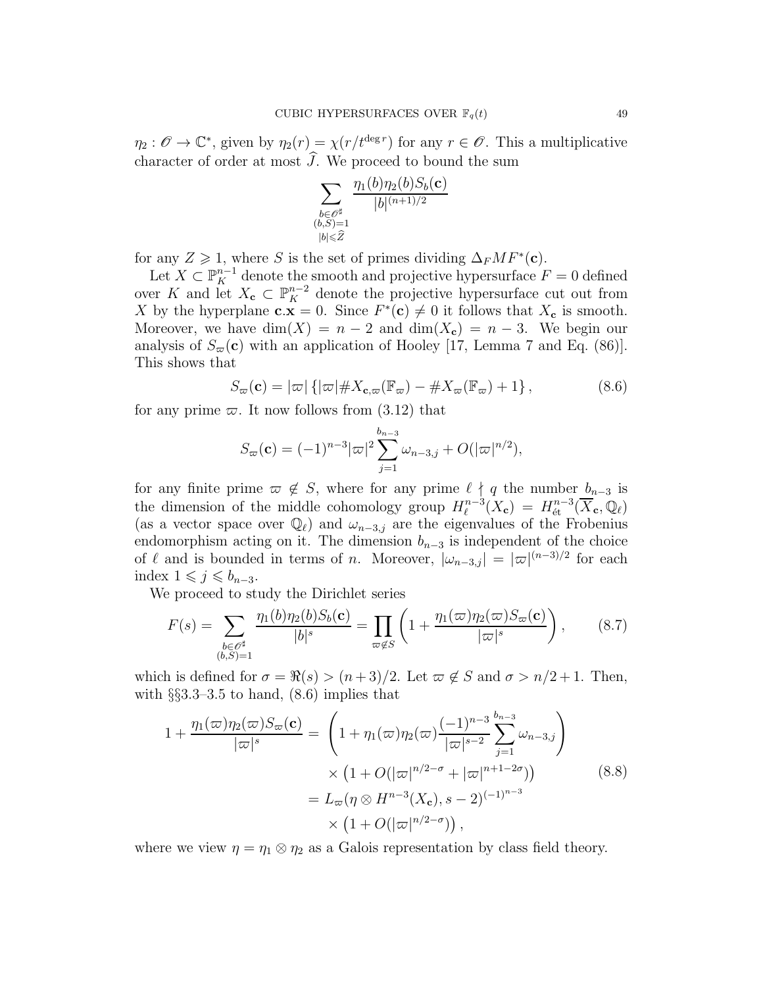$\eta_2: \mathscr{O} \to \mathbb{C}^*$ , given by  $\eta_2(r) = \chi(r/t^{\deg r})$  for any  $r \in \mathscr{O}$ . This a multiplicative character of order at most  $\widehat{J}$ . We proceed to bound the sum

$$
\sum_{\substack{b\in \mathscr{O}^\sharp\\ (b,S)=1\\ |b|\leqslant \widehat{Z}}} \frac{\eta_1(b)\eta_2(b)S_b(\mathbf{c})}{|b|^{(n+1)/2}}
$$

for any  $Z \geq 1$ , where S is the set of primes dividing  $\Delta_F M F^*(c)$ .

Let  $X \subset \mathbb{P}_{K}^{n-1}$  denote the smooth and projective hypersurface  $F = 0$  defined over K and let  $X_c \subset \mathbb{P}_{K}^{n-2}$  denote the projective hypersurface cut out from X by the hyperplane  $c.x = 0$ . Since  $F^*(c) \neq 0$  it follows that  $X_c$  is smooth. Moreover, we have  $\dim(X) = n - 2$  and  $\dim(X_c) = n - 3$ . We begin our analysis of  $S_{\varpi}(\mathbf{c})$  with an application of Hooley [17, Lemma 7 and Eq. (86)]. This shows that

$$
S_{\varpi}(\mathbf{c}) = |\varpi| \left\{ |\varpi| \# X_{\mathbf{c}, \varpi}(\mathbb{F}_{\varpi}) - \# X_{\varpi}(\mathbb{F}_{\varpi}) + 1 \right\},\tag{8.6}
$$

for any prime  $\varpi$ . It now follows from (3.12) that

$$
S_{\varpi}(\mathbf{c}) = (-1)^{n-3} |\varpi|^2 \sum_{j=1}^{b_{n-3}} \omega_{n-3,j} + O(|\varpi|^{n/2}),
$$

for any finite prime  $\varpi \notin S$ , where for any prime  $\ell \nmid q$  the number  $b_{n-3}$  is the dimension of the middle cohomology group  $H_{\ell}^{n-3}$  $\mathcal{L}_{\ell}^{n-3}(X_{\mathbf{c}}) = H^{n-3}_{\text{\'et}}(\overline{X}_{\mathbf{c}},\mathbb{Q}_{\ell})$ (as a vector space over  $\mathbb{Q}_{\ell}$ ) and  $\omega_{n-3,j}$  are the eigenvalues of the Frobenius endomorphism acting on it. The dimension  $b_{n-3}$  is independent of the choice of  $\ell$  and is bounded in terms of n. Moreover,  $|\omega_{n-3,j}| = |\varpi|^{(n-3)/2}$  for each index  $1 \leqslant j \leqslant b_{n-3}$ .

We proceed to study the Dirichlet series

$$
F(s) = \sum_{\substack{b \in \mathcal{O}^\sharp \\ (b,S)=1}} \frac{\eta_1(b)\eta_2(b)S_b(\mathbf{c})}{|b|^s} = \prod_{\varpi \notin S} \left(1 + \frac{\eta_1(\varpi)\eta_2(\varpi)S_\varpi(\mathbf{c})}{|\varpi|^s}\right),\tag{8.7}
$$

which is defined for  $\sigma = \Re(s) > (n+3)/2$ . Let  $\varpi \notin S$  and  $\sigma > n/2 + 1$ . Then, with  $\S$ \$3.3–3.5 to hand,  $(8.6)$  implies that

$$
1 + \frac{\eta_1(\varpi)\eta_2(\varpi)S_{\varpi}(\mathbf{c})}{|\varpi|^s} = \left(1 + \eta_1(\varpi)\eta_2(\varpi)\frac{(-1)^{n-3}}{|\varpi|^{s-2}}\sum_{j=1}^{b_{n-3}}\omega_{n-3,j}\right) \times \left(1 + O(|\varpi|^{n/2-\sigma} + |\varpi|^{n+1-2\sigma})\right) = L_{\varpi}(\eta \otimes H^{n-3}(X_{\mathbf{c}}), s-2)^{(-1)^{n-3}} \times \left(1 + O(|\varpi|^{n/2-\sigma})\right),
$$
\n(8.8)

where we view  $\eta = \eta_1 \otimes \eta_2$  as a Galois representation by class field theory.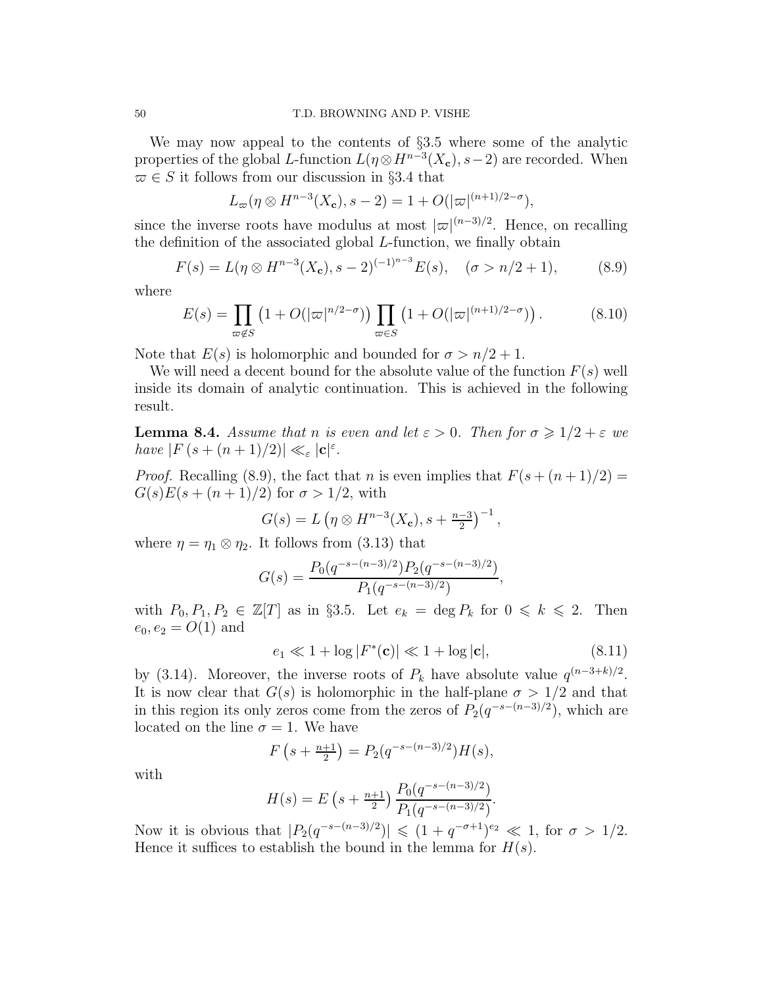We may now appeal to the contents of §3.5 where some of the analytic properties of the global L-function  $L(\eta \otimes H^{n-3}(X_c), s-2)$  are recorded. When  $\overline{\omega} \in S$  it follows from our discussion in §3.4 that

$$
L_{\infty}(\eta \otimes H^{n-3}(X_{\mathbf{c}}), s-2) = 1 + O(|\varpi|^{(n+1)/2-\sigma}),
$$

since the inverse roots have modulus at most  $|\varpi|^{(n-3)/2}$ . Hence, on recalling the definition of the associated global L-function, we finally obtain

$$
F(s) = L(\eta \otimes H^{n-3}(X_{\mathbf{c}}), s-2)^{(-1)^{n-3}} E(s), \quad (\sigma > n/2 + 1), \tag{8.9}
$$

where

$$
E(s) = \prod_{\varpi \notin S} \left( 1 + O(|\varpi|^{n/2-\sigma}) \right) \prod_{\varpi \in S} \left( 1 + O(|\varpi|^{(n+1)/2-\sigma}) \right). \tag{8.10}
$$

Note that  $E(s)$  is holomorphic and bounded for  $\sigma > n/2 + 1$ .

We will need a decent bound for the absolute value of the function  $F(s)$  well inside its domain of analytic continuation. This is achieved in the following result.

**Lemma 8.4.** Assume that n is even and let  $\varepsilon > 0$ . Then for  $\sigma \geq 1/2 + \varepsilon$  we have  $|F(s+(n+1)/2)| \ll_{\varepsilon} |\mathbf{c}|^{\varepsilon}$ .

*Proof.* Recalling (8.9), the fact that n is even implies that  $F(s + (n+1)/2) =$  $G(s)E(s + (n+1)/2)$  for  $\sigma > 1/2$ , with

$$
G(s) = L \left( \eta \otimes H^{n-3}(X_c), s + \frac{n-3}{2} \right)^{-1},
$$

where  $\eta = \eta_1 \otimes \eta_2$ . It follows from (3.13) that

$$
G(s) = \frac{P_0(q^{-s - (n-3)/2})P_2(q^{-s - (n-3)/2})}{P_1(q^{-s - (n-3)/2})},
$$

with  $P_0, P_1, P_2 \in \mathbb{Z}[T]$  as in §3.5. Let  $e_k = \deg P_k$  for  $0 \leq k \leq 2$ . Then  $e_0, e_2 = O(1)$  and

$$
e_1 \ll 1 + \log |F^*(\mathbf{c})| \ll 1 + \log |\mathbf{c}|,\tag{8.11}
$$

by (3.14). Moreover, the inverse roots of  $P_k$  have absolute value  $q^{(n-3+k)/2}$ . It is now clear that  $G(s)$  is holomorphic in the half-plane  $\sigma > 1/2$  and that in this region its only zeros come from the zeros of  $P_2(q^{-s-(n-3)/2})$ , which are located on the line  $\sigma = 1$ . We have

$$
F(s + \frac{n+1}{2}) = P_2(q^{-s - (n-3)/2})H(s),
$$

with

$$
H(s) = E\left(s + \frac{n+1}{2}\right) \frac{P_0(q^{-s - (n-3)/2})}{P_1(q^{-s - (n-3)/2})}.
$$

Now it is obvious that  $|P_2(q^{-s-(n-3)/2})| \leq (1+q^{-\sigma+1})^{e_2} \ll 1$ , for  $\sigma > 1/2$ . Hence it suffices to establish the bound in the lemma for  $H(s)$ .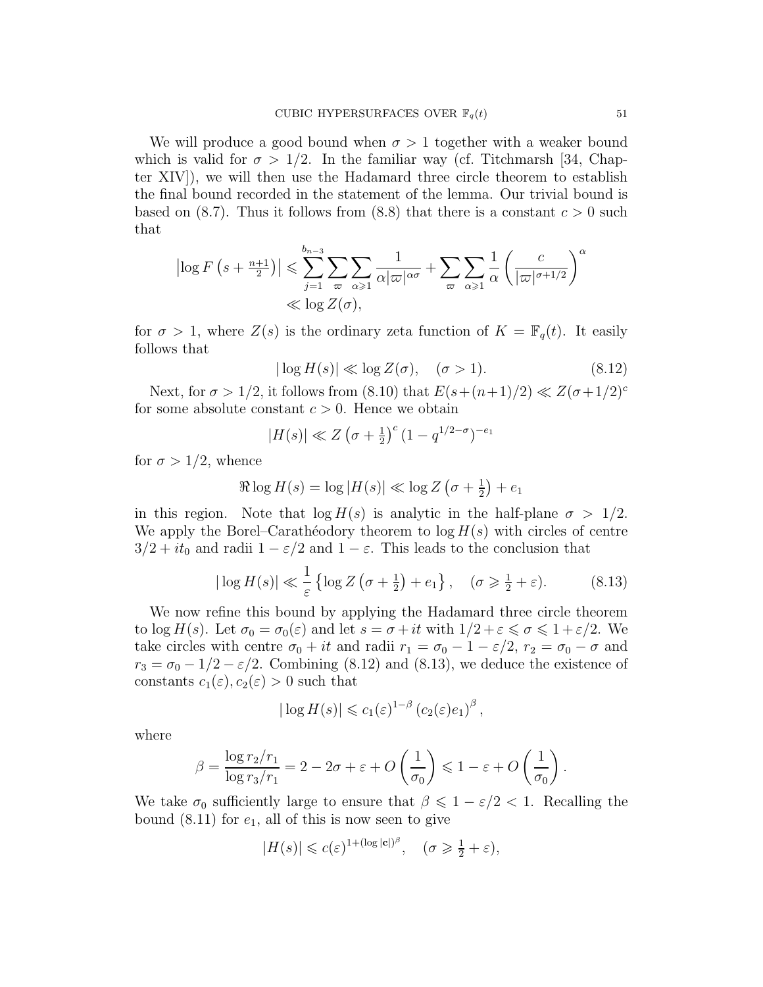We will produce a good bound when  $\sigma > 1$  together with a weaker bound which is valid for  $\sigma > 1/2$ . In the familiar way (cf. Titchmarsh [34, Chapter XIV]), we will then use the Hadamard three circle theorem to establish the final bound recorded in the statement of the lemma. Our trivial bound is based on (8.7). Thus it follows from (8.8) that there is a constant  $c > 0$  such that

$$
\left| \log F\left(s + \frac{n+1}{2}\right) \right| \leqslant \sum_{j=1}^{b_{n-3}} \sum_{\varpi} \sum_{\alpha \geqslant 1} \frac{1}{\alpha |\varpi|^{\alpha \sigma}} + \sum_{\varpi} \sum_{\alpha \geqslant 1} \frac{1}{\alpha} \left(\frac{c}{|\varpi|^{\sigma+1/2}}\right)^{\alpha}
$$
  

$$
\ll \log Z(\sigma),
$$

for  $\sigma > 1$ , where  $Z(s)$  is the ordinary zeta function of  $K = \mathbb{F}_q(t)$ . It easily follows that

$$
|\log H(s)| \ll \log Z(\sigma), \quad (\sigma > 1). \tag{8.12}
$$

Next, for  $\sigma > 1/2$ , it follows from  $(8.10)$  that  $E(s+(n+1)/2) \ll Z(\sigma+1/2)^c$ for some absolute constant  $c > 0$ . Hence we obtain

$$
|H(s)| \ll Z \left(\sigma + \frac{1}{2}\right)^c (1 - q^{1/2 - \sigma})^{-e_1}
$$

for  $\sigma > 1/2$ , whence

$$
\Re \log H(s) = \log |H(s)| \ll \log Z \left(\sigma + \frac{1}{2}\right) + e_1
$$

in this region. Note that  $\log H(s)$  is analytic in the half-plane  $\sigma > 1/2$ . We apply the Borel–Caratheodory theorem to  $\log H(s)$  with circles of centre  $3/2 + it_0$  and radii  $1 - \varepsilon/2$  and  $1 - \varepsilon$ . This leads to the conclusion that

$$
|\log H(s)| \ll \frac{1}{\varepsilon} \left\{ \log Z\left(\sigma + \frac{1}{2}\right) + e_1 \right\}, \quad (\sigma \geqslant \frac{1}{2} + \varepsilon). \tag{8.13}
$$

We now refine this bound by applying the Hadamard three circle theorem to log  $H(s)$ . Let  $\sigma_0 = \sigma_0(\varepsilon)$  and let  $s = \sigma + it$  with  $1/2 + \varepsilon \leq \sigma \leq 1 + \varepsilon/2$ . We take circles with centre  $\sigma_0 + it$  and radii  $r_1 = \sigma_0 - 1 - \varepsilon/2$ ,  $r_2 = \sigma_0 - \sigma$  and  $r_3 = \sigma_0 - 1/2 - \varepsilon/2$ . Combining (8.12) and (8.13), we deduce the existence of constants  $c_1(\varepsilon), c_2(\varepsilon) > 0$  such that

$$
|\log H(s)| \leqslant c_1(\varepsilon)^{1-\beta} \left( c_2(\varepsilon)e_1 \right)^{\beta},
$$

where

$$
\beta = \frac{\log r_2/r_1}{\log r_3/r_1} = 2 - 2\sigma + \varepsilon + O\left(\frac{1}{\sigma_0}\right) \leq 1 - \varepsilon + O\left(\frac{1}{\sigma_0}\right).
$$

We take  $\sigma_0$  sufficiently large to ensure that  $\beta \leq 1 - \varepsilon/2 < 1$ . Recalling the bound  $(8.11)$  for  $e_1$ , all of this is now seen to give

$$
|H(s)| \leqslant c(\varepsilon)^{1+(\log|\mathbf{c}|)^{\beta}}, \quad (\sigma \geqslant \frac{1}{2} + \varepsilon),
$$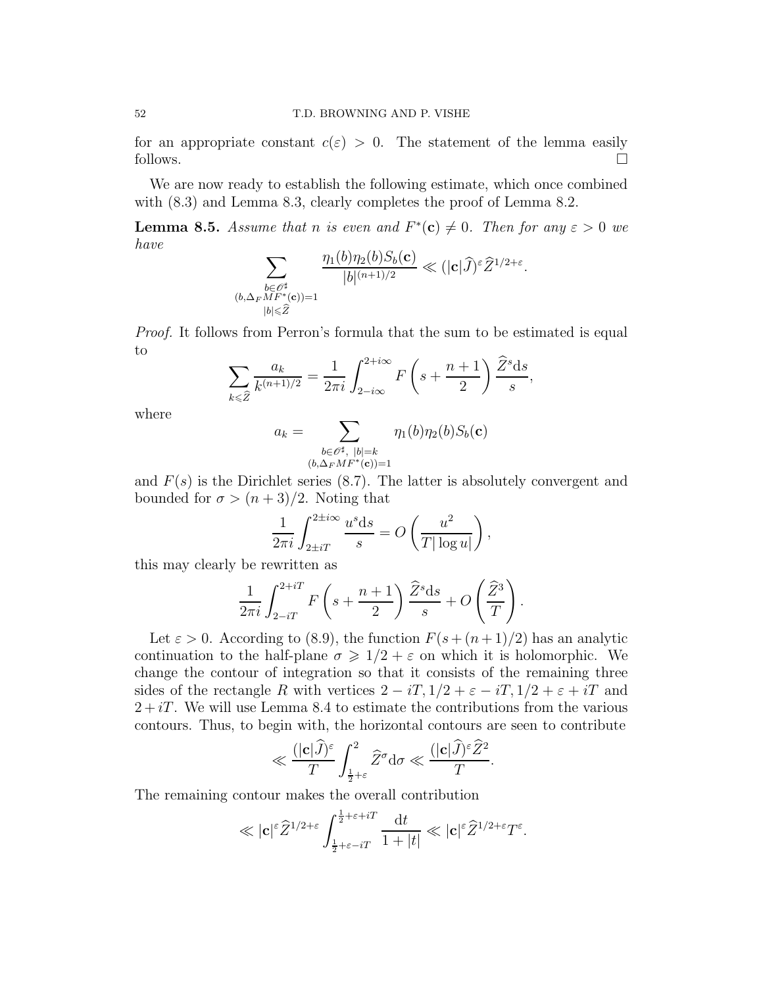for an appropriate constant  $c(\varepsilon) > 0$ . The statement of the lemma easily follows.  $\Box$ 

We are now ready to establish the following estimate, which once combined with  $(8.3)$  and Lemma 8.3, clearly completes the proof of Lemma 8.2.

**Lemma 8.5.** Assume that n is even and  $F^*(c) \neq 0$ . Then for any  $\varepsilon > 0$  we have  $\left(1\right)$   $\left(1\right)$   $\alpha$  ( )

$$
\sum_{\substack{b \in \mathscr{O}^\sharp \\ (b,\Delta_F M F^\ast(\mathbf{c})) = 1}} \frac{\eta_1(b)\eta_2(b)S_b(\mathbf{c})}{|b|^{(n+1)/2}} \ll (|\mathbf{c}| \widehat{J})^\varepsilon \widehat{Z}^{1/2+\varepsilon}.
$$

*Proof.* It follows from Perron's formula that the sum to be estimated is equal to

$$
\sum_{k\leqslant \widehat{Z}}\frac{a_k}{k^{(n+1)/2}}=\frac{1}{2\pi i}\int_{2-i\infty}^{2+i\infty}F\left(s+\frac{n+1}{2}\right)\frac{\widehat{Z}^s\mathrm{d}s}{s},
$$

where

$$
a_k = \sum_{\substack{b \in \mathscr{O}^\sharp, \ |b| = k \\ (b, \Delta_F M F^*(\mathbf{c})) = 1}} \eta_1(b) \eta_2(b) S_b(\mathbf{c})
$$

and  $F(s)$  is the Dirichlet series (8.7). The latter is absolutely convergent and bounded for  $\sigma > (n+3)/2$ . Noting that

$$
\frac{1}{2\pi i} \int_{2\pm iT}^{2\pm i\infty} \frac{u^s \mathrm{d}s}{s} = O\left(\frac{u^2}{T|\log u|}\right),\,
$$

this may clearly be rewritten as

$$
\frac{1}{2\pi i} \int_{2-iT}^{2+iT} F\left(s + \frac{n+1}{2}\right) \frac{\widehat{Z}^s \mathrm{d}s}{s} + O\left(\frac{\widehat{Z}^3}{T}\right).
$$

Let  $\varepsilon > 0$ . According to (8.9), the function  $F(s+(n+1)/2)$  has an analytic continuation to the half-plane  $\sigma \geq 1/2 + \varepsilon$  on which it is holomorphic. We change the contour of integration so that it consists of the remaining three sides of the rectangle R with vertices  $2 - iT$ ,  $1/2 + \varepsilon - iT$ ,  $1/2 + \varepsilon + iT$  and  $2+iT$ . We will use Lemma 8.4 to estimate the contributions from the various contours. Thus, to begin with, the horizontal contours are seen to contribute

$$
\ll \frac{(|\mathbf{c}|{\widehat{J}})^\varepsilon}{T} \int_{\frac{1}{2}+\varepsilon}^2 {\widehat{Z}}^\sigma \mathrm{d} \sigma \ll \frac{(|\mathbf{c}|{\widehat{J}})^\varepsilon {\widehat{Z}}^2}{T}.
$$

The remaining contour makes the overall contribution

$$
\ll |\mathbf{c}|^{\varepsilon} \widehat{Z}^{1/2+\varepsilon} \int_{\frac{1}{2}+\varepsilon-iT}^{\frac{1}{2}+\varepsilon+iT} \frac{\mathrm{d}t}{1+|t|} \ll |\mathbf{c}|^{\varepsilon} \widehat{Z}^{1/2+\varepsilon} T^{\varepsilon}.
$$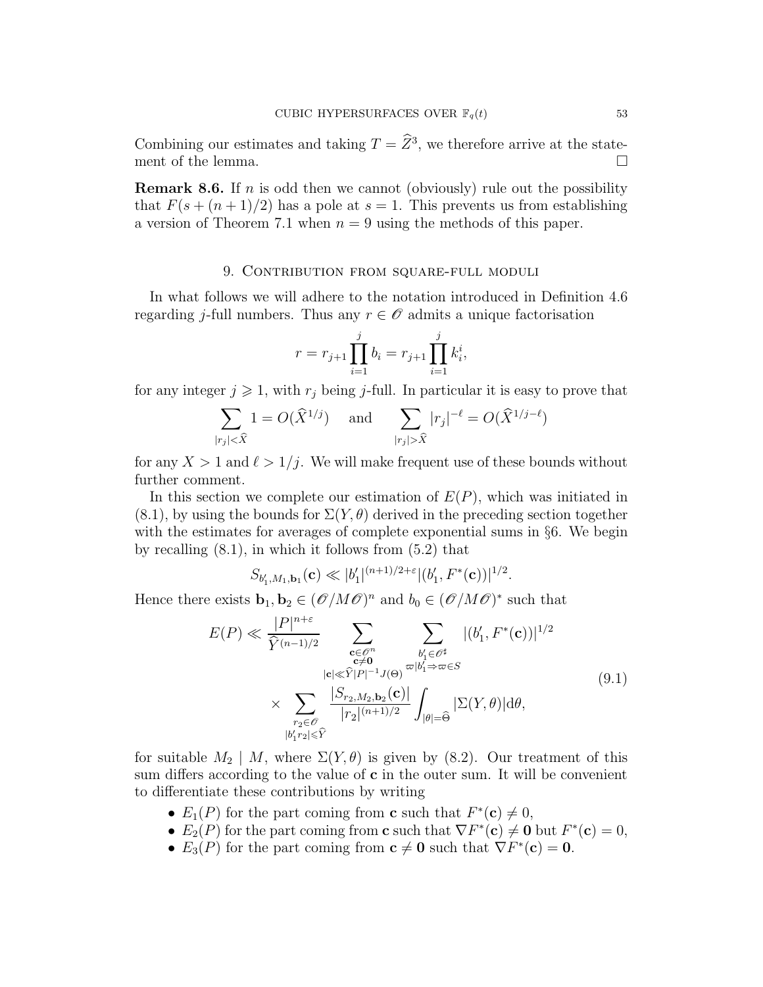Combining our estimates and taking  $T = \tilde{Z}^3$ , we therefore arrive at the statement of the lemma.  $\Box$ 

**Remark 8.6.** If n is odd then we cannot (obviously) rule out the possibility that  $F(s + (n+1)/2)$  has a pole at  $s = 1$ . This prevents us from establishing a version of Theorem 7.1 when  $n = 9$  using the methods of this paper.

## 9. Contribution from square-full moduli

In what follows we will adhere to the notation introduced in Definition 4.6 regarding j-full numbers. Thus any  $r \in \mathcal{O}$  admits a unique factorisation

$$
r = r_{j+1} \prod_{i=1}^{j} b_i = r_{j+1} \prod_{i=1}^{j} k_i^i,
$$

for any integer  $j \geq 1$ , with  $r_j$  being j-full. In particular it is easy to prove that

$$
\sum_{|r_j| < \widehat{X}} 1 = O(\widehat{X}^{1/j}) \quad \text{and} \quad \sum_{|r_j| > \widehat{X}} |r_j|^{-\ell} = O(\widehat{X}^{1/j - \ell})
$$

for any  $X > 1$  and  $\ell > 1/j$ . We will make frequent use of these bounds without further comment.

In this section we complete our estimation of  $E(P)$ , which was initiated in  $(8.1)$ , by using the bounds for  $\Sigma(Y, \theta)$  derived in the preceding section together with the estimates for averages of complete exponential sums in §6. We begin by recalling  $(8.1)$ , in which it follows from  $(5.2)$  that

$$
S_{b'_1,M_1,\mathbf{b}_1}(\mathbf{c}) \ll |b'_1|^{(n+1)/2+\varepsilon} |(b'_1, F^*(\mathbf{c}))|^{1/2}.
$$

Hence there exists  $\mathbf{b}_1, \mathbf{b}_2 \in (\mathcal{O}/M\mathcal{O})^n$  and  $b_0 \in (\mathcal{O}/M\mathcal{O})^*$  such that

$$
E(P) \ll \frac{|P|^{n+\varepsilon}}{\widehat{Y}^{(n-1)/2}} \sum_{\substack{\mathbf{c} \in \mathcal{O}^n \\ \mathbf{c} \neq \mathbf{0} \\ |\mathbf{c}| \ll \widehat{Y}|P|^{-1}J(\mathbf{\Theta})}} \sum_{\substack{b'_1 \in \mathcal{O}^\sharp \\ |b'_1 \Rightarrow \varpi \in S \\ |\mathbf{c}_1 \neq \mathbf{0} \\ |\mathbf{c}_2 \neq \mathbf{0}}} |(b'_1, F^*(\mathbf{c}))|^{1/2}
$$
\n
$$
\times \sum_{\substack{r_2 \in \mathcal{O} \\ |b'_1r_2| \ll \widehat{Y}}} \frac{|S_{r_2,M_2,\mathbf{b}_2}(\mathbf{c})|}{|r_2|^{(n+1)/2}} \int_{|\theta|=\widehat{\Theta}} |\Sigma(Y,\theta)| d\theta,
$$
\n(9.1)

for suitable  $M_2 \mid M$ , where  $\Sigma(Y, \theta)$  is given by (8.2). Our treatment of this sum differs according to the value of  $c$  in the outer sum. It will be convenient to differentiate these contributions by writing

- $E_1(P)$  for the part coming from **c** such that  $F^*(c) \neq 0$ ,
- $E_2(P)$  for the part coming from **c** such that  $\nabla F^*(c) \neq 0$  but  $F^*(c) = 0$ ,
- $E_3(P)$  for the part coming from  $\mathbf{c} \neq \mathbf{0}$  such that  $\nabla F^*(\mathbf{c}) = \mathbf{0}$ .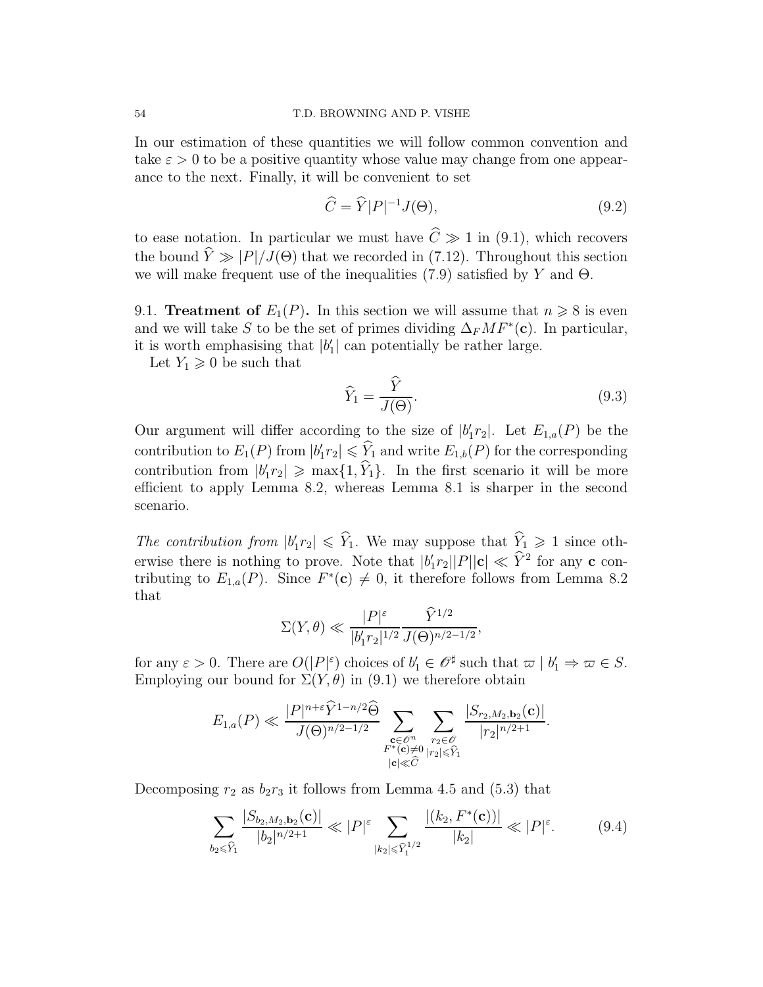In our estimation of these quantities we will follow common convention and take  $\varepsilon > 0$  to be a positive quantity whose value may change from one appearance to the next. Finally, it will be convenient to set

$$
\widehat{C} = \widehat{Y}|P|^{-1}J(\Theta),\tag{9.2}
$$

to ease notation. In particular we must have  $\hat{C} \gg 1$  in (9.1), which recovers the bound  $\hat{Y} \gg |P|/J(\Theta)$  that we recorded in (7.12). Throughout this section we will make frequent use of the inequalities (7.9) satisfied by Y and  $\Theta$ .

9.1. **Treatment of**  $E_1(P)$ . In this section we will assume that  $n \geq 8$  is even and we will take S to be the set of primes dividing  $\Delta_F M F^*(c)$ . In particular, it is worth emphasising that  $|b'_1|$  can potentially be rather large.

Let  $Y_1 \geqslant 0$  be such that

$$
\widehat{Y}_1 = \frac{\widehat{Y}}{J(\Theta)}.\tag{9.3}
$$

Our argument will differ according to the size of  $|b'_1r_2|$ . Let  $E_{1,a}(P)$  be the contribution to  $E_1(P)$  from  $|b'_1r_2| \leq \hat{Y}_1$  and write  $E_{1,b}(P)$  for the corresponding contribution from  $|b'_1r_2| \ge \max\{1, Y_1\}$ . In the first scenario it will be more efficient to apply Lemma 8.2, whereas Lemma 8.1 is sharper in the second scenario.

The contribution from  $|b'_1r_2| \leq Y_1$ . We may suppose that  $Y_1 \geq 1$  since otherwise there is nothing to prove. Note that  $|b'_1r_2||P||c| \ll Y^2$  for any c contributing to  $E_{1,a}(P)$ . Since  $F^*(c) \neq 0$ , it therefore follows from Lemma 8.2 that

$$
\Sigma(Y,\theta) \ll \frac{|P|^{\varepsilon}}{|b_1' r_2|^{1/2}} \frac{\widehat{Y}^{1/2}}{J(\Theta)^{n/2-1/2}},
$$

for any  $\varepsilon > 0$ . There are  $O(|P|^\varepsilon)$  choices of  $b'_1 \in \mathscr{O}^\sharp$  such that  $\varpi | b'_1 \Rightarrow \varpi \in S$ . Employing our bound for  $\Sigma(Y, \theta)$  in (9.1) we therefore obtain

$$
E_{1,a}(P) \ll \frac{|P|^{n+\varepsilon} \widehat{Y}^{1-n/2} \widehat{\Theta}}{J(\Theta)^{n/2-1/2}} \sum_{\substack{\mathbf{c} \in \mathscr{O}^n \\ F^*(\mathbf{c}) \neq 0}} \sum_{\substack{r_2 \in \mathscr{O} \\ |r_2| \leq \widehat{Y}_1}} \frac{|S_{r_2,M_2,\mathbf{b}_2}(\mathbf{c})|}{|r_2|^{n/2+1}}.
$$

Decomposing  $r_2$  as  $b_2r_3$  it follows from Lemma 4.5 and (5.3) that

$$
\sum_{b_2 \le \widehat{Y}_1} \frac{|S_{b_2, M_2, b_2}(\mathbf{c})|}{|b_2|^{n/2+1}} \ll |P|^{\varepsilon} \sum_{|k_2| \le \widehat{Y}_1^{1/2}} \frac{|(k_2, F^*(\mathbf{c}))|}{|k_2|} \ll |P|^{\varepsilon}.
$$
 (9.4)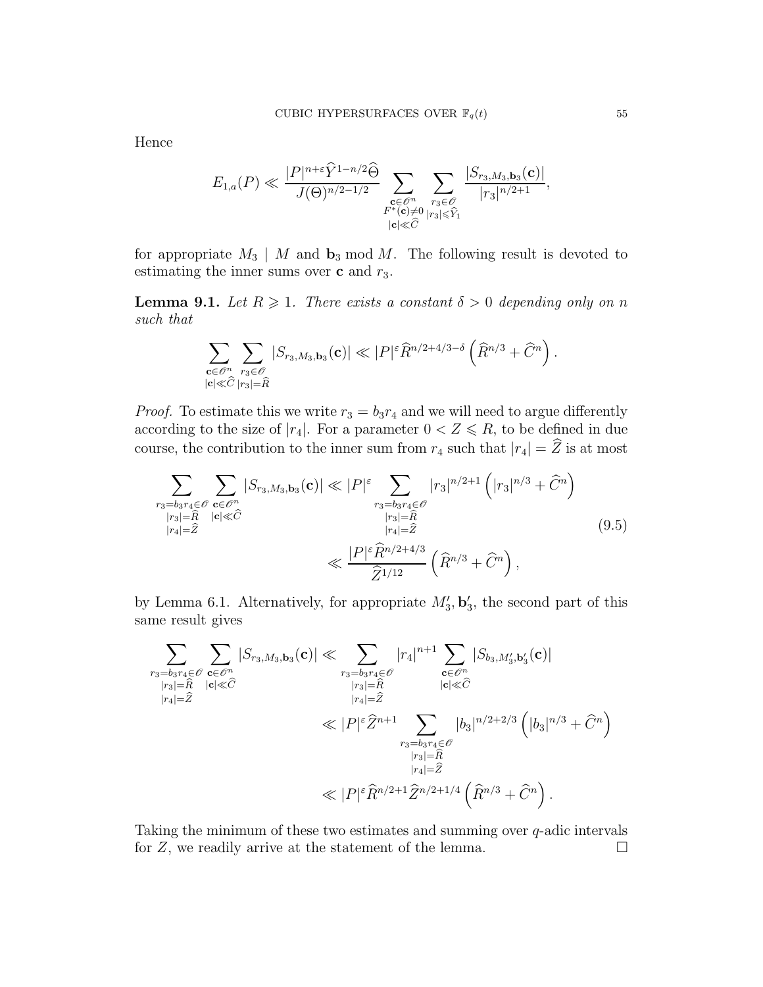Hence

$$
E_{1,a}(P) \ll \frac{|P|^{n+\varepsilon} \widehat{Y}^{1-n/2} \widehat{\Theta}}{J(\Theta)^{n/2-1/2}} \sum_{\substack{\mathbf{c} \in \mathscr{O}^n \\ F^*(\mathbf{c}) \neq 0}} \sum_{\substack{r_3 \in \mathscr{O} \\ |r_3| \leq \widehat{Y}_1}} \frac{|S_{r_3,M_3,\mathbf{b}_3}(\mathbf{c})|}{|r_3|^{n/2+1}},
$$

for appropriate  $M_3 \mid M$  and  $\mathbf{b}_3 \mod M$ . The following result is devoted to estimating the inner sums over  $\mathbf c$  and  $r_3$ .

**Lemma 9.1.** Let  $R \geq 1$ . There exists a constant  $\delta > 0$  depending only on n such that

$$
\sum_{\substack{\mathbf{c}\in \mathscr{O}^n\\|\mathbf{c}|\ll \widehat{C} \textrm{ } |r_3|=\widehat{R}}} \sum_{r_3\in \mathscr{O}} |S_{r_3,M_3,\mathbf{b}_3}(\mathbf{c})| \ll |P|^{\varepsilon} \widehat{R}^{n/2+4/3-\delta} \left(\widehat{R}^{n/3} + \widehat{C}^n \right).
$$

*Proof.* To estimate this we write  $r_3 = b_3r_4$  and we will need to argue differently according to the size of  $|r_4|$ . For a parameter  $0 < Z \le R$ , to be defined in due course, the contribution to the inner sum from  $r_4$  such that  $|r_4| = \hat{Z}$  is at most

$$
\sum_{\substack{r_3 = b_3 r_4 \in \mathcal{O} \\ |r_3| = \widehat{R} \\ |r_4| = \widehat{Z} \\ \ll \frac{|P|^\varepsilon \widehat{R}^{n/2 + 4/3}}{\widehat{Z}^{1/12}}} |\widehat{S}_{r_3, M_3, b_3}(\mathbf{c})| \ll |P|^\varepsilon \sum_{\substack{r_3 = b_3 r_4 \in \mathcal{O} \\ |r_3| = \widehat{R} \\ |r_4| = \widehat{Z}}} |r_3|^{n/2 + 1} \left( |r_3|^{n/3} + \widehat{C}^n \right) \tag{9.5}
$$

by Lemma 6.1. Alternatively, for appropriate  $M'_3$ ,  $\mathbf{b}'_3$ , the second part of this same result gives

$$
\sum_{\substack{r_3=b_3r_4\in\mathscr{O}\\|r_3|\equiv \widehat{R}\\|r_4|\equiv \widehat{Z}\\|r_4|\equiv \widehat{Z}\\|r_4|\equiv \widehat{Z}\\|r_5|\equiv \widehat{R}\\|r_6|\ll \widehat{C}\\\|P\|^\varepsilon\widehat{Z}^{n+1}\sum_{\substack{r_3=b_3r_4\in\mathscr{O}\\|r_4|\equiv \widehat{Z}\\|r_4|\equiv \widehat{Z}\\|r_4|\equiv \widehat{Z}\\|r_4|\equiv \widehat{Z}\\|r_4|\equiv \widehat{Z}\\|r_4|\equiv \widehat{Z}\\|r_4|\equiv \widehat{Z}^{n/2+1}\widehat{Z}^{n/2+1/4}\left(\widehat{R}^{n/3}+\widehat{C}^n\right).
$$

Taking the minimum of these two estimates and summing over q-adic intervals for  $Z$ , we readily arrive at the statement of the lemma.  $\square$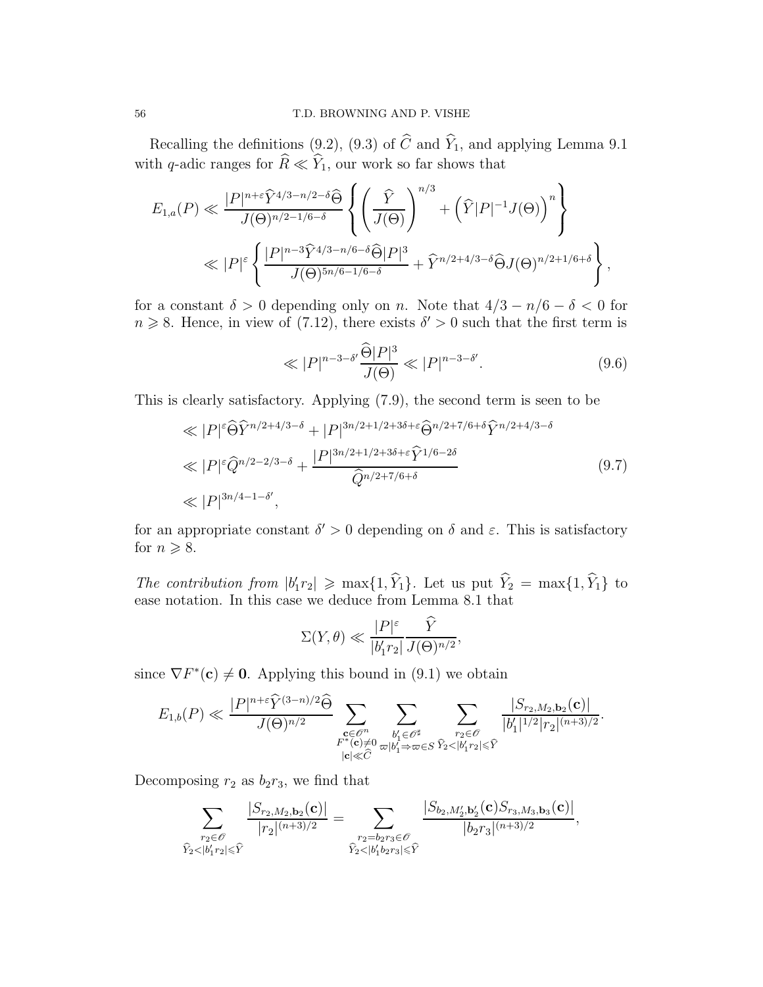Recalling the definitions (9.2), (9.3) of  $\widehat{C}$  and  $\widehat{Y}_1$ , and applying Lemma 9.1 with q-adic ranges for  $\widehat{R} \ll \widehat{Y}_1$ , our work so far shows that

$$
E_{1,a}(P) \ll \frac{|P|^{n+\varepsilon} \widehat{Y}^{4/3-n/2-\delta} \widehat{\Theta}}{J(\Theta)^{n/2-1/6-\delta}} \left\{ \left( \frac{\widehat{Y}}{J(\Theta)} \right)^{n/3} + \left( \widehat{Y}|P|^{-1} J(\Theta) \right)^n \right\}
$$
  

$$
\ll |P|^{\varepsilon} \left\{ \frac{|P|^{n-3} \widehat{Y}^{4/3-n/6-\delta} \widehat{\Theta} |P|^3}{J(\Theta)^{5n/6-1/6-\delta}} + \widehat{Y}^{n/2+4/3-\delta} \widehat{\Theta} J(\Theta)^{n/2+1/6+\delta} \right\},
$$

for a constant  $\delta > 0$  depending only on n. Note that  $4/3 - n/6 - \delta < 0$  for  $n \geq 8$ . Hence, in view of (7.12), there exists  $\delta' > 0$  such that the first term is

$$
\ll |P|^{n-3-\delta'} \frac{\hat{\Theta}|P|^3}{J(\Theta)} \ll |P|^{n-3-\delta'}.\tag{9.6}
$$

This is clearly satisfactory. Applying (7.9), the second term is seen to be

$$
\ll |P|^{\varepsilon} \widehat{\Theta} \widehat{Y}^{n/2+4/3-\delta} + |P|^{3n/2+1/2+3\delta+\varepsilon} \widehat{\Theta}^{n/2+7/6+\delta} \widehat{Y}^{n/2+4/3-\delta}
$$
  
\n
$$
\ll |P|^{\varepsilon} \widehat{Q}^{n/2-2/3-\delta} + \frac{|P|^{3n/2+1/2+3\delta+\varepsilon} \widehat{Y}^{1/6-2\delta}}{\widehat{Q}^{n/2+7/6+\delta}}
$$
(9.7)  
\n
$$
\ll |P|^{3n/4-1-\delta'},
$$

for an appropriate constant  $\delta' > 0$  depending on  $\delta$  and  $\varepsilon$ . This is satisfactory for  $n \geqslant 8$ .

The contribution from  $|b'_1r_2| \ge \max\{1, Y_1\}$ . Let us put  $Y_2 = \max\{1, Y_1\}$  to ease notation. In this case we deduce from Lemma 8.1 that

$$
\Sigma(Y,\theta) \ll \frac{|P|^{\varepsilon}}{|b'_1 r_2|} \frac{\hat{Y}}{J(\Theta)^{n/2}},
$$

since  $\nabla F^*(c) \neq 0$ . Applying this bound in (9.1) we obtain

$$
E_{1,b}(P) \ll \frac{|P|^{n+\varepsilon} \widehat{Y}^{(3-n)/2}\widehat{\Theta}}{J(\Theta)^{n/2}} \sum_{\substack{\mathbf{c} \in \mathscr{O}^n \\ F^*(\mathbf{c}) \neq 0}} \sum_{\substack{b'_1 \in \mathscr{O}^\sharp \\ |c| \ll \widehat{C}}} \sum_{\substack{r_2 \in \mathscr{O} \\ \sum_{\substack{r_2 \in \mathscr{O} \\ |b'_1 \Rightarrow \varpi \in S}} \widehat{Y}_2 < |b'_1|^{2} |r_2|^{(n+3)/2} \\ \leq \widehat{Y}}.
$$

Decomposing  $r_2$  as  $b_2r_3$ , we find that

$$
\sum_{\substack{r_2 \in \mathscr{O} \\ \widehat{Y}_2 < |b_1'r_2| \leqslant \widehat{Y}}} \frac{|S_{r_2,M_2,\mathbf{b}_2}(\mathbf{c})|}{|r_2|^{(n+3)/2}} = \sum_{\substack{r_2 = b_2r_3 \in \mathscr{O} \\ \widehat{Y}_2 < |b_1'b_2r_3| \leqslant \widehat{Y}}} \frac{|S_{b_2,M_2',\mathbf{b}_2'}(\mathbf{c})S_{r_3,M_3,\mathbf{b}_3}(\mathbf{c})|}{|b_2r_3|^{(n+3)/2}},
$$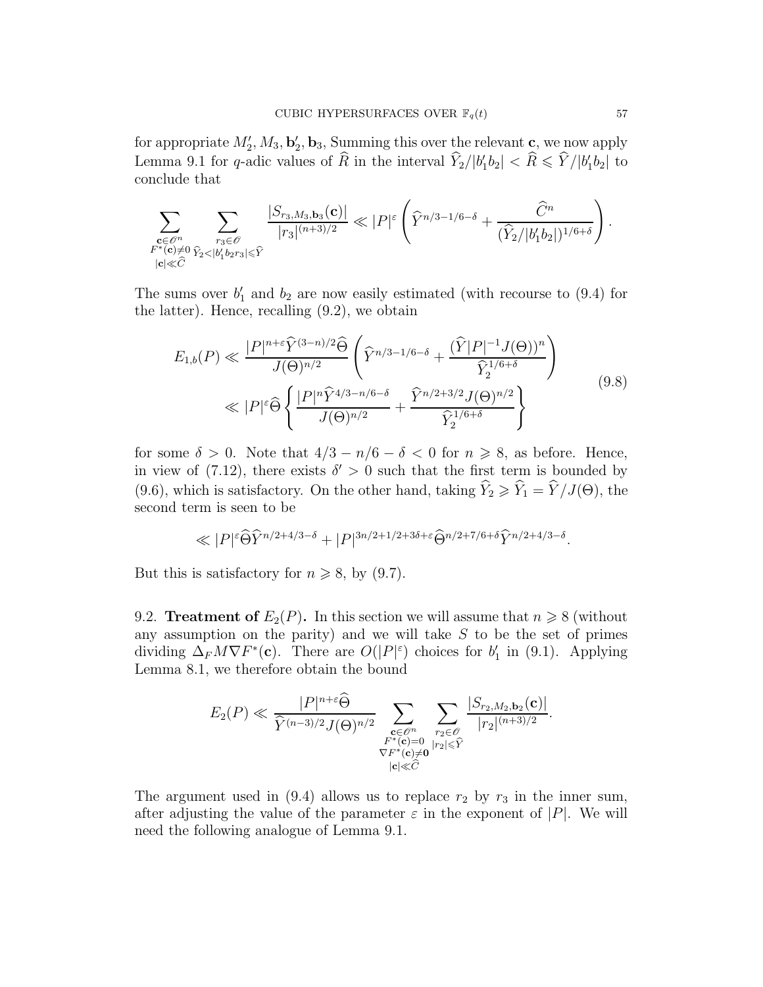for appropriate  $M'_2, M_3, \mathbf{b}'_2, \mathbf{b}_3$ , Summing this over the relevant c, we now apply Lemma 9.1 for q-adic values of  $\hat{R}$  in the interval  $\hat{Y}_2/|b'_1b_2| < \hat{R} \leq \hat{Y}/|b'_1b_2|$  to conclude that

$$
\sum_{\substack{\mathbf{c}\in \mathscr{O}^n \\ F^*(\mathbf{c})\neq 0}}\sum_{\substack{r_3\in \mathscr{O} \\ |\mathbf{c}|\ll \widehat{C}}} \frac{|S_{r_3,M_3,\mathbf{b}_3}(\mathbf{c})|}{|r_3|^{(n+3)/2}}\ll |P|^{\varepsilon}\left(\widehat{Y}^{n/3-1/6-\delta}+\frac{\widehat{C}^n}{(\widehat{Y}_2/|b_1'b_2|)^{1/6+\delta}}\right).
$$

The sums over  $b'_1$  and  $b_2$  are now easily estimated (with recourse to (9.4) for the latter). Hence, recalling (9.2), we obtain

$$
E_{1,b}(P) \ll \frac{|P|^{n+\epsilon} \widehat{Y}^{(3-n)/2} \widehat{\Theta}}{J(\Theta)^{n/2}} \left( \widehat{Y}^{n/3-1/6-\delta} + \frac{(\widehat{Y}|P|^{-1} J(\Theta))^n}{\widehat{Y}_2^{1/6+\delta}} \right) \ll |P|^{\epsilon} \widehat{\Theta} \left\{ \frac{|P|^n \widehat{Y}^{4/3-n/6-\delta}}{J(\Theta)^{n/2}} + \frac{\widehat{Y}^{n/2+3/2} J(\Theta)^{n/2}}{\widehat{Y}_2^{1/6+\delta}} \right\}
$$
(9.8)

for some  $\delta > 0$ . Note that  $4/3 - n/6 - \delta < 0$  for  $n \ge 8$ , as before. Hence, in view of (7.12), there exists  $\delta' > 0$  such that the first term is bounded by (9.6), which is satisfactory. On the other hand, taking  $\hat{Y}_2 \geq \hat{Y}_1 = \hat{Y} / J(\Theta)$ , the second term is seen to be

$$
\ll |P|^{\varepsilon} \widehat{\Theta} \widehat{Y}^{n/2+4/3-\delta} + |P|^{3n/2+1/2+3\delta+\varepsilon} \widehat{\Theta}^{n/2+7/6+\delta} \widehat{Y}^{n/2+4/3-\delta}.
$$

But this is satisfactory for  $n \geq 8$ , by (9.7).

9.2. **Treatment of**  $E_2(P)$ . In this section we will assume that  $n \ge 8$  (without any assumption on the parity) and we will take  $S$  to be the set of primes dividing  $\Delta_F M \nabla F^*(c)$ . There are  $O(|P|^\varepsilon)$  choices for  $b'_1$  in (9.1). Applying Lemma 8.1, we therefore obtain the bound

$$
E_2(P) \ll \frac{|P|^{n+\varepsilon} \widehat{\Theta}}{\widehat{Y}^{(n-3)/2} J(\Theta)^{n/2}} \sum_{\substack{\mathbf{c} \in \mathscr{O}^n \\ F^*(\mathbf{c}) = 0 \\ |\mathbf{c}| \ll \widehat{C}}} \sum_{\substack{r_2 \in \mathscr{O} \\ |r_2| \le \widehat{Y} \\ |\mathbf{c}| \ll \widehat{C}}} \frac{|S_{r_2, M_2, \mathbf{b}_2}(\mathbf{c})|}{|r_2|^{(n+3)/2}}.
$$

The argument used in (9.4) allows us to replace  $r_2$  by  $r_3$  in the inner sum, after adjusting the value of the parameter  $\varepsilon$  in the exponent of  $|P|$ . We will need the following analogue of Lemma 9.1.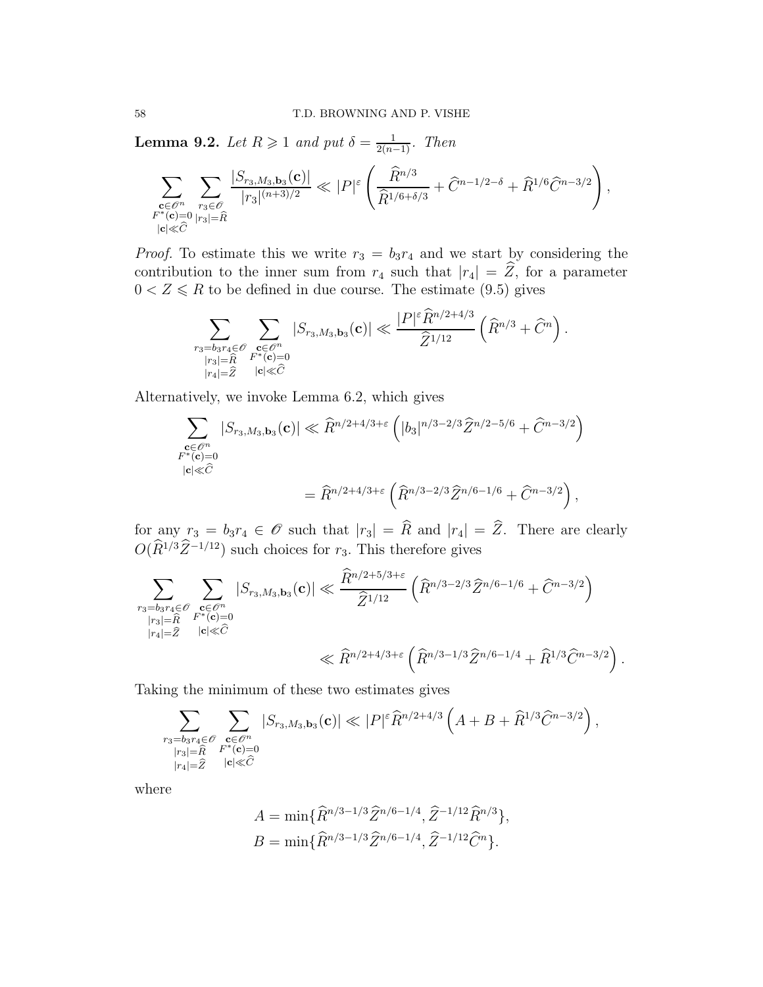**Lemma 9.2.** Let  $R \geqslant 1$  and put  $\delta = \frac{1}{2(n-1)}$ . Then

$$
\sum_{\substack{\mathbf{c} \in \mathcal{O}^n \\ F^*(\mathbf{c}) = 0}} \sum_{\substack{r_3 \in \mathcal{O} \\ |r_3| = \widehat{R} \\ |\mathbf{c}| \ll \widehat{C}}} \frac{|S_{r_3, M_3, \mathbf{b}_3}(\mathbf{c})|}{|r_3|^{(n+3)/2}} \ll |P|^{\varepsilon} \left( \frac{\widehat{R}^{n/3}}{\widehat{R}^{1/6 + \delta/3}} + \widehat{C}^{n-1/2 - \delta} + \widehat{R}^{1/6} \widehat{C}^{n-3/2} \right),
$$

*Proof.* To estimate this we write  $r_3 = b_3r_4$  and we start by considering the contribution to the inner sum from  $r_4$  such that  $|r_4| = \hat{Z}$ , for a parameter  $0 < Z \leq R$  to be defined in due course. The estimate (9.5) gives

$$
\sum_{\substack{r_3=b_3r_4\in\mathscr{O}\\ |r_3|=\widehat{R}\\ |r_4|=\widehat{Z}}}\sum_{\substack{\mathbf{c}\in\mathscr{O}^n\\ \mathbf{F}^*(\mathbf{c})=0\\ |\mathbf{c}|\ll \widehat{C}}} |S_{r_3,M_3,\mathbf{b}_3}(\mathbf{c})|\ll \frac{|P|^{\varepsilon}\widehat{R}^{n/2+4/3}}{\widehat{Z}^{1/12}}\left(\widehat{R}^{n/3}+\widehat{C}^n\right).
$$

Alternatively, we invoke Lemma 6.2, which gives

$$
\sum_{\substack{\mathbf{c} \in \mathcal{O}^n \\ F^*(\mathbf{c}) = 0}} |S_{r_3,M_3,\mathbf{b}_3}(\mathbf{c})| \ll \hat{R}^{n/2 + 4/3 + \varepsilon} \left( |b_3|^{n/3 - 2/3} \hat{Z}^{n/2 - 5/6} + \hat{C}^{n - 3/2} \right)
$$
  

$$
= \hat{R}^{n/2 + 4/3 + \varepsilon} \left( \hat{R}^{n/3 - 2/3} \hat{Z}^{n/6 - 1/6} + \hat{C}^{n - 3/2} \right),
$$

for any  $r_3 = b_3r_4 \in \mathcal{O}$  such that  $|r_3| = \widehat{R}$  and  $|r_4| = \widehat{Z}$ . There are clearly  $O(\tilde{R}^{1/3}\tilde{Z}^{-1/12})$  such choices for  $r_3$ . This therefore gives

$$
\sum_{\substack{r_3=b_3r_4\in\mathcal{O}\\|r_3|=\widehat{R}\\|r_4|=\widehat{Z}}} \sum_{\substack{\mathbf{c}\in\mathcal{O}^n\\|\mathbf{c}|\ll \widehat{C}}} |S_{r_3,M_3,\mathbf{b}_3}(\mathbf{c})| \ll \frac{\widehat{R}^{n/2+5/3+\varepsilon}}{\widehat{Z}^{1/12}} \left(\widehat{R}^{n/3-2/3}\widehat{Z}^{n/6-1/6} + \widehat{C}^{n-3/2}\right)
$$
  

$$
\ll \widehat{R}^{n/2+4/3+\varepsilon} \left(\widehat{R}^{n/3-1/3}\widehat{Z}^{n/6-1/4} + \widehat{R}^{1/3}\widehat{C}^{n-3/2}\right).
$$

Taking the minimum of these two estimates gives

$$
\sum_{\substack{r_3=b_3r_4\in\mathscr{O}\\ |r_3|=\widehat{R}\\ |r_4|=\widehat{Z}}}\sum_{\substack{\mathbf{c}\in\mathscr{O}^n\\ F^*(\mathbf{c})=0\\ |\mathbf{c}|\ll \widehat{C}}} |S_{r_3,M_3,\mathbf{b}_3}(\mathbf{c})|\ll |P|^{\varepsilon}\widehat{R}^{n/2+4/3}\left(A+B+\widehat{R}^{1/3}\widehat{C}^{n-3/2}\right),
$$

where

$$
A = \min{\{\widehat{R}^{n/3 - 1/3} \widehat{Z}^{n/6 - 1/4}, \widehat{Z}^{-1/12} \widehat{R}^{n/3}\}},
$$
  

$$
B = \min{\{\widehat{R}^{n/3 - 1/3} \widehat{Z}^{n/6 - 1/4}, \widehat{Z}^{-1/12} \widehat{C}^n\}}.
$$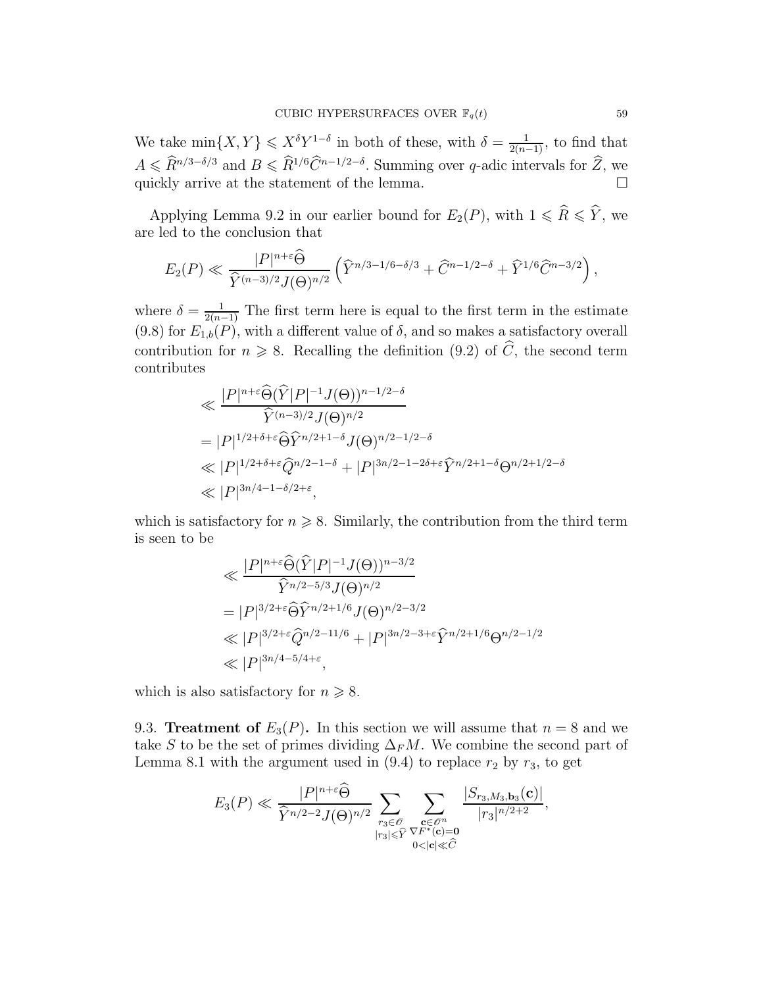We take  $\min\{X, Y\} \leqslant X^{\delta} Y^{1-\delta}$  in both of these, with  $\delta = \frac{1}{2(n-1)}$ , to find that  $A \leq R^{n/3-\delta/3}$  and  $B \leq R^{1/6}C^{n-1/2-\delta}$ . Summing over q-adic intervals for  $Z$ , we quickly arrive at the statement of the lemma.

Applying Lemma 9.2 in our earlier bound for  $E_2(P)$ , with  $1 \leq \widehat{R} \leq \widehat{Y}$ , we are led to the conclusion that

$$
E_2(P) \ll \frac{|P|^{n+\varepsilon} \widehat{\Theta}}{\widehat{Y}^{(n-3)/2} J(\Theta)^{n/2}} \left( \widehat{Y}^{n/3-1/6-\delta/3} + \widehat{C}^{n-1/2-\delta} + \widehat{Y}^{1/6} \widehat{C}^{n-3/2} \right),
$$

where  $\delta = \frac{1}{2(n-1)}$  The first term here is equal to the first term in the estimate  $(9.8)$  for  $E_{1,b}(P)$ , with a different value of  $\delta$ , and so makes a satisfactory overall contribution for  $n \geq 8$ . Recalling the definition (9.2) of  $\widehat{C}$ , the second term contributes

$$
\ll \frac{|P|^{n+\varepsilon}\widehat{\Theta}(\widehat{Y}|P|^{-1}J(\Theta))^{n-1/2-\delta}}{\widehat{Y}^{(n-3)/2}J(\Theta)^{n/2}}
$$
\n
$$
= |P|^{1/2+\delta+\varepsilon}\widehat{\Theta}\widehat{Y}^{n/2+1-\delta}J(\Theta)^{n/2-1/2-\delta}
$$
\n
$$
\ll |P|^{1/2+\delta+\varepsilon}\widehat{Q}^{n/2-1-\delta} + |P|^{3n/2-1-2\delta+\varepsilon}\widehat{Y}^{n/2+1-\delta}\Theta^{n/2+1/2-\delta}
$$
\n
$$
\ll |P|^{3n/4-1-\delta/2+\varepsilon},
$$

which is satisfactory for  $n \geq 8$ . Similarly, the contribution from the third term is seen to be

$$
\ll \frac{|P|^{n+\epsilon}\widehat{\Theta}(\widehat{Y}|P|^{-1}J(\Theta))^{n-3/2}}{\widehat{Y}^{n/2-5/3}J(\Theta)^{n/2}}
$$
\n
$$
= |P|^{3/2+\epsilon}\widehat{\Theta}\widehat{Y}^{n/2+1/6}J(\Theta)^{n/2-3/2}
$$
\n
$$
\ll |P|^{3/2+\epsilon}\widehat{Q}^{n/2-11/6} + |P|^{3n/2-3+\epsilon}\widehat{Y}^{n/2+1/6}\Theta^{n/2-1/2}
$$
\n
$$
\ll |P|^{3n/4-5/4+\epsilon},
$$

which is also satisfactory for  $n \geq 8$ .

9.3. Treatment of  $E_3(P)$ . In this section we will assume that  $n = 8$  and we take S to be the set of primes dividing  $\Delta_F M$ . We combine the second part of Lemma 8.1 with the argument used in  $(9.4)$  to replace  $r_2$  by  $r_3$ , to get

$$
E_3(P) \ll \frac{|P|^{n+\varepsilon} \widehat{\Theta}}{\widehat{Y}^{n/2-2} J(\Theta)^{n/2}} \sum_{\substack{r_3 \in \mathscr{O} \\ |r_3| \leq \widehat{Y}}} \sum_{\substack{\mathbf{c} \in \mathscr{O}^n \\ \mathbf{C} \subset \mathscr{C} \\ 0 < |\mathbf{c}| \ll \widehat{C}}} \frac{|S_{r_3, M_3, \mathbf{b}_3}(\mathbf{c})|}{|r_3|^{n/2+2}},
$$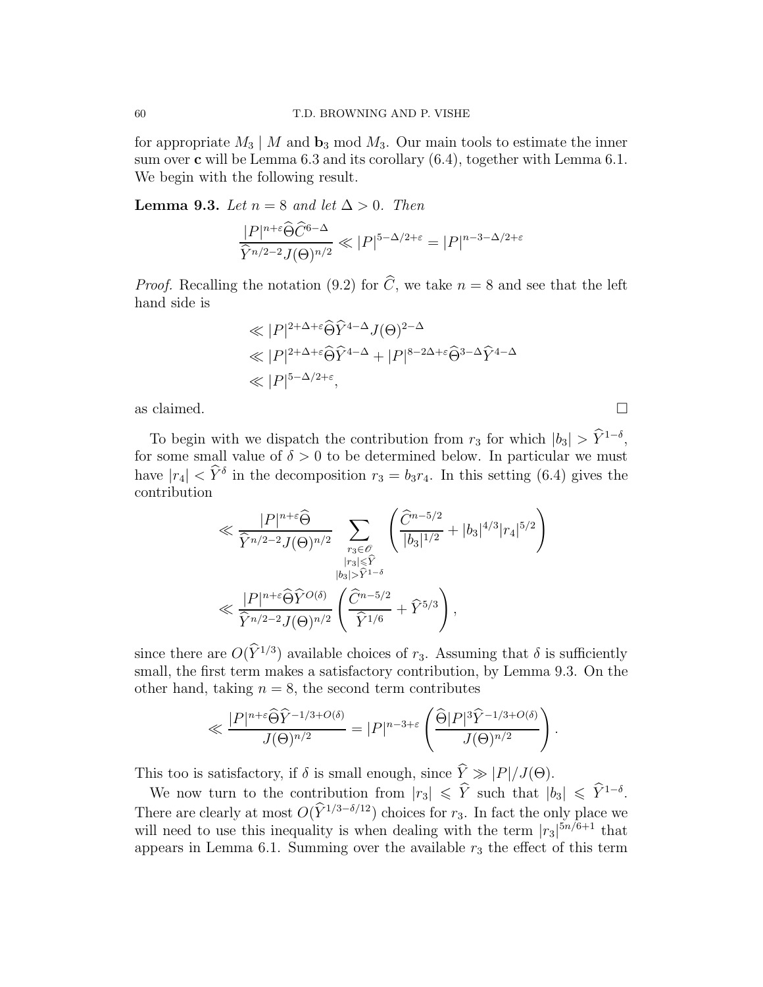for appropriate  $M_3 \mid M$  and  $\mathbf{b}_3 \mod M_3$ . Our main tools to estimate the inner sum over  $\mathbf c$  will be Lemma 6.3 and its corollary  $(6.4)$ , together with Lemma 6.1. We begin with the following result.

**Lemma 9.3.** Let  $n = 8$  and let  $\Delta > 0$ . Then

$$
\frac{|P|^{n+\varepsilon}\widehat{\Theta}\widehat{C}^{6-\Delta}}{\widehat{Y}^{n/2-2}J(\Theta)^{n/2}} \ll |P|^{5-\Delta/2+\varepsilon} = |P|^{n-3-\Delta/2+\varepsilon}
$$

*Proof.* Recalling the notation (9.2) for  $\widehat{C}$ , we take  $n = 8$  and see that the left hand side is

$$
\ll |P|^{2+\Delta+\varepsilon} \widehat{\Theta} \widehat{Y}^{4-\Delta} J(\Theta)^{2-\Delta}
$$
  

$$
\ll |P|^{2+\Delta+\varepsilon} \widehat{\Theta} \widehat{Y}^{4-\Delta} + |P|^{8-2\Delta+\varepsilon} \widehat{\Theta}^{3-\Delta} \widehat{Y}^{4-\Delta}
$$
  

$$
\ll |P|^{5-\Delta/2+\varepsilon},
$$

as claimed.  $\square$ 

To begin with we dispatch the contribution from  $r_3$  for which  $|b_3| > \hat{Y}^{1-\delta}$ , for some small value of  $\delta > 0$  to be determined below. In particular we must have  $|r_4| < \hat{Y}^{\delta}$  in the decomposition  $r_3 = b_3 r_4$ . In this setting (6.4) gives the contribution

$$
\ll \frac{|P|^{n+\varepsilon} \widehat{\Theta}}{\widehat{Y}^{n/2-2} J(\Theta)^{n/2}} \sum_{\substack{r_3 \in \mathscr{O} \\ |r_3| \leq \widehat{Y} \\ |b_3| > \widehat{Y}^{1-\delta}}} \left( \frac{\widehat{C}^{n-5/2}}{|b_3|^{1/2}} + |b_3|^{4/3} |r_4|^{5/2} \right)
$$
  

$$
\ll \frac{|P|^{n+\varepsilon} \widehat{\Theta} \widehat{Y}^{O(\delta)}}{\widehat{Y}^{n/2-2} J(\Theta)^{n/2}} \left( \frac{\widehat{C}^{n-5/2}}{\widehat{Y}^{1/6}} + \widehat{Y}^{5/3} \right),
$$

since there are  $O(Y^{1/3})$  available choices of  $r_3$ . Assuming that  $\delta$  is sufficiently small, the first term makes a satisfactory contribution, by Lemma 9.3. On the other hand, taking  $n = 8$ , the second term contributes

$$
\ll \frac{|P|^{n+\varepsilon} \widehat{\Theta} \widehat{Y}^{-1/3+O(\delta)}}{J(\Theta)^{n/2}} = |P|^{n-3+\varepsilon} \left( \frac{\widehat{\Theta}|P|^{3} \widehat{Y}^{-1/3+O(\delta)}}{J(\Theta)^{n/2}} \right).
$$

This too is satisfactory, if  $\delta$  is small enough, since  $\hat{Y} \gg |P|/J(\Theta)$ .

We now turn to the contribution from  $|r_3| \leqslant \hat{Y}$  such that  $|b_3| \leqslant \hat{Y}^{1-\delta}$ . There are clearly at most  $O(\hat{Y}^{1/3-\delta/12})$  choices for  $r_3$ . In fact the only place we will need to use this inequality is when dealing with the term  $|r_3|^{5n/6+1}$  that appears in Lemma 6.1. Summing over the available  $r_3$  the effect of this term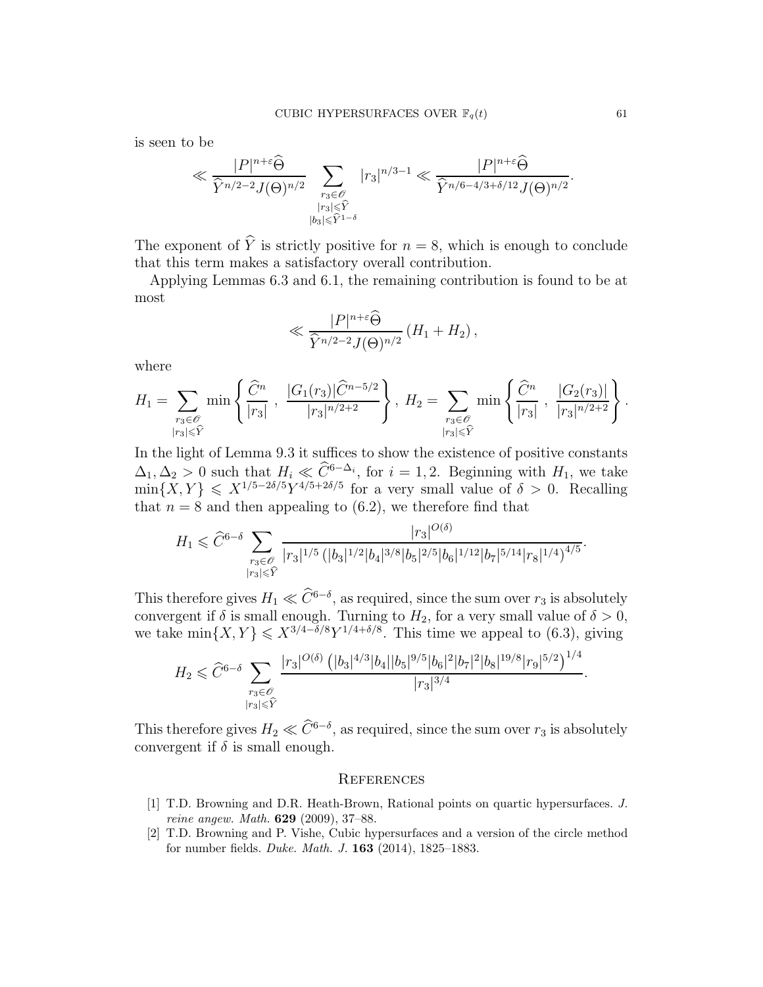is seen to be

$$
\ll \frac{|P|^{n+\varepsilon} \widehat{\Theta}}{\widehat{Y}^{n/2-2} J(\Theta)^{n/2}} \sum_{\substack{r_3 \in \mathscr{O} \\ |r_3| \leq \widehat{Y} \\ |b_3| \leq \widehat{Y}^{1-\delta}}} |r_3|^{n/3-1} \ll \frac{|P|^{n+\varepsilon} \widehat{\Theta}}{\widehat{Y}^{n/6-4/3+\delta/12} J(\Theta)^{n/2}}.
$$

The exponent of  $\hat{Y}$  is strictly positive for  $n = 8$ , which is enough to conclude that this term makes a satisfactory overall contribution.

Applying Lemmas 6.3 and 6.1, the remaining contribution is found to be at most

$$
\ll \frac{|P|^{n+\varepsilon} \widehat{\Theta}}{\widehat{Y}^{n/2-2} J(\Theta)^{n/2}} \left(H_1 + H_2\right),
$$

where

$$
H_1 = \sum_{\substack{r_3 \in \mathscr{O} \\ |r_3| \leq \hat{Y}}} \min \left\{ \frac{\widehat{C}^n}{|r_3|} \; , \; \frac{|G_1(r_3)|\widehat{C}^{n-5/2}}{|r_3|^{n/2+2}} \right\}, \; H_2 = \sum_{\substack{r_3 \in \mathscr{O} \\ |r_3| \leq \hat{Y}}} \min \left\{ \frac{\widehat{C}^n}{|r_3|} \; , \; \frac{|G_2(r_3)|}{|r_3|^{n/2+2}} \right\}.
$$

In the light of Lemma 9.3 it suffices to show the existence of positive constants  $\Delta_1, \Delta_2 > 0$  such that  $H_i \ll \tilde{C}^{6-\Delta_i}$ , for  $i = 1, 2$ . Beginning with  $H_1$ , we take  $\min\{X,Y\} \leqslant X^{1/5-2\delta/5} Y^{4/5+2\delta/5}$  for a very small value of  $\delta > 0$ . Recalling that  $n = 8$  and then appealing to (6.2), we therefore find that

$$
H_1 \leq \widehat{C}^{6-\delta} \sum_{\substack{r_3 \in \mathscr{O} \\ |r_3| \leq \widehat{Y}}} \frac{|r_3|^{O(\delta)}}{|r_3|^{1/5} (|b_3|^{1/2}|b_4|^{3/8}|b_5|^{2/5}|b_6|^{1/12}|b_7|^{5/14}|r_8|^{1/4})^{4/5}}.
$$

This therefore gives  $H_1 \ll \tilde{C}^{6-\delta}$ , as required, since the sum over  $r_3$  is absolutely convergent if  $\delta$  is small enough. Turning to  $H_2$ , for a very small value of  $\delta > 0$ , we take  $\min\{X, Y\} \leqslant X^{3/4-\delta/8} Y^{1/4+\delta/8}$ . This time we appeal to (6.3), giving

$$
H_2 \leqslant \widehat{C}^{6-\delta}\sum_{\substack{r_3 \in \mathscr{O} \\ |r_3| \leqslant \widehat{Y}}} \frac{|r_3|^{O(\delta)} \left(|b_3|^{4/3}|b_4||b_5|^{9/5}|b_6|^2|b_7|^2|b_8|^{19/8}|r_9|^{5/2}\right)^{1/4}}{|r_3|^{3/4}}.
$$

This therefore gives  $H_2 \ll \hat{C}^{6-\delta}$ , as required, since the sum over  $r_3$  is absolutely convergent if  $\delta$  is small enough.

#### **REFERENCES**

- [1] T.D. Browning and D.R. Heath-Brown, Rational points on quartic hypersurfaces. J. reine angew. Math. 629 (2009), 37–88.
- [2] T.D. Browning and P. Vishe, Cubic hypersurfaces and a version of the circle method for number fields. Duke. Math. J. 163 (2014), 1825–1883.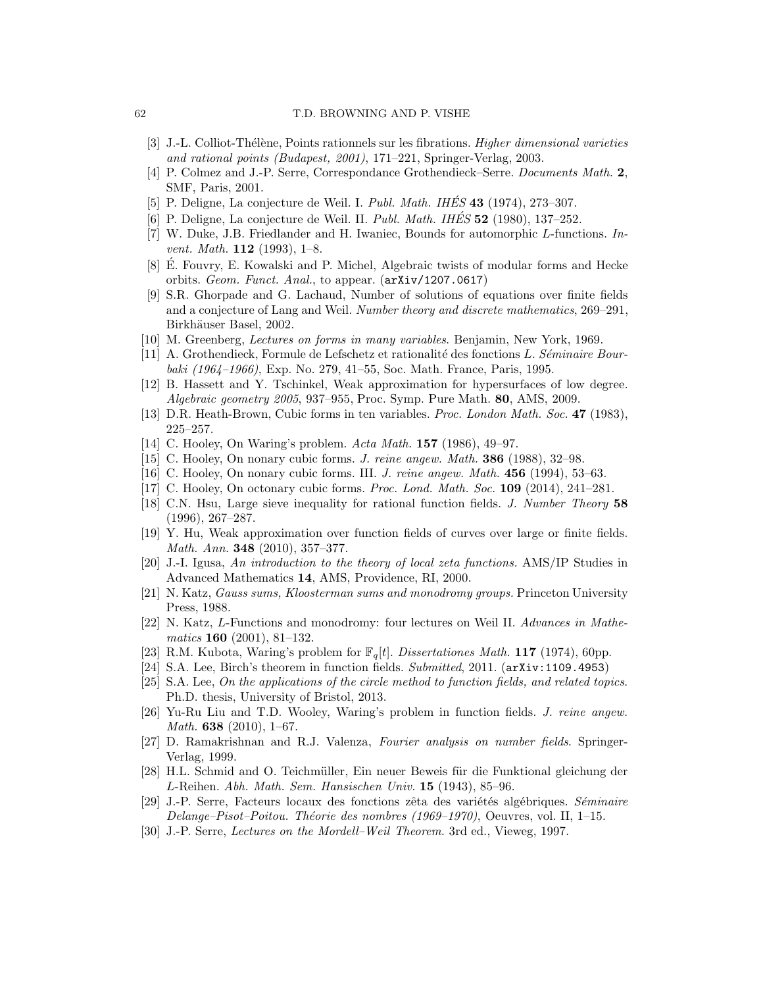- [3] J.-L. Colliot-Thélène, Points rationnels sur les fibrations. *Higher dimensional varieties* and rational points (Budapest, 2001), 171–221, Springer-Verlag, 2003.
- [4] P. Colmez and J.-P. Serre, Correspondance Grothendieck–Serre. Documents Math. 2, SMF, Paris, 2001.
- [5] P. Deligne, La conjecture de Weil. I. Publ. Math. IHÉS  $43$  (1974), 273–307.
- [6] P. Deligne, La conjecture de Weil. II. Publ. Math. IHÉS  $52$  (1980), 137–252.
- [7] W. Duke, J.B. Friedlander and H. Iwaniec, Bounds for automorphic L-functions. In*vent. Math.* **112** (1993), 1–8.
- [8] É. Fouvry, E. Kowalski and P. Michel, Algebraic twists of modular forms and Hecke orbits. Geom. Funct. Anal., to appear. (arXiv/1207.0617)
- [9] S.R. Ghorpade and G. Lachaud, Number of solutions of equations over finite fields and a conjecture of Lang and Weil. Number theory and discrete mathematics, 269–291, Birkhäuser Basel, 2002.
- [10] M. Greenberg, Lectures on forms in many variables. Benjamin, New York, 1969.
- [11] A. Grothendieck, Formule de Lefschetz et rationalité des fonctions L. Séminaire Bourbaki (1964–1966), Exp. No. 279, 41–55, Soc. Math. France, Paris, 1995.
- [12] B. Hassett and Y. Tschinkel, Weak approximation for hypersurfaces of low degree. Algebraic geometry 2005, 937–955, Proc. Symp. Pure Math. 80, AMS, 2009.
- [13] D.R. Heath-Brown, Cubic forms in ten variables. Proc. London Math. Soc. 47 (1983), 225–257.
- [14] C. Hooley, On Waring's problem. Acta Math. **157** (1986), 49–97.
- [15] C. Hooley, On nonary cubic forms. J. reine angew. Math. 386 (1988), 32–98.
- [16] C. Hooley, On nonary cubic forms. III. *J. reine angew. Math.* **456** (1994), 53–63.
- [17] C. Hooley, On octonary cubic forms. Proc. Lond. Math. Soc. 109 (2014), 241–281.
- [18] C.N. Hsu, Large sieve inequality for rational function fields. J. Number Theory 58 (1996), 267–287.
- [19] Y. Hu, Weak approximation over function fields of curves over large or finite fields. Math. Ann. 348 (2010), 357–377.
- [20] J.-I. Igusa, An introduction to the theory of local zeta functions. AMS/IP Studies in Advanced Mathematics 14, AMS, Providence, RI, 2000.
- [21] N. Katz, Gauss sums, Kloosterman sums and monodromy groups. Princeton University Press, 1988.
- [22] N. Katz, L-Functions and monodromy: four lectures on Weil II. Advances in Mathematics 160 (2001), 81–132.
- [23] R.M. Kubota, Waring's problem for  $\mathbb{F}_q[t]$ . Dissertationes Math. 117 (1974), 60pp.
- [24] S.A. Lee, Birch's theorem in function fields.  $\mathit{Submitted}$ , 2011. (arXiv:1109.4953)
- [25] S.A. Lee, On the applications of the circle method to function fields, and related topics. Ph.D. thesis, University of Bristol, 2013.
- [26] Yu-Ru Liu and T.D. Wooley, Waring's problem in function fields. J. reine angew. Math. 638 (2010), 1–67.
- [27] D. Ramakrishnan and R.J. Valenza, Fourier analysis on number fields. Springer-Verlag, 1999.
- [28] H.L. Schmid and O. Teichmüller, Ein neuer Beweis für die Funktional gleichung der L-Reihen. Abh. Math. Sem. Hansischen Univ. 15 (1943), 85–96.
- [29] J.-P. Serre, Facteurs locaux des fonctions zêta des variétés algébriques. Séminaire Delange–Pisot–Poitou. Théorie des nombres (1969–1970), Oeuvres, vol. II, 1–15.
- [30] J.-P. Serre, Lectures on the Mordell–Weil Theorem. 3rd ed., Vieweg, 1997.